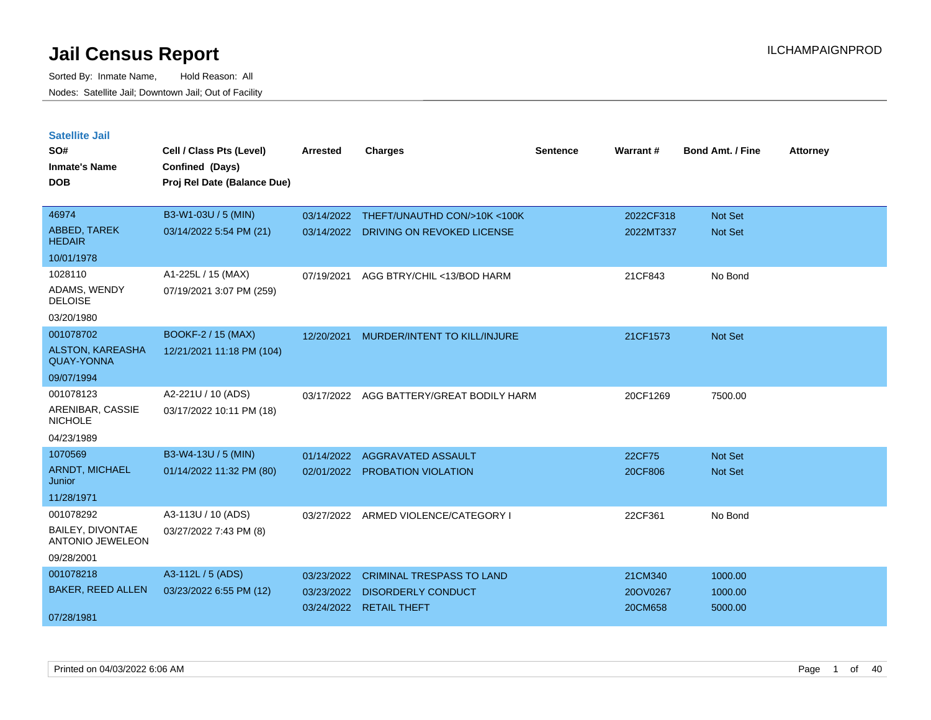| <b>Satellite Jail</b>                        |                             |            |                                  |          |           |                         |                 |
|----------------------------------------------|-----------------------------|------------|----------------------------------|----------|-----------|-------------------------|-----------------|
| SO#                                          | Cell / Class Pts (Level)    | Arrested   | Charges                          | Sentence | Warrant#  | <b>Bond Amt. / Fine</b> | <b>Attorney</b> |
| Inmate's Name                                | Confined (Days)             |            |                                  |          |           |                         |                 |
| <b>DOB</b>                                   | Proj Rel Date (Balance Due) |            |                                  |          |           |                         |                 |
| 46974                                        |                             |            |                                  |          |           |                         |                 |
|                                              | B3-W1-03U / 5 (MIN)         | 03/14/2022 | THEFT/UNAUTHD CON/>10K <100K     |          | 2022CF318 | <b>Not Set</b>          |                 |
| ABBED, TAREK<br><b>HEDAIR</b>                | 03/14/2022 5:54 PM (21)     | 03/14/2022 | DRIVING ON REVOKED LICENSE       |          | 2022MT337 | Not Set                 |                 |
| 10/01/1978                                   |                             |            |                                  |          |           |                         |                 |
| 1028110                                      | A1-225L / 15 (MAX)          | 07/19/2021 | AGG BTRY/CHIL <13/BOD HARM       |          | 21CF843   | No Bond                 |                 |
| ADAMS, WENDY<br><b>DELOISE</b>               | 07/19/2021 3:07 PM (259)    |            |                                  |          |           |                         |                 |
| 03/20/1980                                   |                             |            |                                  |          |           |                         |                 |
| 001078702                                    | <b>BOOKF-2 / 15 (MAX)</b>   | 12/20/2021 | MURDER/INTENT TO KILL/INJURE     |          | 21CF1573  | <b>Not Set</b>          |                 |
| <b>ALSTON, KAREASHA</b><br><b>QUAY-YONNA</b> | 12/21/2021 11:18 PM (104)   |            |                                  |          |           |                         |                 |
| 09/07/1994                                   |                             |            |                                  |          |           |                         |                 |
| 001078123                                    | A2-221U / 10 (ADS)          | 03/17/2022 | AGG BATTERY/GREAT BODILY HARM    |          | 20CF1269  | 7500.00                 |                 |
| ARENIBAR, CASSIE<br>NICHOLE                  | 03/17/2022 10:11 PM (18)    |            |                                  |          |           |                         |                 |
| 04/23/1989                                   |                             |            |                                  |          |           |                         |                 |
| 1070569                                      | B3-W4-13U / 5 (MIN)         | 01/14/2022 | AGGRAVATED ASSAULT               |          | 22CF75    | <b>Not Set</b>          |                 |
| <b>ARNDT, MICHAEL</b><br>Junior              | 01/14/2022 11:32 PM (80)    | 02/01/2022 | <b>PROBATION VIOLATION</b>       |          | 20CF806   | <b>Not Set</b>          |                 |
| 11/28/1971                                   |                             |            |                                  |          |           |                         |                 |
| 001078292                                    | A3-113U / 10 (ADS)          | 03/27/2022 | ARMED VIOLENCE/CATEGORY I        |          | 22CF361   | No Bond                 |                 |
| BAILEY, DIVONTAE<br><b>ANTONIO JEWELEON</b>  | 03/27/2022 7:43 PM (8)      |            |                                  |          |           |                         |                 |
| 09/28/2001                                   |                             |            |                                  |          |           |                         |                 |
| 001078218                                    | A3-112L / 5 (ADS)           | 03/23/2022 | <b>CRIMINAL TRESPASS TO LAND</b> |          | 21CM340   | 1000.00                 |                 |
| <b>BAKER, REED ALLEN</b>                     | 03/23/2022 6:55 PM (12)     | 03/23/2022 | <b>DISORDERLY CONDUCT</b>        |          | 20OV0267  | 1000.00                 |                 |
| 07/28/1981                                   |                             |            | 03/24/2022 RETAIL THEFT          |          | 20CM658   | 5000.00                 |                 |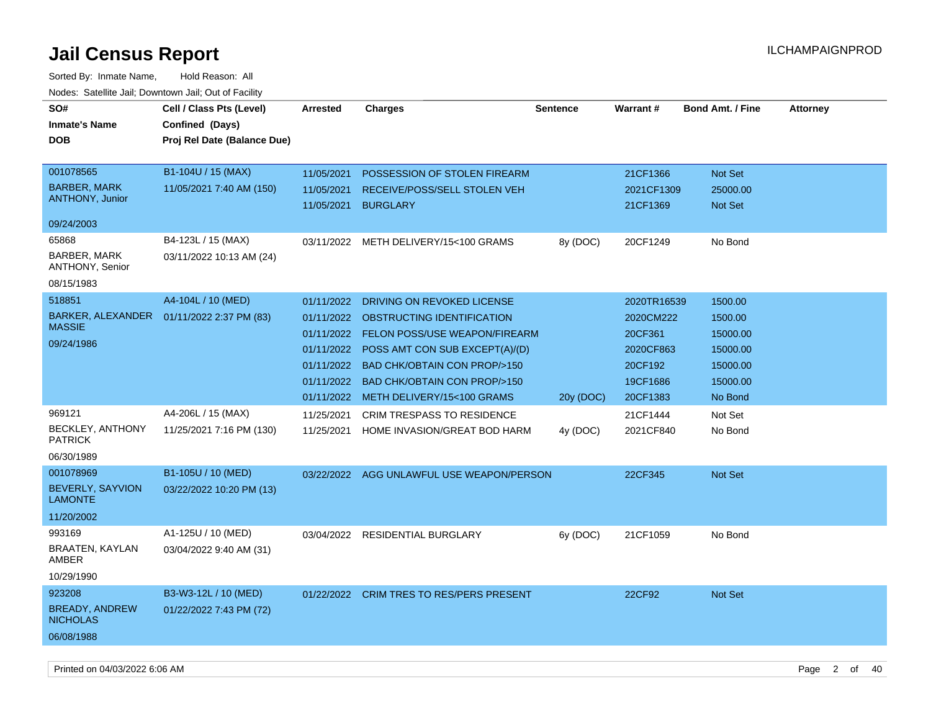| SO#<br><b>Inmate's Name</b><br><b>DOB</b>                                      | Cell / Class Pts (Level)<br>Confined (Days)<br>Proj Rel Date (Balance Due) | <b>Arrested</b>                                                    | <b>Charges</b>                                                                                                                                                                                                                                                      | <b>Sentence</b> | Warrant#                                                                            | <b>Bond Amt. / Fine</b>                                                       | <b>Attorney</b> |
|--------------------------------------------------------------------------------|----------------------------------------------------------------------------|--------------------------------------------------------------------|---------------------------------------------------------------------------------------------------------------------------------------------------------------------------------------------------------------------------------------------------------------------|-----------------|-------------------------------------------------------------------------------------|-------------------------------------------------------------------------------|-----------------|
| 001078565<br><b>BARBER, MARK</b><br><b>ANTHONY, Junior</b>                     | B1-104U / 15 (MAX)<br>11/05/2021 7:40 AM (150)                             | 11/05/2021<br>11/05/2021<br>11/05/2021                             | POSSESSION OF STOLEN FIREARM<br>RECEIVE/POSS/SELL STOLEN VEH<br><b>BURGLARY</b>                                                                                                                                                                                     |                 | 21CF1366<br>2021CF1309<br>21CF1369                                                  | Not Set<br>25000.00<br>Not Set                                                |                 |
| 09/24/2003                                                                     |                                                                            |                                                                    |                                                                                                                                                                                                                                                                     |                 |                                                                                     |                                                                               |                 |
| 65868<br>BARBER, MARK<br><b>ANTHONY, Senior</b><br>08/15/1983                  | B4-123L / 15 (MAX)<br>03/11/2022 10:13 AM (24)                             |                                                                    | 03/11/2022 METH DELIVERY/15<100 GRAMS                                                                                                                                                                                                                               | 8y (DOC)        | 20CF1249                                                                            | No Bond                                                                       |                 |
| 518851<br><b>BARKER, ALEXANDER</b><br><b>MASSIE</b><br>09/24/1986              | A4-104L / 10 (MED)<br>01/11/2022 2:37 PM (83)                              | 01/11/2022<br>01/11/2022<br>01/11/2022<br>01/11/2022<br>01/11/2022 | DRIVING ON REVOKED LICENSE<br>OBSTRUCTING IDENTIFICATION<br>01/11/2022 FELON POSS/USE WEAPON/FIREARM<br>01/11/2022 POSS AMT CON SUB EXCEPT(A)/(D)<br><b>BAD CHK/OBTAIN CON PROP/&gt;150</b><br><b>BAD CHK/OBTAIN CON PROP/&gt;150</b><br>METH DELIVERY/15<100 GRAMS | 20y (DOC)       | 2020TR16539<br>2020CM222<br>20CF361<br>2020CF863<br>20CF192<br>19CF1686<br>20CF1383 | 1500.00<br>1500.00<br>15000.00<br>15000.00<br>15000.00<br>15000.00<br>No Bond |                 |
| 969121<br><b>BECKLEY, ANTHONY</b><br><b>PATRICK</b><br>06/30/1989<br>001078969 | A4-206L / 15 (MAX)<br>11/25/2021 7:16 PM (130)<br>B1-105U / 10 (MED)       | 11/25/2021<br>11/25/2021                                           | <b>CRIM TRESPASS TO RESIDENCE</b><br>HOME INVASION/GREAT BOD HARM<br>03/22/2022 AGG UNLAWFUL USE WEAPON/PERSON                                                                                                                                                      | 4y (DOC)        | 21CF1444<br>2021CF840<br>22CF345                                                    | Not Set<br>No Bond<br>Not Set                                                 |                 |
| BEVERLY, SAYVION<br><b>LAMONTE</b><br>11/20/2002                               | 03/22/2022 10:20 PM (13)                                                   |                                                                    |                                                                                                                                                                                                                                                                     |                 |                                                                                     |                                                                               |                 |
| 993169<br>BRAATEN, KAYLAN<br>AMBER<br>10/29/1990                               | A1-125U / 10 (MED)<br>03/04/2022 9:40 AM (31)                              |                                                                    | 03/04/2022 RESIDENTIAL BURGLARY                                                                                                                                                                                                                                     | 6y (DOC)        | 21CF1059                                                                            | No Bond                                                                       |                 |
| 923208<br><b>BREADY, ANDREW</b><br><b>NICHOLAS</b><br>06/08/1988               | B3-W3-12L / 10 (MED)<br>01/22/2022 7:43 PM (72)                            |                                                                    | 01/22/2022 CRIM TRES TO RES/PERS PRESENT                                                                                                                                                                                                                            |                 | 22CF92                                                                              | Not Set                                                                       |                 |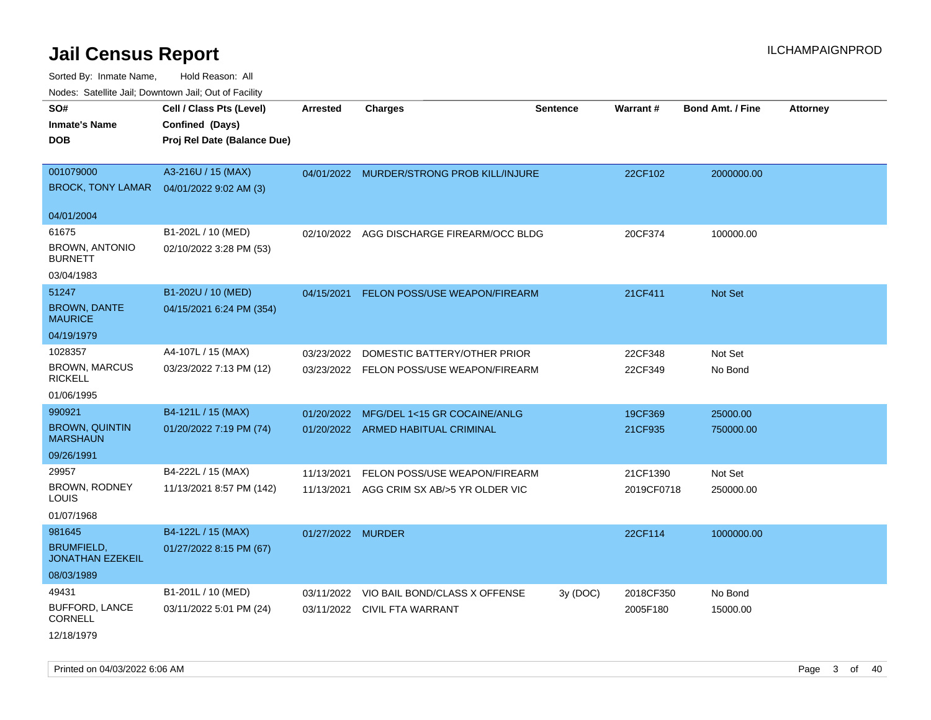| roaco. Odichile Jan, Downtown Jan, Out of Facility             |                                                                            |                   |                                           |                 |            |                         |                 |
|----------------------------------------------------------------|----------------------------------------------------------------------------|-------------------|-------------------------------------------|-----------------|------------|-------------------------|-----------------|
| SO#<br><b>Inmate's Name</b><br><b>DOB</b>                      | Cell / Class Pts (Level)<br>Confined (Days)<br>Proj Rel Date (Balance Due) | <b>Arrested</b>   | <b>Charges</b>                            | <b>Sentence</b> | Warrant#   | <b>Bond Amt. / Fine</b> | <b>Attorney</b> |
| 001079000<br><b>BROCK, TONY LAMAR</b>                          | A3-216U / 15 (MAX)<br>04/01/2022 9:02 AM (3)                               |                   | 04/01/2022 MURDER/STRONG PROB KILL/INJURE |                 | 22CF102    | 2000000.00              |                 |
| 04/01/2004                                                     |                                                                            |                   |                                           |                 |            |                         |                 |
| 61675<br><b>BROWN, ANTONIO</b><br><b>BURNETT</b><br>03/04/1983 | B1-202L / 10 (MED)<br>02/10/2022 3:28 PM (53)                              | 02/10/2022        | AGG DISCHARGE FIREARM/OCC BLDG            |                 | 20CF374    | 100000.00               |                 |
| 51247                                                          | B1-202U / 10 (MED)                                                         | 04/15/2021        | <b>FELON POSS/USE WEAPON/FIREARM</b>      |                 | 21CF411    | <b>Not Set</b>          |                 |
| <b>BROWN, DANTE</b><br><b>MAURICE</b>                          | 04/15/2021 6:24 PM (354)                                                   |                   |                                           |                 |            |                         |                 |
| 04/19/1979                                                     |                                                                            |                   |                                           |                 |            |                         |                 |
| 1028357                                                        | A4-107L / 15 (MAX)                                                         | 03/23/2022        | DOMESTIC BATTERY/OTHER PRIOR              |                 | 22CF348    | Not Set                 |                 |
| <b>BROWN, MARCUS</b><br><b>RICKELL</b>                         | 03/23/2022 7:13 PM (12)                                                    |                   | 03/23/2022 FELON POSS/USE WEAPON/FIREARM  |                 | 22CF349    | No Bond                 |                 |
| 01/06/1995                                                     |                                                                            |                   |                                           |                 |            |                         |                 |
| 990921                                                         | B4-121L / 15 (MAX)                                                         | 01/20/2022        | MFG/DEL 1<15 GR COCAINE/ANLG              |                 | 19CF369    | 25000.00                |                 |
| <b>BROWN, QUINTIN</b><br><b>MARSHAUN</b>                       | 01/20/2022 7:19 PM (74)                                                    |                   | 01/20/2022 ARMED HABITUAL CRIMINAL        |                 | 21CF935    | 750000.00               |                 |
| 09/26/1991                                                     |                                                                            |                   |                                           |                 |            |                         |                 |
| 29957                                                          | B4-222L / 15 (MAX)                                                         | 11/13/2021        | FELON POSS/USE WEAPON/FIREARM             |                 | 21CF1390   | Not Set                 |                 |
| BROWN, RODNEY<br>LOUIS                                         | 11/13/2021 8:57 PM (142)                                                   | 11/13/2021        | AGG CRIM SX AB/>5 YR OLDER VIC            |                 | 2019CF0718 | 250000.00               |                 |
| 01/07/1968                                                     |                                                                            |                   |                                           |                 |            |                         |                 |
| 981645                                                         | B4-122L / 15 (MAX)                                                         | 01/27/2022 MURDER |                                           |                 | 22CF114    | 1000000.00              |                 |
| <b>BRUMFIELD,</b><br><b>JONATHAN EZEKEIL</b>                   | 01/27/2022 8:15 PM (67)                                                    |                   |                                           |                 |            |                         |                 |
| 08/03/1989                                                     |                                                                            |                   |                                           |                 |            |                         |                 |
| 49431                                                          | B1-201L / 10 (MED)                                                         | 03/11/2022        | VIO BAIL BOND/CLASS X OFFENSE             | 3y(DOC)         | 2018CF350  | No Bond                 |                 |
| <b>BUFFORD, LANCE</b><br><b>CORNELL</b>                        | 03/11/2022 5:01 PM (24)                                                    | 03/11/2022        | CIVIL FTA WARRANT                         |                 | 2005F180   | 15000.00                |                 |
| 12/18/1979                                                     |                                                                            |                   |                                           |                 |            |                         |                 |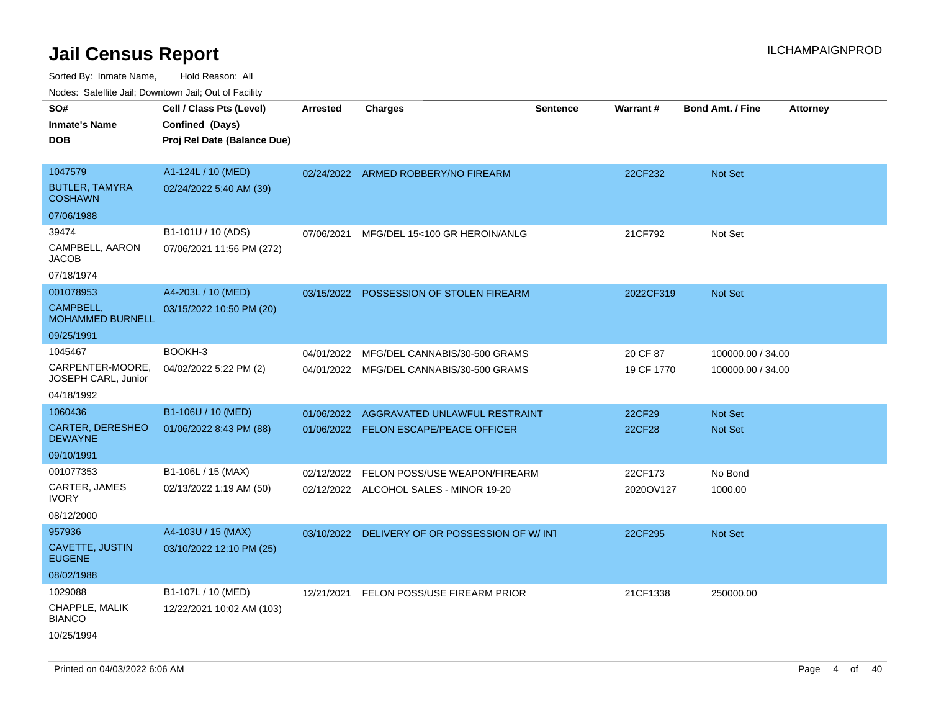Sorted By: Inmate Name, Hold Reason: All

Nodes: Satellite Jail; Downtown Jail; Out of Facility

| SO#                                       | Cell / Class Pts (Level)    | <b>Arrested</b> | <b>Charges</b>                                | <b>Sentence</b> | Warrant#   | <b>Bond Amt. / Fine</b> | <b>Attorney</b> |
|-------------------------------------------|-----------------------------|-----------------|-----------------------------------------------|-----------------|------------|-------------------------|-----------------|
| <b>Inmate's Name</b>                      | Confined (Days)             |                 |                                               |                 |            |                         |                 |
| <b>DOB</b>                                | Proj Rel Date (Balance Due) |                 |                                               |                 |            |                         |                 |
|                                           |                             |                 |                                               |                 |            |                         |                 |
| 1047579                                   | A1-124L / 10 (MED)          |                 | 02/24/2022 ARMED ROBBERY/NO FIREARM           |                 | 22CF232    | <b>Not Set</b>          |                 |
| <b>BUTLER, TAMYRA</b><br><b>COSHAWN</b>   | 02/24/2022 5:40 AM (39)     |                 |                                               |                 |            |                         |                 |
| 07/06/1988                                |                             |                 |                                               |                 |            |                         |                 |
| 39474                                     | B1-101U / 10 (ADS)          | 07/06/2021      | MFG/DEL 15<100 GR HEROIN/ANLG                 |                 | 21CF792    | Not Set                 |                 |
| CAMPBELL, AARON<br><b>JACOB</b>           | 07/06/2021 11:56 PM (272)   |                 |                                               |                 |            |                         |                 |
| 07/18/1974                                |                             |                 |                                               |                 |            |                         |                 |
| 001078953                                 | A4-203L / 10 (MED)          |                 | 03/15/2022 POSSESSION OF STOLEN FIREARM       |                 | 2022CF319  | <b>Not Set</b>          |                 |
| CAMPBELL,<br><b>MOHAMMED BURNELL</b>      | 03/15/2022 10:50 PM (20)    |                 |                                               |                 |            |                         |                 |
| 09/25/1991                                |                             |                 |                                               |                 |            |                         |                 |
| 1045467                                   | BOOKH-3                     | 04/01/2022      | MFG/DEL CANNABIS/30-500 GRAMS                 |                 | 20 CF 87   | 100000.00 / 34.00       |                 |
| CARPENTER-MOORE,<br>JOSEPH CARL, Junior   | 04/02/2022 5:22 PM (2)      | 04/01/2022      | MFG/DEL CANNABIS/30-500 GRAMS                 |                 | 19 CF 1770 | 100000.00 / 34.00       |                 |
| 04/18/1992                                |                             |                 |                                               |                 |            |                         |                 |
| 1060436                                   | B1-106U / 10 (MED)          | 01/06/2022      | AGGRAVATED UNLAWFUL RESTRAINT                 |                 | 22CF29     | Not Set                 |                 |
| <b>CARTER, DERESHEO</b><br><b>DEWAYNE</b> | 01/06/2022 8:43 PM (88)     |                 | 01/06/2022 FELON ESCAPE/PEACE OFFICER         |                 | 22CF28     | <b>Not Set</b>          |                 |
| 09/10/1991                                |                             |                 |                                               |                 |            |                         |                 |
| 001077353                                 | B1-106L / 15 (MAX)          | 02/12/2022      | FELON POSS/USE WEAPON/FIREARM                 |                 | 22CF173    | No Bond                 |                 |
| CARTER, JAMES<br><b>IVORY</b>             | 02/13/2022 1:19 AM (50)     |                 | 02/12/2022 ALCOHOL SALES - MINOR 19-20        |                 | 2020OV127  | 1000.00                 |                 |
| 08/12/2000                                |                             |                 |                                               |                 |            |                         |                 |
| 957936                                    | A4-103U / 15 (MAX)          |                 | 03/10/2022 DELIVERY OF OR POSSESSION OF W/INT |                 | 22CF295    | <b>Not Set</b>          |                 |
| <b>CAVETTE, JUSTIN</b><br><b>EUGENE</b>   | 03/10/2022 12:10 PM (25)    |                 |                                               |                 |            |                         |                 |
| 08/02/1988                                |                             |                 |                                               |                 |            |                         |                 |
| 1029088                                   | B1-107L / 10 (MED)          | 12/21/2021      | FELON POSS/USE FIREARM PRIOR                  |                 | 21CF1338   | 250000.00               |                 |
| CHAPPLE, MALIK<br><b>BIANCO</b>           | 12/22/2021 10:02 AM (103)   |                 |                                               |                 |            |                         |                 |
| 10/25/1994                                |                             |                 |                                               |                 |            |                         |                 |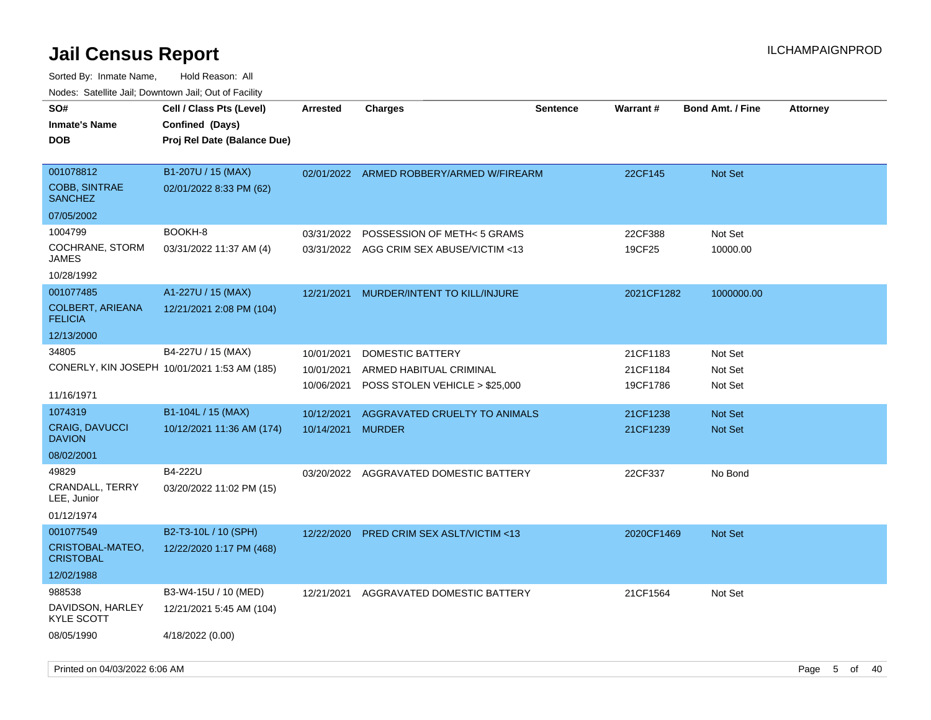| roaco. Odichile Jan, Downtown Jan, Out of Facility  |                                                                            |                 |                                          |                 |                 |                         |                 |
|-----------------------------------------------------|----------------------------------------------------------------------------|-----------------|------------------------------------------|-----------------|-----------------|-------------------------|-----------------|
| SO#<br><b>Inmate's Name</b><br><b>DOB</b>           | Cell / Class Pts (Level)<br>Confined (Days)<br>Proj Rel Date (Balance Due) | <b>Arrested</b> | <b>Charges</b>                           | <b>Sentence</b> | <b>Warrant#</b> | <b>Bond Amt. / Fine</b> | <b>Attorney</b> |
| 001078812<br><b>COBB, SINTRAE</b><br><b>SANCHEZ</b> | B1-207U / 15 (MAX)<br>02/01/2022 8:33 PM (62)                              |                 | 02/01/2022 ARMED ROBBERY/ARMED W/FIREARM |                 | 22CF145         | <b>Not Set</b>          |                 |
| 07/05/2002                                          |                                                                            |                 |                                          |                 |                 |                         |                 |
| 1004799                                             | BOOKH-8                                                                    | 03/31/2022      | POSSESSION OF METH< 5 GRAMS              |                 | 22CF388         | Not Set                 |                 |
| COCHRANE, STORM<br>JAMES                            | 03/31/2022 11:37 AM (4)                                                    |                 | 03/31/2022 AGG CRIM SEX ABUSE/VICTIM <13 |                 | 19CF25          | 10000.00                |                 |
| 10/28/1992                                          |                                                                            |                 |                                          |                 |                 |                         |                 |
| 001077485                                           | A1-227U / 15 (MAX)                                                         | 12/21/2021      | MURDER/INTENT TO KILL/INJURE             |                 | 2021CF1282      | 1000000.00              |                 |
| <b>COLBERT, ARIEANA</b><br><b>FELICIA</b>           | 12/21/2021 2:08 PM (104)                                                   |                 |                                          |                 |                 |                         |                 |
| 12/13/2000                                          |                                                                            |                 |                                          |                 |                 |                         |                 |
| 34805                                               | B4-227U / 15 (MAX)                                                         | 10/01/2021      | DOMESTIC BATTERY                         |                 | 21CF1183        | Not Set                 |                 |
|                                                     | CONERLY, KIN JOSEPH 10/01/2021 1:53 AM (185)                               | 10/01/2021      | ARMED HABITUAL CRIMINAL                  |                 | 21CF1184        | Not Set                 |                 |
| 11/16/1971                                          |                                                                            | 10/06/2021      | POSS STOLEN VEHICLE > \$25,000           |                 | 19CF1786        | Not Set                 |                 |
| 1074319                                             | B1-104L / 15 (MAX)                                                         | 10/12/2021      | AGGRAVATED CRUELTY TO ANIMALS            |                 | 21CF1238        | Not Set                 |                 |
| <b>CRAIG, DAVUCCI</b><br><b>DAVION</b>              | 10/12/2021 11:36 AM (174)                                                  | 10/14/2021      | <b>MURDER</b>                            |                 | 21CF1239        | Not Set                 |                 |
| 08/02/2001                                          |                                                                            |                 |                                          |                 |                 |                         |                 |
| 49829                                               | B4-222U                                                                    |                 | 03/20/2022 AGGRAVATED DOMESTIC BATTERY   |                 | 22CF337         | No Bond                 |                 |
| <b>CRANDALL, TERRY</b><br>LEE, Junior               | 03/20/2022 11:02 PM (15)                                                   |                 |                                          |                 |                 |                         |                 |
| 01/12/1974                                          |                                                                            |                 |                                          |                 |                 |                         |                 |
| 001077549                                           | B2-T3-10L / 10 (SPH)                                                       | 12/22/2020      | <b>PRED CRIM SEX ASLT/VICTIM &lt;13</b>  |                 | 2020CF1469      | <b>Not Set</b>          |                 |
| CRISTOBAL-MATEO,<br><b>CRISTOBAL</b>                | 12/22/2020 1:17 PM (468)                                                   |                 |                                          |                 |                 |                         |                 |
| 12/02/1988                                          |                                                                            |                 |                                          |                 |                 |                         |                 |
| 988538                                              | B3-W4-15U / 10 (MED)                                                       | 12/21/2021      | AGGRAVATED DOMESTIC BATTERY              |                 | 21CF1564        | Not Set                 |                 |
| DAVIDSON, HARLEY<br><b>KYLE SCOTT</b>               | 12/21/2021 5:45 AM (104)                                                   |                 |                                          |                 |                 |                         |                 |
| 08/05/1990                                          | 4/18/2022 (0.00)                                                           |                 |                                          |                 |                 |                         |                 |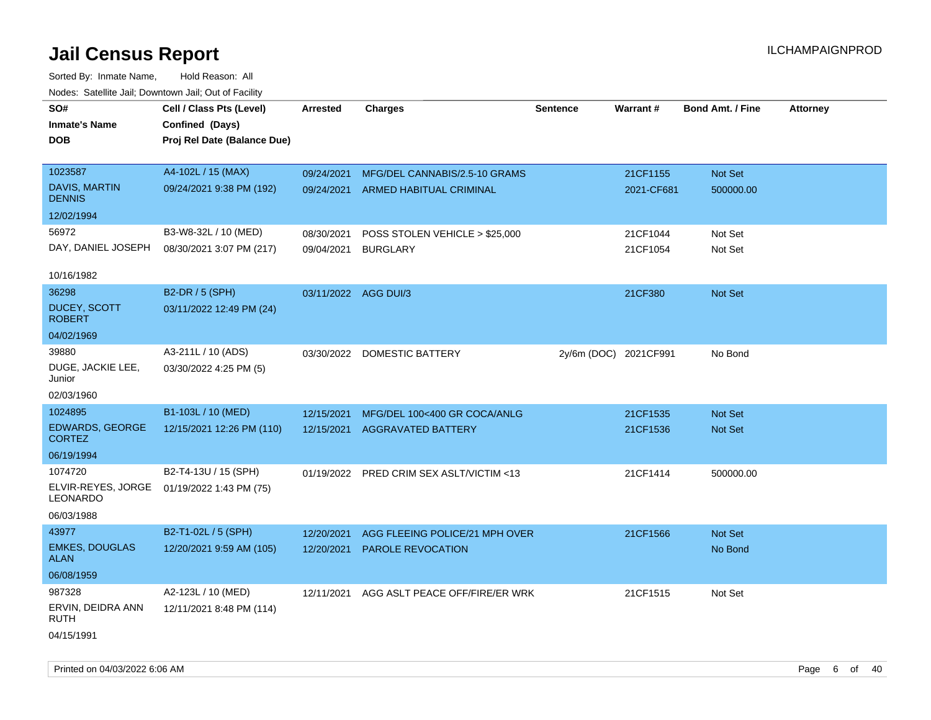| roaco. Oatomto dan, Downtown dan, Oat or Fability |                             |                      |                                          |                       |                 |                         |                 |
|---------------------------------------------------|-----------------------------|----------------------|------------------------------------------|-----------------------|-----------------|-------------------------|-----------------|
| SO#                                               | Cell / Class Pts (Level)    | <b>Arrested</b>      | <b>Charges</b>                           | <b>Sentence</b>       | <b>Warrant#</b> | <b>Bond Amt. / Fine</b> | <b>Attorney</b> |
| <b>Inmate's Name</b>                              | Confined (Days)             |                      |                                          |                       |                 |                         |                 |
| <b>DOB</b>                                        | Proj Rel Date (Balance Due) |                      |                                          |                       |                 |                         |                 |
|                                                   |                             |                      |                                          |                       |                 |                         |                 |
| 1023587                                           | A4-102L / 15 (MAX)          | 09/24/2021           | MFG/DEL CANNABIS/2.5-10 GRAMS            |                       | 21CF1155        | Not Set                 |                 |
| DAVIS, MARTIN<br><b>DENNIS</b>                    | 09/24/2021 9:38 PM (192)    |                      | 09/24/2021 ARMED HABITUAL CRIMINAL       |                       | 2021-CF681      | 500000.00               |                 |
| 12/02/1994                                        |                             |                      |                                          |                       |                 |                         |                 |
| 56972                                             | B3-W8-32L / 10 (MED)        | 08/30/2021           | POSS STOLEN VEHICLE > \$25,000           |                       | 21CF1044        | Not Set                 |                 |
| DAY, DANIEL JOSEPH                                | 08/30/2021 3:07 PM (217)    | 09/04/2021           | <b>BURGLARY</b>                          |                       | 21CF1054        | Not Set                 |                 |
|                                                   |                             |                      |                                          |                       |                 |                         |                 |
| 10/16/1982                                        |                             |                      |                                          |                       |                 |                         |                 |
| 36298                                             | B2-DR / 5 (SPH)             | 03/11/2022 AGG DUI/3 |                                          |                       | 21CF380         | <b>Not Set</b>          |                 |
| <b>DUCEY, SCOTT</b><br><b>ROBERT</b>              | 03/11/2022 12:49 PM (24)    |                      |                                          |                       |                 |                         |                 |
| 04/02/1969                                        |                             |                      |                                          |                       |                 |                         |                 |
| 39880                                             | A3-211L / 10 (ADS)          | 03/30/2022           | DOMESTIC BATTERY                         | 2y/6m (DOC) 2021CF991 |                 | No Bond                 |                 |
| DUGE, JACKIE LEE,<br>Junior                       | 03/30/2022 4:25 PM (5)      |                      |                                          |                       |                 |                         |                 |
| 02/03/1960                                        |                             |                      |                                          |                       |                 |                         |                 |
| 1024895                                           | B1-103L / 10 (MED)          | 12/15/2021           | MFG/DEL 100<400 GR COCA/ANLG             |                       | 21CF1535        | <b>Not Set</b>          |                 |
| <b>EDWARDS, GEORGE</b><br><b>CORTEZ</b>           | 12/15/2021 12:26 PM (110)   | 12/15/2021           | <b>AGGRAVATED BATTERY</b>                |                       | 21CF1536        | <b>Not Set</b>          |                 |
| 06/19/1994                                        |                             |                      |                                          |                       |                 |                         |                 |
| 1074720                                           | B2-T4-13U / 15 (SPH)        |                      | 01/19/2022 PRED CRIM SEX ASLT/VICTIM <13 |                       | 21CF1414        | 500000.00               |                 |
| ELVIR-REYES, JORGE<br>LEONARDO                    | 01/19/2022 1:43 PM (75)     |                      |                                          |                       |                 |                         |                 |
| 06/03/1988                                        |                             |                      |                                          |                       |                 |                         |                 |
| 43977                                             | B2-T1-02L / 5 (SPH)         | 12/20/2021           | AGG FLEEING POLICE/21 MPH OVER           |                       | 21CF1566        | Not Set                 |                 |
| <b>EMKES, DOUGLAS</b><br><b>ALAN</b>              | 12/20/2021 9:59 AM (105)    | 12/20/2021           | <b>PAROLE REVOCATION</b>                 |                       |                 | No Bond                 |                 |
| 06/08/1959                                        |                             |                      |                                          |                       |                 |                         |                 |
| 987328                                            | A2-123L / 10 (MED)          | 12/11/2021           | AGG ASLT PEACE OFF/FIRE/ER WRK           |                       | 21CF1515        | Not Set                 |                 |
| ERVIN, DEIDRA ANN<br>RUTH                         | 12/11/2021 8:48 PM (114)    |                      |                                          |                       |                 |                         |                 |
| 04/15/1991                                        |                             |                      |                                          |                       |                 |                         |                 |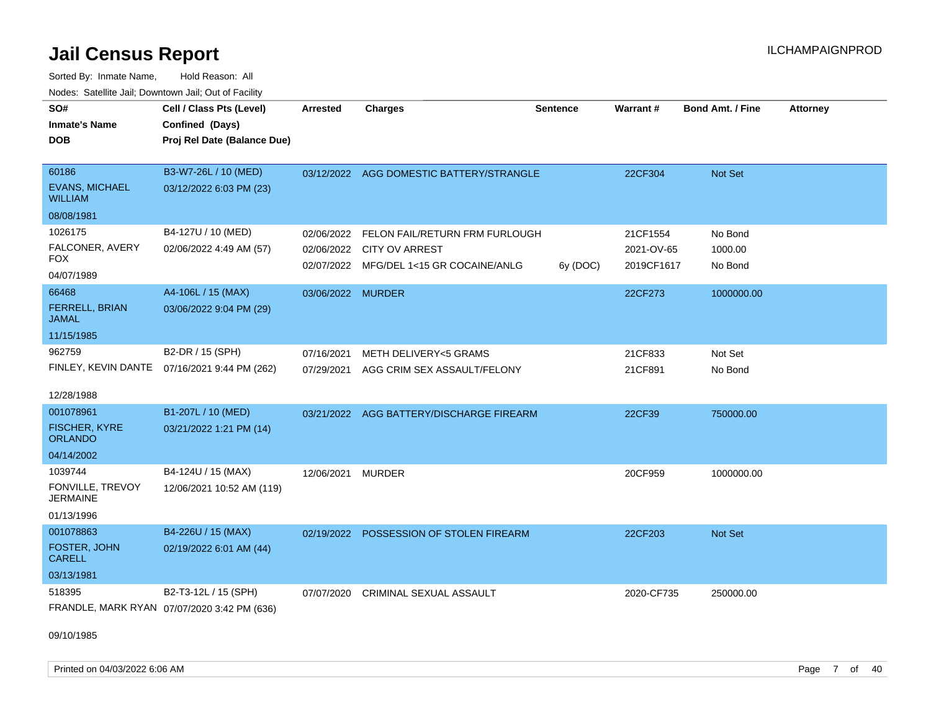Sorted By: Inmate Name, Hold Reason: All Nodes: Satellite Jail; Downtown Jail; Out of Facility

| SO#<br><b>Inmate's Name</b><br><b>DOB</b> | Cell / Class Pts (Level)<br>Confined (Days)<br>Proj Rel Date (Balance Due) | <b>Arrested</b>   | <b>Charges</b>                           | <b>Sentence</b> | <b>Warrant#</b> | <b>Bond Amt. / Fine</b> | <b>Attorney</b> |
|-------------------------------------------|----------------------------------------------------------------------------|-------------------|------------------------------------------|-----------------|-----------------|-------------------------|-----------------|
| 60186<br><b>EVANS, MICHAEL</b>            | B3-W7-26L / 10 (MED)                                                       |                   | 03/12/2022 AGG DOMESTIC BATTERY/STRANGLE |                 | 22CF304         | Not Set                 |                 |
| <b>WILLIAM</b>                            | 03/12/2022 6:03 PM (23)                                                    |                   |                                          |                 |                 |                         |                 |
| 08/08/1981                                |                                                                            |                   |                                          |                 |                 |                         |                 |
| 1026175                                   | B4-127U / 10 (MED)                                                         | 02/06/2022        | FELON FAIL/RETURN FRM FURLOUGH           |                 | 21CF1554        | No Bond                 |                 |
| FALCONER, AVERY                           | 02/06/2022 4:49 AM (57)                                                    |                   | 02/06/2022 CITY OV ARREST                |                 | 2021-OV-65      | 1000.00                 |                 |
| FOX<br>04/07/1989                         |                                                                            |                   | 02/07/2022 MFG/DEL 1<15 GR COCAINE/ANLG  | 6y (DOC)        | 2019CF1617      | No Bond                 |                 |
| 66468                                     | A4-106L / 15 (MAX)                                                         | 03/06/2022 MURDER |                                          |                 | 22CF273         | 1000000.00              |                 |
| FERRELL, BRIAN<br><b>JAMAL</b>            | 03/06/2022 9:04 PM (29)                                                    |                   |                                          |                 |                 |                         |                 |
| 11/15/1985                                |                                                                            |                   |                                          |                 |                 |                         |                 |
| 962759                                    | B2-DR / 15 (SPH)                                                           | 07/16/2021        | <b>METH DELIVERY&lt;5 GRAMS</b>          |                 | 21CF833         | Not Set                 |                 |
| FINLEY, KEVIN DANTE                       | 07/16/2021 9:44 PM (262)                                                   | 07/29/2021        | AGG CRIM SEX ASSAULT/FELONY              |                 | 21CF891         | No Bond                 |                 |
| 12/28/1988                                |                                                                            |                   |                                          |                 |                 |                         |                 |
| 001078961                                 | B1-207L / 10 (MED)                                                         | 03/21/2022        | AGG BATTERY/DISCHARGE FIREARM            |                 | 22CF39          | 750000.00               |                 |
| FISCHER, KYRE<br><b>ORLANDO</b>           | 03/21/2022 1:21 PM (14)                                                    |                   |                                          |                 |                 |                         |                 |
| 04/14/2002                                |                                                                            |                   |                                          |                 |                 |                         |                 |
| 1039744                                   | B4-124U / 15 (MAX)                                                         | 12/06/2021        | <b>MURDER</b>                            |                 | 20CF959         | 1000000.00              |                 |
| FONVILLE, TREVOY<br><b>JERMAINE</b>       | 12/06/2021 10:52 AM (119)                                                  |                   |                                          |                 |                 |                         |                 |
| 01/13/1996                                |                                                                            |                   |                                          |                 |                 |                         |                 |
| 001078863                                 | B4-226U / 15 (MAX)                                                         | 02/19/2022        | POSSESSION OF STOLEN FIREARM             |                 | 22CF203         | <b>Not Set</b>          |                 |
| <b>FOSTER, JOHN</b><br><b>CARELL</b>      | 02/19/2022 6:01 AM (44)                                                    |                   |                                          |                 |                 |                         |                 |
| 03/13/1981                                |                                                                            |                   |                                          |                 |                 |                         |                 |
| 518395                                    | B2-T3-12L / 15 (SPH)                                                       | 07/07/2020        | CRIMINAL SEXUAL ASSAULT                  |                 | 2020-CF735      | 250000.00               |                 |
|                                           | FRANDLE, MARK RYAN 07/07/2020 3:42 PM (636)                                |                   |                                          |                 |                 |                         |                 |

09/10/1985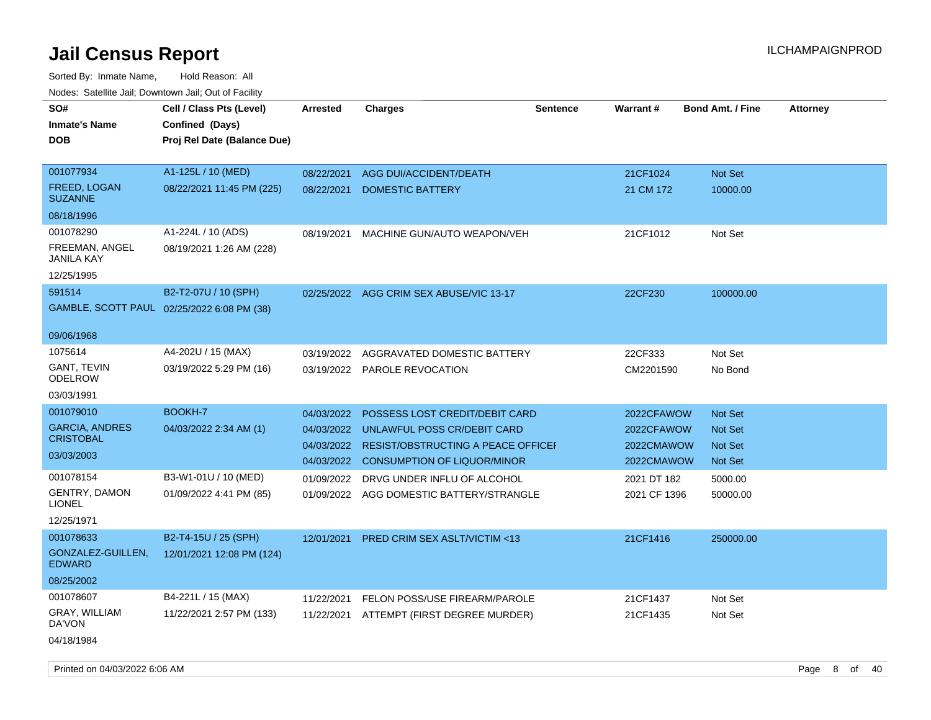| SO#                                        | Cell / Class Pts (Level)                       | <b>Arrested</b> | <b>Charges</b>                            | <b>Sentence</b> | Warrant#     | <b>Bond Amt. / Fine</b> | <b>Attorney</b> |
|--------------------------------------------|------------------------------------------------|-----------------|-------------------------------------------|-----------------|--------------|-------------------------|-----------------|
| <b>Inmate's Name</b><br><b>DOB</b>         | Confined (Days)<br>Proj Rel Date (Balance Due) |                 |                                           |                 |              |                         |                 |
| 001077934                                  | A1-125L / 10 (MED)                             | 08/22/2021      | <b>AGG DUI/ACCIDENT/DEATH</b>             |                 | 21CF1024     | Not Set                 |                 |
| FREED, LOGAN<br><b>SUZANNE</b>             | 08/22/2021 11:45 PM (225)                      | 08/22/2021      | <b>DOMESTIC BATTERY</b>                   |                 | 21 CM 172    | 10000.00                |                 |
| 08/18/1996                                 |                                                |                 |                                           |                 |              |                         |                 |
| 001078290                                  | A1-224L / 10 (ADS)                             | 08/19/2021      | MACHINE GUN/AUTO WEAPON/VEH               |                 | 21CF1012     | Not Set                 |                 |
| FREEMAN, ANGEL<br><b>JANILA KAY</b>        | 08/19/2021 1:26 AM (228)                       |                 |                                           |                 |              |                         |                 |
| 12/25/1995                                 |                                                |                 |                                           |                 |              |                         |                 |
| 591514                                     | B2-T2-07U / 10 (SPH)                           | 02/25/2022      | AGG CRIM SEX ABUSE/VIC 13-17              |                 | 22CF230      | 100000.00               |                 |
| GAMBLE, SCOTT PAUL 02/25/2022 6:08 PM (38) |                                                |                 |                                           |                 |              |                         |                 |
| 09/06/1968                                 |                                                |                 |                                           |                 |              |                         |                 |
| 1075614                                    | A4-202U / 15 (MAX)                             | 03/19/2022      | AGGRAVATED DOMESTIC BATTERY               |                 | 22CF333      | Not Set                 |                 |
| <b>GANT, TEVIN</b><br><b>ODELROW</b>       | 03/19/2022 5:29 PM (16)                        | 03/19/2022      | PAROLE REVOCATION                         |                 | CM2201590    | No Bond                 |                 |
| 03/03/1991                                 |                                                |                 |                                           |                 |              |                         |                 |
| 001079010                                  | BOOKH-7                                        | 04/03/2022      | POSSESS LOST CREDIT/DEBIT CARD            |                 | 2022CFAWOW   | <b>Not Set</b>          |                 |
| <b>GARCIA, ANDRES</b>                      | 04/03/2022 2:34 AM (1)                         | 04/03/2022      | UNLAWFUL POSS CR/DEBIT CARD               |                 | 2022CFAWOW   | <b>Not Set</b>          |                 |
| <b>CRISTOBAL</b>                           |                                                | 04/03/2022      | <b>RESIST/OBSTRUCTING A PEACE OFFICEF</b> |                 | 2022CMAWOW   | Not Set                 |                 |
| 03/03/2003                                 |                                                | 04/03/2022      | <b>CONSUMPTION OF LIQUOR/MINOR</b>        |                 | 2022CMAWOW   | Not Set                 |                 |
| 001078154                                  | B3-W1-01U / 10 (MED)                           | 01/09/2022      | DRVG UNDER INFLU OF ALCOHOL               |                 | 2021 DT 182  | 5000.00                 |                 |
| GENTRY, DAMON<br><b>LIONEL</b>             | 01/09/2022 4:41 PM (85)                        | 01/09/2022      | AGG DOMESTIC BATTERY/STRANGLE             |                 | 2021 CF 1396 | 50000.00                |                 |
| 12/25/1971                                 |                                                |                 |                                           |                 |              |                         |                 |
| 001078633                                  | B2-T4-15U / 25 (SPH)                           | 12/01/2021      | <b>PRED CRIM SEX ASLT/VICTIM &lt;13</b>   |                 | 21CF1416     | 250000.00               |                 |
| GONZALEZ-GUILLEN,<br><b>EDWARD</b>         | 12/01/2021 12:08 PM (124)                      |                 |                                           |                 |              |                         |                 |
| 08/25/2002                                 |                                                |                 |                                           |                 |              |                         |                 |
| 001078607                                  | B4-221L / 15 (MAX)                             | 11/22/2021      | FELON POSS/USE FIREARM/PAROLE             |                 | 21CF1437     | Not Set                 |                 |
| GRAY, WILLIAM<br>DA'VON                    | 11/22/2021 2:57 PM (133)                       | 11/22/2021      | ATTEMPT (FIRST DEGREE MURDER)             |                 | 21CF1435     | Not Set                 |                 |
| 04/18/1984                                 |                                                |                 |                                           |                 |              |                         |                 |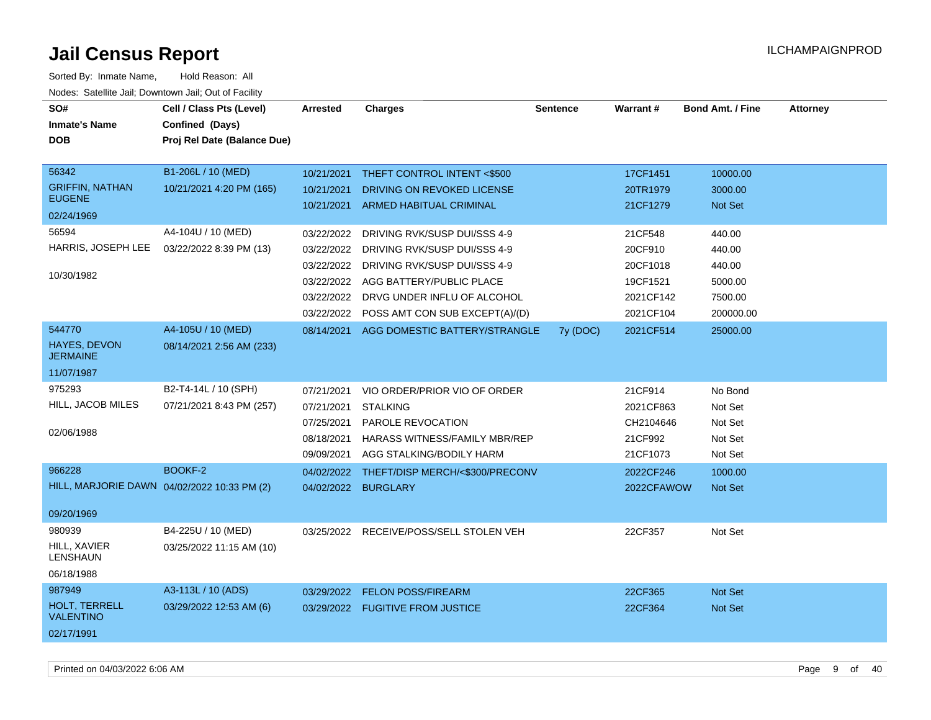| SO#<br><b>Inmate's Name</b><br><b>DOB</b>                                                          | Cell / Class Pts (Level)<br>Confined (Days)<br>Proj Rel Date (Balance Due) | <b>Arrested</b>                                                                                | <b>Charges</b>                                                                                                                                                                                                  | <b>Sentence</b> | <b>Warrant#</b>                                                                     | <b>Bond Amt. / Fine</b>                                                   | <b>Attorney</b> |
|----------------------------------------------------------------------------------------------------|----------------------------------------------------------------------------|------------------------------------------------------------------------------------------------|-----------------------------------------------------------------------------------------------------------------------------------------------------------------------------------------------------------------|-----------------|-------------------------------------------------------------------------------------|---------------------------------------------------------------------------|-----------------|
| 56342<br><b>GRIFFIN, NATHAN</b><br><b>EUGENE</b><br>02/24/1969                                     | B1-206L / 10 (MED)<br>10/21/2021 4:20 PM (165)                             | 10/21/2021<br>10/21/2021<br>10/21/2021                                                         | THEFT CONTROL INTENT <\$500<br>DRIVING ON REVOKED LICENSE<br>ARMED HABITUAL CRIMINAL                                                                                                                            |                 | 17CF1451<br>20TR1979<br>21CF1279                                                    | 10000.00<br>3000.00<br>Not Set                                            |                 |
| 56594<br>HARRIS, JOSEPH LEE<br>10/30/1982                                                          | A4-104U / 10 (MED)<br>03/22/2022 8:39 PM (13)                              | 03/22/2022<br>03/22/2022<br>03/22/2022<br>03/22/2022                                           | DRIVING RVK/SUSP DUI/SSS 4-9<br>DRIVING RVK/SUSP DUI/SSS 4-9<br>03/22/2022 DRIVING RVK/SUSP DUI/SSS 4-9<br>AGG BATTERY/PUBLIC PLACE<br>DRVG UNDER INFLU OF ALCOHOL<br>03/22/2022 POSS AMT CON SUB EXCEPT(A)/(D) |                 | 21CF548<br>20CF910<br>20CF1018<br>19CF1521<br>2021CF142<br>2021CF104                | 440.00<br>440.00<br>440.00<br>5000.00<br>7500.00<br>200000.00             |                 |
| 544770<br><b>HAYES, DEVON</b><br><b>JERMAINE</b><br>11/07/1987                                     | A4-105U / 10 (MED)<br>08/14/2021 2:56 AM (233)                             |                                                                                                | 08/14/2021 AGG DOMESTIC BATTERY/STRANGLE                                                                                                                                                                        | 7y (DOC)        | 2021CF514                                                                           | 25000.00                                                                  |                 |
| 975293<br>HILL, JACOB MILES<br>02/06/1988<br>966228<br>HILL, MARJORIE DAWN 04/02/2022 10:33 PM (2) | B2-T4-14L / 10 (SPH)<br>07/21/2021 8:43 PM (257)<br>BOOKF-2                | 07/21/2021<br>07/21/2021<br>07/25/2021<br>08/18/2021<br>09/09/2021<br>04/02/2022<br>04/02/2022 | VIO ORDER/PRIOR VIO OF ORDER<br><b>STALKING</b><br>PAROLE REVOCATION<br>HARASS WITNESS/FAMILY MBR/REP<br>AGG STALKING/BODILY HARM<br>THEFT/DISP MERCH/<\$300/PRECONV<br><b>BURGLARY</b>                         |                 | 21CF914<br>2021CF863<br>CH2104646<br>21CF992<br>21CF1073<br>2022CF246<br>2022CFAWOW | No Bond<br>Not Set<br>Not Set<br>Not Set<br>Not Set<br>1000.00<br>Not Set |                 |
| 09/20/1969<br>980939<br>HILL, XAVIER<br><b>LENSHAUN</b><br>06/18/1988                              | B4-225U / 10 (MED)<br>03/25/2022 11:15 AM (10)                             |                                                                                                | 03/25/2022 RECEIVE/POSS/SELL STOLEN VEH                                                                                                                                                                         |                 | 22CF357                                                                             | Not Set                                                                   |                 |
| 987949<br>HOLT, TERRELL<br><b>VALENTINO</b><br>02/17/1991                                          | A3-113L / 10 (ADS)<br>03/29/2022 12:53 AM (6)                              | 03/29/2022                                                                                     | <b>FELON POSS/FIREARM</b><br>03/29/2022 FUGITIVE FROM JUSTICE                                                                                                                                                   |                 | 22CF365<br>22CF364                                                                  | Not Set<br>Not Set                                                        |                 |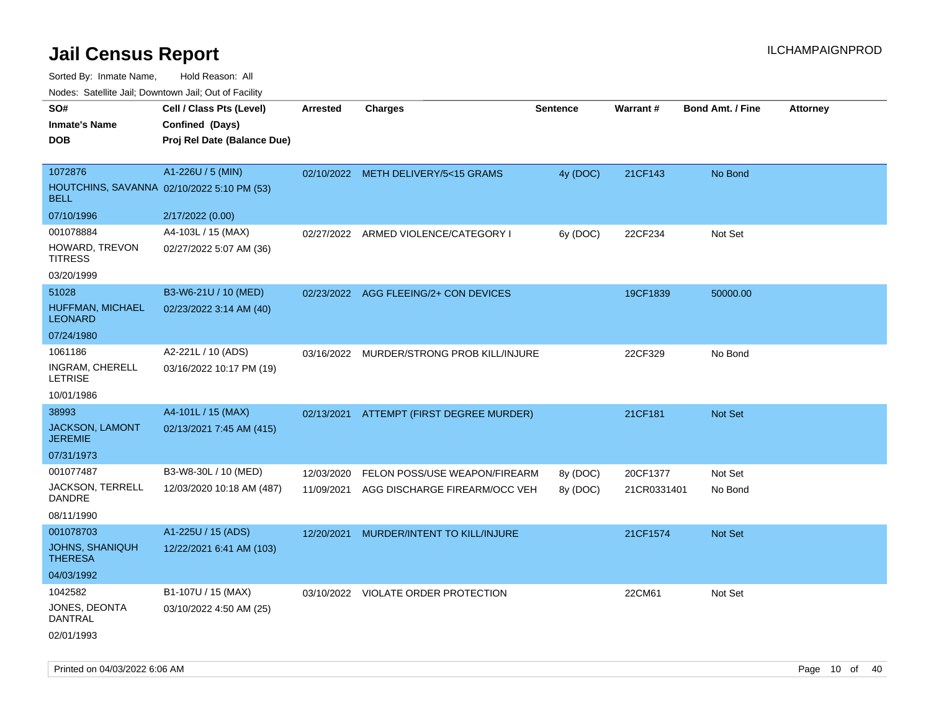Sorted By: Inmate Name, Hold Reason: All

Nodes: Satellite Jail; Downtown Jail; Out of Facility

| SO#<br><b>Inmate's Name</b><br><b>DOB</b>                            | Cell / Class Pts (Level)<br>Confined (Days)<br>Proj Rel Date (Balance Due) | <b>Arrested</b> | <b>Charges</b>                            | <b>Sentence</b> | <b>Warrant#</b> | <b>Bond Amt. / Fine</b> | <b>Attorney</b> |
|----------------------------------------------------------------------|----------------------------------------------------------------------------|-----------------|-------------------------------------------|-----------------|-----------------|-------------------------|-----------------|
| 1072876<br>HOUTCHINS, SAVANNA 02/10/2022 5:10 PM (53)<br><b>BELL</b> | A1-226U / 5 (MIN)                                                          |                 | 02/10/2022 METH DELIVERY/5<15 GRAMS       | 4y (DOC)        | 21CF143         | No Bond                 |                 |
| 07/10/1996                                                           | 2/17/2022 (0.00)                                                           |                 |                                           |                 |                 |                         |                 |
| 001078884<br>HOWARD, TREVON<br><b>TITRESS</b><br>03/20/1999          | A4-103L / 15 (MAX)<br>02/27/2022 5:07 AM (36)                              |                 | 02/27/2022 ARMED VIOLENCE/CATEGORY I      | 6y (DOC)        | 22CF234         | Not Set                 |                 |
| 51028<br>HUFFMAN, MICHAEL<br><b>LEONARD</b>                          | B3-W6-21U / 10 (MED)<br>02/23/2022 3:14 AM (40)                            |                 | 02/23/2022 AGG FLEEING/2+ CON DEVICES     |                 | 19CF1839        | 50000.00                |                 |
| 07/24/1980                                                           |                                                                            |                 |                                           |                 |                 |                         |                 |
| 1061186<br>INGRAM, CHERELL<br><b>LETRISE</b>                         | A2-221L / 10 (ADS)<br>03/16/2022 10:17 PM (19)                             |                 | 03/16/2022 MURDER/STRONG PROB KILL/INJURE |                 | 22CF329         | No Bond                 |                 |
| 10/01/1986                                                           |                                                                            |                 |                                           |                 |                 |                         |                 |
| 38993<br>JACKSON, LAMONT<br><b>JEREMIE</b><br>07/31/1973             | A4-101L / 15 (MAX)<br>02/13/2021 7:45 AM (415)                             |                 | 02/13/2021 ATTEMPT (FIRST DEGREE MURDER)  |                 | 21CF181         | Not Set                 |                 |
| 001077487                                                            | B3-W8-30L / 10 (MED)                                                       | 12/03/2020      | FELON POSS/USE WEAPON/FIREARM             | 8y (DOC)        | 20CF1377        | Not Set                 |                 |
| JACKSON, TERRELL<br><b>DANDRE</b><br>08/11/1990                      | 12/03/2020 10:18 AM (487)                                                  | 11/09/2021      | AGG DISCHARGE FIREARM/OCC VEH             | 8y (DOC)        | 21CR0331401     | No Bond                 |                 |
| 001078703<br>JOHNS, SHANIQUH<br><b>THERESA</b><br>04/03/1992         | A1-225U / 15 (ADS)<br>12/22/2021 6:41 AM (103)                             | 12/20/2021      | MURDER/INTENT TO KILL/INJURE              |                 | 21CF1574        | <b>Not Set</b>          |                 |
| 1042582<br>JONES, DEONTA<br><b>DANTRAL</b><br>02/01/1993             | B1-107U / 15 (MAX)<br>03/10/2022 4:50 AM (25)                              |                 | 03/10/2022 VIOLATE ORDER PROTECTION       |                 | 22CM61          | Not Set                 |                 |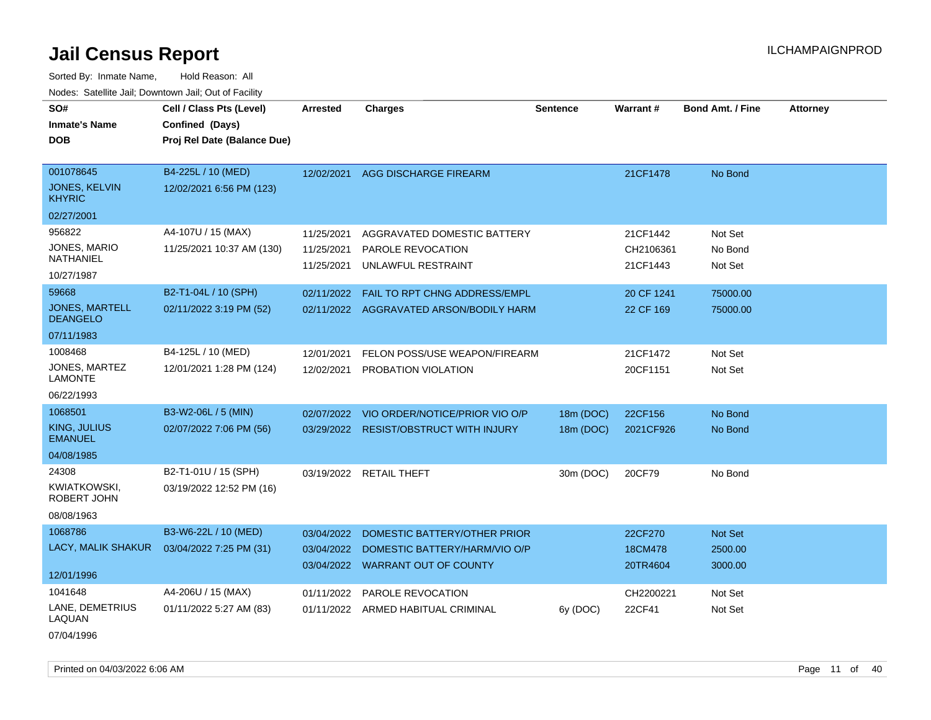Sorted By: Inmate Name, Hold Reason: All Nodes: Satellite Jail; Downtown Jail; Out of Facility

| SO#                                      |                             |                 |                                         |                 |                 |                         |                 |
|------------------------------------------|-----------------------------|-----------------|-----------------------------------------|-----------------|-----------------|-------------------------|-----------------|
|                                          | Cell / Class Pts (Level)    | <b>Arrested</b> | <b>Charges</b>                          | <b>Sentence</b> | <b>Warrant#</b> | <b>Bond Amt. / Fine</b> | <b>Attorney</b> |
| <b>Inmate's Name</b>                     | Confined (Days)             |                 |                                         |                 |                 |                         |                 |
| <b>DOB</b>                               | Proj Rel Date (Balance Due) |                 |                                         |                 |                 |                         |                 |
| 001078645                                | B4-225L / 10 (MED)          |                 |                                         |                 |                 |                         |                 |
|                                          |                             | 12/02/2021      | <b>AGG DISCHARGE FIREARM</b>            |                 | 21CF1478        | No Bond                 |                 |
| <b>JONES, KELVIN</b><br><b>KHYRIC</b>    | 12/02/2021 6:56 PM (123)    |                 |                                         |                 |                 |                         |                 |
| 02/27/2001                               |                             |                 |                                         |                 |                 |                         |                 |
| 956822                                   | A4-107U / 15 (MAX)          | 11/25/2021      | AGGRAVATED DOMESTIC BATTERY             |                 | 21CF1442        | Not Set                 |                 |
| JONES, MARIO                             | 11/25/2021 10:37 AM (130)   | 11/25/2021      | PAROLE REVOCATION                       |                 | CH2106361       | No Bond                 |                 |
| <b>NATHANIEL</b>                         |                             | 11/25/2021      | UNLAWFUL RESTRAINT                      |                 | 21CF1443        | Not Set                 |                 |
| 10/27/1987                               |                             |                 |                                         |                 |                 |                         |                 |
| 59668                                    | B2-T1-04L / 10 (SPH)        | 02/11/2022      | FAIL TO RPT CHNG ADDRESS/EMPL           |                 | 20 CF 1241      | 75000.00                |                 |
| <b>JONES, MARTELL</b><br><b>DEANGELO</b> | 02/11/2022 3:19 PM (52)     |                 | 02/11/2022 AGGRAVATED ARSON/BODILY HARM |                 | 22 CF 169       | 75000.00                |                 |
| 07/11/1983                               |                             |                 |                                         |                 |                 |                         |                 |
| 1008468                                  | B4-125L / 10 (MED)          | 12/01/2021      | FELON POSS/USE WEAPON/FIREARM           |                 | 21CF1472        | Not Set                 |                 |
| JONES, MARTEZ<br><b>LAMONTE</b>          | 12/01/2021 1:28 PM (124)    | 12/02/2021      | PROBATION VIOLATION                     |                 | 20CF1151        | Not Set                 |                 |
| 06/22/1993                               |                             |                 |                                         |                 |                 |                         |                 |
| 1068501                                  | B3-W2-06L / 5 (MIN)         | 02/07/2022      | VIO ORDER/NOTICE/PRIOR VIO O/P          | 18m (DOC)       | 22CF156         | No Bond                 |                 |
| <b>KING, JULIUS</b><br><b>EMANUEL</b>    | 02/07/2022 7:06 PM (56)     |                 | 03/29/2022 RESIST/OBSTRUCT WITH INJURY  | 18m (DOC)       | 2021CF926       | No Bond                 |                 |
| 04/08/1985                               |                             |                 |                                         |                 |                 |                         |                 |
| 24308                                    | B2-T1-01U / 15 (SPH)        |                 | 03/19/2022 RETAIL THEFT                 | 30m (DOC)       | 20CF79          | No Bond                 |                 |
| <b>KWIATKOWSKI,</b><br>ROBERT JOHN       | 03/19/2022 12:52 PM (16)    |                 |                                         |                 |                 |                         |                 |
| 08/08/1963                               |                             |                 |                                         |                 |                 |                         |                 |
| 1068786                                  | B3-W6-22L / 10 (MED)        | 03/04/2022      | DOMESTIC BATTERY/OTHER PRIOR            |                 | 22CF270         | Not Set                 |                 |
| LACY, MALIK SHAKUR                       | 03/04/2022 7:25 PM (31)     | 03/04/2022      | DOMESTIC BATTERY/HARM/VIO O/P           |                 | 18CM478         | 2500.00                 |                 |
|                                          |                             |                 | 03/04/2022 WARRANT OUT OF COUNTY        |                 | 20TR4604        | 3000.00                 |                 |
| 12/01/1996                               |                             |                 |                                         |                 |                 |                         |                 |
| 1041648                                  | A4-206U / 15 (MAX)          | 01/11/2022      | <b>PAROLE REVOCATION</b>                |                 | CH2200221       | Not Set                 |                 |
| LANE, DEMETRIUS<br>LAQUAN                | 01/11/2022 5:27 AM (83)     |                 | 01/11/2022 ARMED HABITUAL CRIMINAL      | 6y (DOC)        | 22CF41          | Not Set                 |                 |
| 07/04/1996                               |                             |                 |                                         |                 |                 |                         |                 |

Printed on 04/03/2022 6:06 AM Page 11 of 40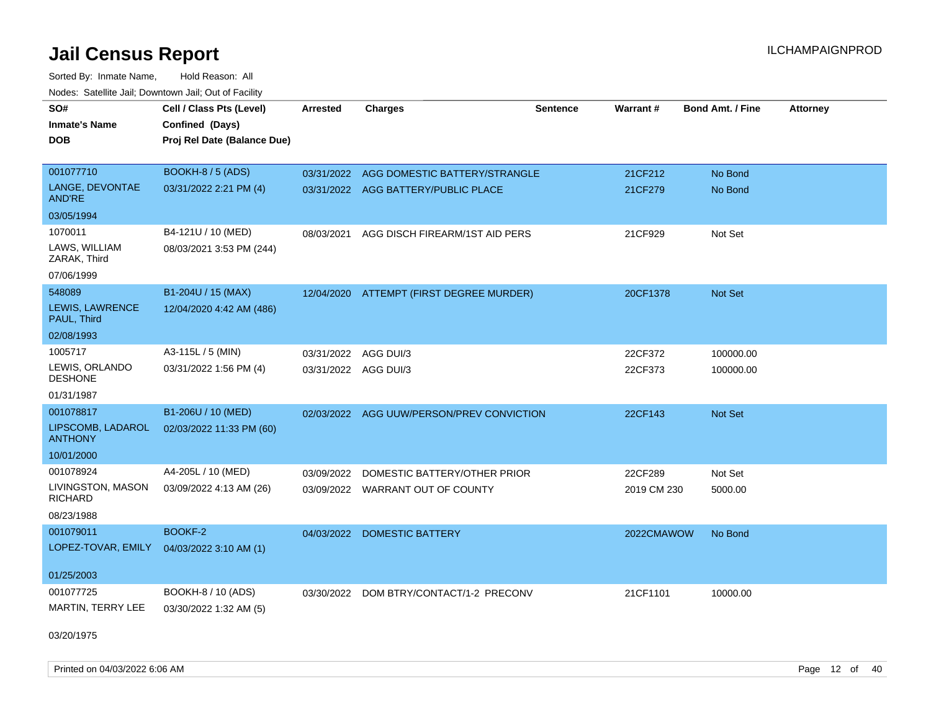Sorted By: Inmate Name, Hold Reason: All Nodes: Satellite Jail; Downtown Jail; Out of Facility

| <b>NOULD:</b> Catoline can, Downtown can, Out of Fability |                             |                      |                                          |                 |             |                         |                 |
|-----------------------------------------------------------|-----------------------------|----------------------|------------------------------------------|-----------------|-------------|-------------------------|-----------------|
| SO#                                                       | Cell / Class Pts (Level)    | <b>Arrested</b>      | <b>Charges</b>                           | <b>Sentence</b> | Warrant#    | <b>Bond Amt. / Fine</b> | <b>Attorney</b> |
| <b>Inmate's Name</b>                                      | Confined (Days)             |                      |                                          |                 |             |                         |                 |
| <b>DOB</b>                                                | Proj Rel Date (Balance Due) |                      |                                          |                 |             |                         |                 |
|                                                           |                             |                      |                                          |                 |             |                         |                 |
| 001077710                                                 | BOOKH-8 / 5 (ADS)           | 03/31/2022           | AGG DOMESTIC BATTERY/STRANGLE            |                 | 21CF212     | No Bond                 |                 |
| LANGE, DEVONTAE<br>AND'RE                                 | 03/31/2022 2:21 PM (4)      |                      | 03/31/2022 AGG BATTERY/PUBLIC PLACE      |                 | 21CF279     | No Bond                 |                 |
| 03/05/1994                                                |                             |                      |                                          |                 |             |                         |                 |
| 1070011                                                   | B4-121U / 10 (MED)          | 08/03/2021           | AGG DISCH FIREARM/1ST AID PERS           |                 | 21CF929     | Not Set                 |                 |
| LAWS, WILLIAM<br>ZARAK, Third                             | 08/03/2021 3:53 PM (244)    |                      |                                          |                 |             |                         |                 |
| 07/06/1999                                                |                             |                      |                                          |                 |             |                         |                 |
| 548089                                                    | B1-204U / 15 (MAX)          |                      | 12/04/2020 ATTEMPT (FIRST DEGREE MURDER) |                 | 20CF1378    | Not Set                 |                 |
| LEWIS, LAWRENCE<br>PAUL, Third                            | 12/04/2020 4:42 AM (486)    |                      |                                          |                 |             |                         |                 |
| 02/08/1993                                                |                             |                      |                                          |                 |             |                         |                 |
| 1005717                                                   | A3-115L / 5 (MIN)           | 03/31/2022           | AGG DUI/3                                |                 | 22CF372     | 100000.00               |                 |
| LEWIS, ORLANDO<br><b>DESHONE</b>                          | 03/31/2022 1:56 PM (4)      | 03/31/2022 AGG DUI/3 |                                          |                 | 22CF373     | 100000.00               |                 |
| 01/31/1987                                                |                             |                      |                                          |                 |             |                         |                 |
| 001078817                                                 | B1-206U / 10 (MED)          | 02/03/2022           | AGG UUW/PERSON/PREV CONVICTION           |                 | 22CF143     | <b>Not Set</b>          |                 |
| LIPSCOMB, LADAROL<br><b>ANTHONY</b>                       | 02/03/2022 11:33 PM (60)    |                      |                                          |                 |             |                         |                 |
| 10/01/2000                                                |                             |                      |                                          |                 |             |                         |                 |
| 001078924                                                 | A4-205L / 10 (MED)          | 03/09/2022           | DOMESTIC BATTERY/OTHER PRIOR             |                 | 22CF289     | Not Set                 |                 |
| LIVINGSTON, MASON<br><b>RICHARD</b>                       | 03/09/2022 4:13 AM (26)     |                      | 03/09/2022 WARRANT OUT OF COUNTY         |                 | 2019 CM 230 | 5000.00                 |                 |
| 08/23/1988                                                |                             |                      |                                          |                 |             |                         |                 |
| 001079011                                                 | BOOKF-2                     |                      | 04/03/2022 DOMESTIC BATTERY              |                 | 2022CMAWOW  | No Bond                 |                 |
| LOPEZ-TOVAR, EMILY                                        | 04/03/2022 3:10 AM (1)      |                      |                                          |                 |             |                         |                 |
|                                                           |                             |                      |                                          |                 |             |                         |                 |
| 01/25/2003                                                |                             |                      |                                          |                 |             |                         |                 |
| 001077725                                                 | BOOKH-8 / 10 (ADS)          | 03/30/2022           | DOM BTRY/CONTACT/1-2 PRECONV             |                 | 21CF1101    | 10000.00                |                 |
| MARTIN, TERRY LEE                                         | 03/30/2022 1:32 AM (5)      |                      |                                          |                 |             |                         |                 |
|                                                           |                             |                      |                                          |                 |             |                         |                 |

03/20/1975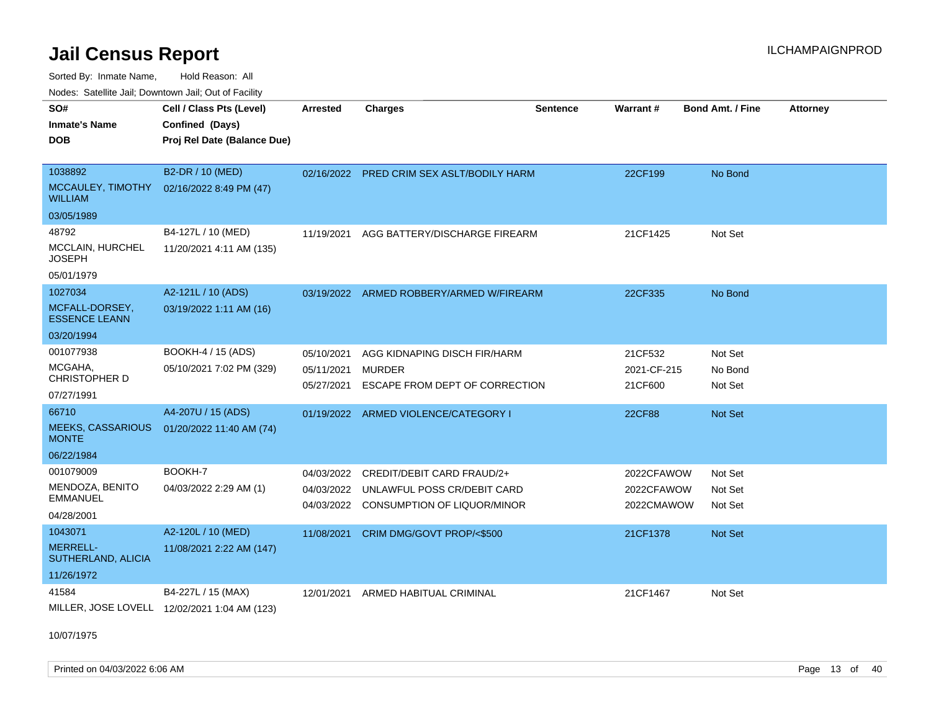Sorted By: Inmate Name, Hold Reason: All

|  | Nodes: Satellite Jail; Downtown Jail; Out of Facility |  |  |  |
|--|-------------------------------------------------------|--|--|--|
|--|-------------------------------------------------------|--|--|--|

| SO#<br><b>Inmate's Name</b>              | Cell / Class Pts (Level)<br>Confined (Days)  | <b>Arrested</b> | <b>Charges</b>                            | <b>Sentence</b> | <b>Warrant#</b> | <b>Bond Amt. / Fine</b> | <b>Attorney</b> |
|------------------------------------------|----------------------------------------------|-----------------|-------------------------------------------|-----------------|-----------------|-------------------------|-----------------|
| <b>DOB</b>                               | Proj Rel Date (Balance Due)                  |                 |                                           |                 |                 |                         |                 |
| 1038892                                  | B2-DR / 10 (MED)                             |                 | 02/16/2022 PRED CRIM SEX ASLT/BODILY HARM |                 | 22CF199         | No Bond                 |                 |
| MCCAULEY, TIMOTHY<br><b>WILLIAM</b>      | 02/16/2022 8:49 PM (47)                      |                 |                                           |                 |                 |                         |                 |
| 03/05/1989                               |                                              |                 |                                           |                 |                 |                         |                 |
| 48792                                    | B4-127L / 10 (MED)                           |                 | 11/19/2021 AGG BATTERY/DISCHARGE FIREARM  |                 | 21CF1425        | Not Set                 |                 |
| MCCLAIN, HURCHEL<br><b>JOSEPH</b>        | 11/20/2021 4:11 AM (135)                     |                 |                                           |                 |                 |                         |                 |
| 05/01/1979                               |                                              |                 |                                           |                 |                 |                         |                 |
| 1027034                                  | A2-121L / 10 (ADS)                           | 03/19/2022      | ARMED ROBBERY/ARMED W/FIREARM             |                 | 22CF335         | No Bond                 |                 |
| MCFALL-DORSEY,<br><b>ESSENCE LEANN</b>   | 03/19/2022 1:11 AM (16)                      |                 |                                           |                 |                 |                         |                 |
| 03/20/1994                               |                                              |                 |                                           |                 |                 |                         |                 |
| 001077938                                | BOOKH-4 / 15 (ADS)                           | 05/10/2021      | AGG KIDNAPING DISCH FIR/HARM              |                 | 21CF532         | Not Set                 |                 |
| MCGAHA,                                  | 05/10/2021 7:02 PM (329)                     | 05/11/2021      | <b>MURDER</b>                             |                 | 2021-CF-215     | No Bond                 |                 |
| <b>CHRISTOPHER D</b>                     |                                              | 05/27/2021      | ESCAPE FROM DEPT OF CORRECTION            |                 | 21CF600         | Not Set                 |                 |
| 07/27/1991                               |                                              |                 |                                           |                 |                 |                         |                 |
| 66710                                    | A4-207U / 15 (ADS)                           |                 | 01/19/2022 ARMED VIOLENCE/CATEGORY I      |                 | 22CF88          | Not Set                 |                 |
| <b>MEEKS, CASSARIOUS</b><br><b>MONTE</b> | 01/20/2022 11:40 AM (74)                     |                 |                                           |                 |                 |                         |                 |
| 06/22/1984                               |                                              |                 |                                           |                 |                 |                         |                 |
| 001079009                                | BOOKH-7                                      | 04/03/2022      | CREDIT/DEBIT CARD FRAUD/2+                |                 | 2022CFAWOW      | Not Set                 |                 |
| MENDOZA, BENITO                          | 04/03/2022 2:29 AM (1)                       |                 | 04/03/2022 UNLAWFUL POSS CR/DEBIT CARD    |                 | 2022CFAWOW      | Not Set                 |                 |
| <b>EMMANUEL</b>                          |                                              | 04/03/2022      | CONSUMPTION OF LIQUOR/MINOR               |                 | 2022CMAWOW      | Not Set                 |                 |
| 04/28/2001                               |                                              |                 |                                           |                 |                 |                         |                 |
| 1043071                                  | A2-120L / 10 (MED)                           | 11/08/2021      | CRIM DMG/GOVT PROP/<\$500                 |                 | 21CF1378        | Not Set                 |                 |
| MERRELL-<br>SUTHERLAND, ALICIA           | 11/08/2021 2:22 AM (147)                     |                 |                                           |                 |                 |                         |                 |
| 11/26/1972                               |                                              |                 |                                           |                 |                 |                         |                 |
| 41584                                    | B4-227L / 15 (MAX)                           | 12/01/2021      | ARMED HABITUAL CRIMINAL                   |                 | 21CF1467        | Not Set                 |                 |
|                                          | MILLER, JOSE LOVELL 12/02/2021 1:04 AM (123) |                 |                                           |                 |                 |                         |                 |

10/07/1975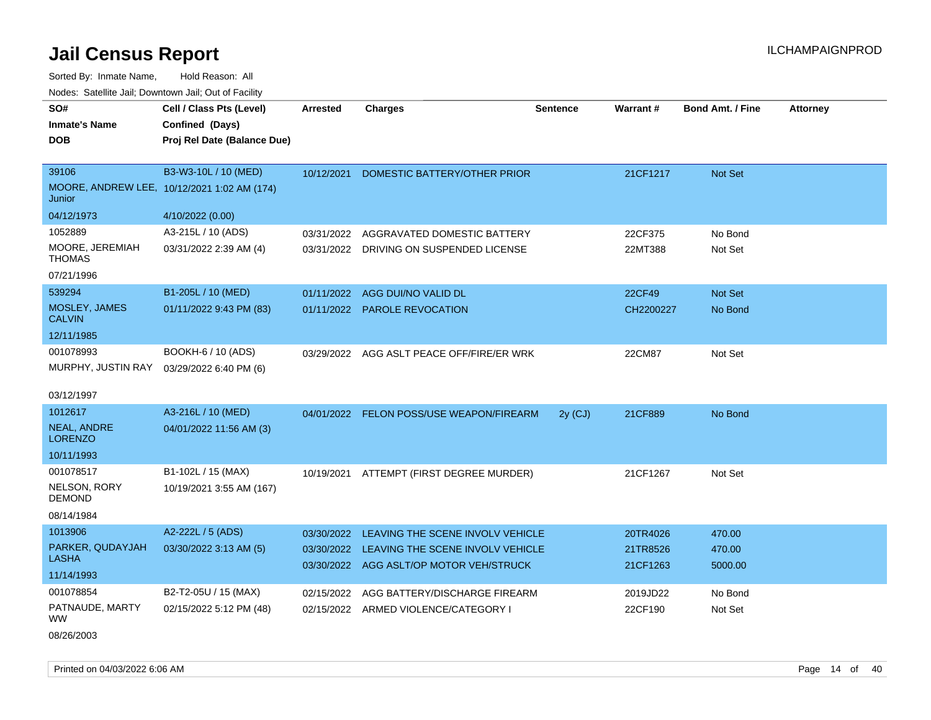Sorted By: Inmate Name, Hold Reason: All Nodes: Satellite Jail; Downtown Jail; Out of Facility

| SO#<br><b>Inmate's Name</b><br><b>DOB</b> | Cell / Class Pts (Level)<br>Confined (Days)<br>Proj Rel Date (Balance Due) | Arrested   | <b>Charges</b>                              | <b>Sentence</b> | <b>Warrant#</b> | <b>Bond Amt. / Fine</b> | <b>Attorney</b> |
|-------------------------------------------|----------------------------------------------------------------------------|------------|---------------------------------------------|-----------------|-----------------|-------------------------|-----------------|
| 39106                                     | B3-W3-10L / 10 (MED)<br>MOORE, ANDREW LEE, 10/12/2021 1:02 AM (174)        | 10/12/2021 | DOMESTIC BATTERY/OTHER PRIOR                |                 | 21CF1217        | Not Set                 |                 |
| Junior                                    |                                                                            |            |                                             |                 |                 |                         |                 |
| 04/12/1973                                | 4/10/2022 (0.00)                                                           |            |                                             |                 |                 |                         |                 |
| 1052889                                   | A3-215L / 10 (ADS)                                                         | 03/31/2022 | AGGRAVATED DOMESTIC BATTERY                 |                 | 22CF375         | No Bond                 |                 |
| MOORE, JEREMIAH<br><b>THOMAS</b>          | 03/31/2022 2:39 AM (4)                                                     | 03/31/2022 | DRIVING ON SUSPENDED LICENSE                |                 | 22MT388         | Not Set                 |                 |
| 07/21/1996                                |                                                                            |            |                                             |                 |                 |                         |                 |
| 539294                                    | B1-205L / 10 (MED)                                                         | 01/11/2022 | AGG DUI/NO VALID DL                         |                 | 22CF49          | Not Set                 |                 |
| MOSLEY, JAMES<br><b>CALVIN</b>            | 01/11/2022 9:43 PM (83)                                                    |            | 01/11/2022 PAROLE REVOCATION                |                 | CH2200227       | No Bond                 |                 |
| 12/11/1985                                |                                                                            |            |                                             |                 |                 |                         |                 |
| 001078993                                 | BOOKH-6 / 10 (ADS)                                                         | 03/29/2022 | AGG ASLT PEACE OFF/FIRE/ER WRK              |                 | 22CM87          | Not Set                 |                 |
| MURPHY, JUSTIN RAY                        | 03/29/2022 6:40 PM (6)                                                     |            |                                             |                 |                 |                         |                 |
| 03/12/1997                                |                                                                            |            |                                             |                 |                 |                         |                 |
| 1012617                                   | A3-216L / 10 (MED)                                                         | 04/01/2022 | FELON POSS/USE WEAPON/FIREARM               | 2y(CJ)          | 21CF889         | No Bond                 |                 |
| NEAL, ANDRE<br><b>LORENZO</b>             | 04/01/2022 11:56 AM (3)                                                    |            |                                             |                 |                 |                         |                 |
| 10/11/1993                                |                                                                            |            |                                             |                 |                 |                         |                 |
| 001078517                                 | B1-102L / 15 (MAX)                                                         | 10/19/2021 | ATTEMPT (FIRST DEGREE MURDER)               |                 | 21CF1267        | Not Set                 |                 |
| NELSON, RORY<br><b>DEMOND</b>             | 10/19/2021 3:55 AM (167)                                                   |            |                                             |                 |                 |                         |                 |
| 08/14/1984                                |                                                                            |            |                                             |                 |                 |                         |                 |
| 1013906                                   | A2-222L / 5 (ADS)                                                          | 03/30/2022 | LEAVING THE SCENE INVOLV VEHICLE            |                 | 20TR4026        | 470.00                  |                 |
| PARKER, QUDAYJAH<br><b>LASHA</b>          | 03/30/2022 3:13 AM (5)                                                     |            | 03/30/2022 LEAVING THE SCENE INVOLV VEHICLE |                 | 21TR8526        | 470.00                  |                 |
| 11/14/1993                                |                                                                            |            | 03/30/2022 AGG ASLT/OP MOTOR VEH/STRUCK     |                 | 21CF1263        | 5000.00                 |                 |
| 001078854                                 | B2-T2-05U / 15 (MAX)                                                       | 02/15/2022 | AGG BATTERY/DISCHARGE FIREARM               |                 | 2019JD22        | No Bond                 |                 |
| PATNAUDE, MARTY<br><b>WW</b>              | 02/15/2022 5:12 PM (48)                                                    |            | 02/15/2022 ARMED VIOLENCE/CATEGORY I        |                 | 22CF190         | Not Set                 |                 |

08/26/2003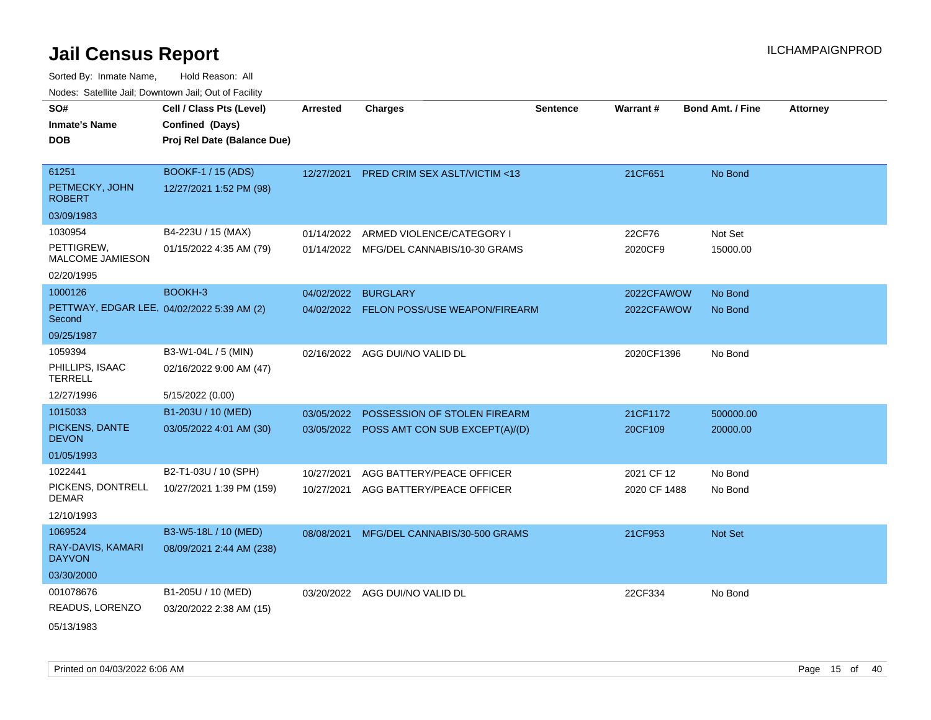| SO#                                                  | Cell / Class Pts (Level)    | <b>Arrested</b> | <b>Charges</b>                            | <b>Sentence</b> | Warrant#     | <b>Bond Amt. / Fine</b> | <b>Attorney</b> |
|------------------------------------------------------|-----------------------------|-----------------|-------------------------------------------|-----------------|--------------|-------------------------|-----------------|
| <b>Inmate's Name</b>                                 | Confined (Days)             |                 |                                           |                 |              |                         |                 |
| <b>DOB</b>                                           | Proj Rel Date (Balance Due) |                 |                                           |                 |              |                         |                 |
|                                                      |                             |                 |                                           |                 |              |                         |                 |
| 61251                                                | <b>BOOKF-1 / 15 (ADS)</b>   | 12/27/2021      | <b>PRED CRIM SEX ASLT/VICTIM &lt;13</b>   |                 | 21CF651      | No Bond                 |                 |
| PETMECKY, JOHN<br><b>ROBERT</b>                      | 12/27/2021 1:52 PM (98)     |                 |                                           |                 |              |                         |                 |
| 03/09/1983                                           |                             |                 |                                           |                 |              |                         |                 |
| 1030954                                              | B4-223U / 15 (MAX)          | 01/14/2022      | ARMED VIOLENCE/CATEGORY I                 |                 | 22CF76       | Not Set                 |                 |
| PETTIGREW,<br><b>MALCOME JAMIESON</b>                | 01/15/2022 4:35 AM (79)     |                 | 01/14/2022 MFG/DEL CANNABIS/10-30 GRAMS   |                 | 2020CF9      | 15000.00                |                 |
| 02/20/1995                                           |                             |                 |                                           |                 |              |                         |                 |
| 1000126                                              | BOOKH-3                     | 04/02/2022      | <b>BURGLARY</b>                           |                 | 2022CFAWOW   | No Bond                 |                 |
| PETTWAY, EDGAR LEE, 04/02/2022 5:39 AM (2)<br>Second |                             |                 | 04/02/2022 FELON POSS/USE WEAPON/FIREARM  |                 | 2022CFAWOW   | No Bond                 |                 |
| 09/25/1987                                           |                             |                 |                                           |                 |              |                         |                 |
| 1059394                                              | B3-W1-04L / 5 (MIN)         |                 | 02/16/2022 AGG DUI/NO VALID DL            |                 | 2020CF1396   | No Bond                 |                 |
| PHILLIPS, ISAAC<br><b>TERRELL</b>                    | 02/16/2022 9:00 AM (47)     |                 |                                           |                 |              |                         |                 |
| 12/27/1996                                           | 5/15/2022 (0.00)            |                 |                                           |                 |              |                         |                 |
| 1015033                                              | B1-203U / 10 (MED)          | 03/05/2022      | POSSESSION OF STOLEN FIREARM              |                 | 21CF1172     | 500000.00               |                 |
| PICKENS, DANTE<br><b>DEVON</b>                       | 03/05/2022 4:01 AM (30)     |                 | 03/05/2022 POSS AMT CON SUB EXCEPT(A)/(D) |                 | 20CF109      | 20000.00                |                 |
| 01/05/1993                                           |                             |                 |                                           |                 |              |                         |                 |
| 1022441                                              | B2-T1-03U / 10 (SPH)        | 10/27/2021      | AGG BATTERY/PEACE OFFICER                 |                 | 2021 CF 12   | No Bond                 |                 |
| PICKENS, DONTRELL<br><b>DEMAR</b>                    | 10/27/2021 1:39 PM (159)    | 10/27/2021      | AGG BATTERY/PEACE OFFICER                 |                 | 2020 CF 1488 | No Bond                 |                 |
| 12/10/1993                                           |                             |                 |                                           |                 |              |                         |                 |
| 1069524                                              | B3-W5-18L / 10 (MED)        | 08/08/2021      | MFG/DEL CANNABIS/30-500 GRAMS             |                 | 21CF953      | Not Set                 |                 |
| RAY-DAVIS, KAMARI<br><b>DAYVON</b>                   | 08/09/2021 2:44 AM (238)    |                 |                                           |                 |              |                         |                 |
| 03/30/2000                                           |                             |                 |                                           |                 |              |                         |                 |
| 001078676                                            | B1-205U / 10 (MED)          |                 | 03/20/2022 AGG DUI/NO VALID DL            |                 | 22CF334      | No Bond                 |                 |
| READUS, LORENZO                                      | 03/20/2022 2:38 AM (15)     |                 |                                           |                 |              |                         |                 |
| 05/13/1983                                           |                             |                 |                                           |                 |              |                         |                 |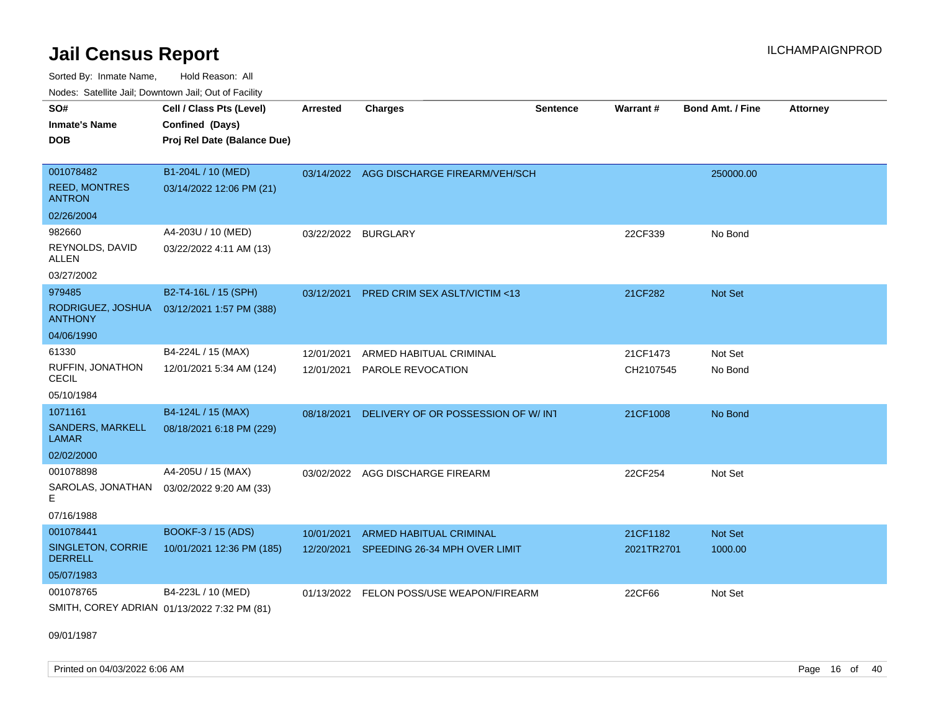Sorted By: Inmate Name, Hold Reason: All Nodes: Satellite Jail; Downtown Jail; Out of Facility

| SO#<br><b>Inmate's Name</b><br><b>DOB</b>          | Cell / Class Pts (Level)<br>Confined (Days)<br>Proj Rel Date (Balance Due) | <b>Arrested</b>     | <b>Charges</b>                           | <b>Sentence</b> | Warrant#   | <b>Bond Amt. / Fine</b> | <b>Attorney</b> |
|----------------------------------------------------|----------------------------------------------------------------------------|---------------------|------------------------------------------|-----------------|------------|-------------------------|-----------------|
| 001078482<br><b>REED, MONTRES</b><br><b>ANTRON</b> | B1-204L / 10 (MED)<br>03/14/2022 12:06 PM (21)                             |                     | 03/14/2022 AGG DISCHARGE FIREARM/VEH/SCH |                 |            | 250000.00               |                 |
| 02/26/2004                                         |                                                                            |                     |                                          |                 |            |                         |                 |
| 982660<br>REYNOLDS, DAVID<br>ALLEN<br>03/27/2002   | A4-203U / 10 (MED)<br>03/22/2022 4:11 AM (13)                              | 03/22/2022 BURGLARY |                                          |                 | 22CF339    | No Bond                 |                 |
| 979485                                             | B2-T4-16L / 15 (SPH)                                                       |                     |                                          |                 |            |                         |                 |
| RODRIGUEZ, JOSHUA<br><b>ANTHONY</b>                | 03/12/2021 1:57 PM (388)                                                   | 03/12/2021          | <b>PRED CRIM SEX ASLT/VICTIM &lt;13</b>  |                 | 21CF282    | <b>Not Set</b>          |                 |
| 04/06/1990                                         |                                                                            |                     |                                          |                 |            |                         |                 |
| 61330                                              | B4-224L / 15 (MAX)                                                         | 12/01/2021          | ARMED HABITUAL CRIMINAL                  |                 | 21CF1473   | Not Set                 |                 |
| RUFFIN, JONATHON<br><b>CECIL</b>                   | 12/01/2021 5:34 AM (124)                                                   | 12/01/2021          | PAROLE REVOCATION                        |                 | CH2107545  | No Bond                 |                 |
| 05/10/1984                                         |                                                                            |                     |                                          |                 |            |                         |                 |
| 1071161                                            | B4-124L / 15 (MAX)                                                         | 08/18/2021          | DELIVERY OF OR POSSESSION OF W/INT       |                 | 21CF1008   | No Bond                 |                 |
| <b>SANDERS, MARKELL</b><br><b>LAMAR</b>            | 08/18/2021 6:18 PM (229)                                                   |                     |                                          |                 |            |                         |                 |
| 02/02/2000                                         |                                                                            |                     |                                          |                 |            |                         |                 |
| 001078898<br>SAROLAS, JONATHAN<br>E                | A4-205U / 15 (MAX)<br>03/02/2022 9:20 AM (33)                              |                     | 03/02/2022 AGG DISCHARGE FIREARM         |                 | 22CF254    | Not Set                 |                 |
| 07/16/1988                                         |                                                                            |                     |                                          |                 |            |                         |                 |
| 001078441                                          | BOOKF-3 / 15 (ADS)                                                         | 10/01/2021          | <b>ARMED HABITUAL CRIMINAL</b>           |                 | 21CF1182   | <b>Not Set</b>          |                 |
| SINGLETON, CORRIE<br><b>DERRELL</b>                | 10/01/2021 12:36 PM (185)                                                  | 12/20/2021          | SPEEDING 26-34 MPH OVER LIMIT            |                 | 2021TR2701 | 1000.00                 |                 |
| 05/07/1983                                         |                                                                            |                     |                                          |                 |            |                         |                 |
| 001078765                                          | B4-223L / 10 (MED)<br>SMITH, COREY ADRIAN 01/13/2022 7:32 PM (81)          | 01/13/2022          | FELON POSS/USE WEAPON/FIREARM            |                 | 22CF66     | Not Set                 |                 |

09/01/1987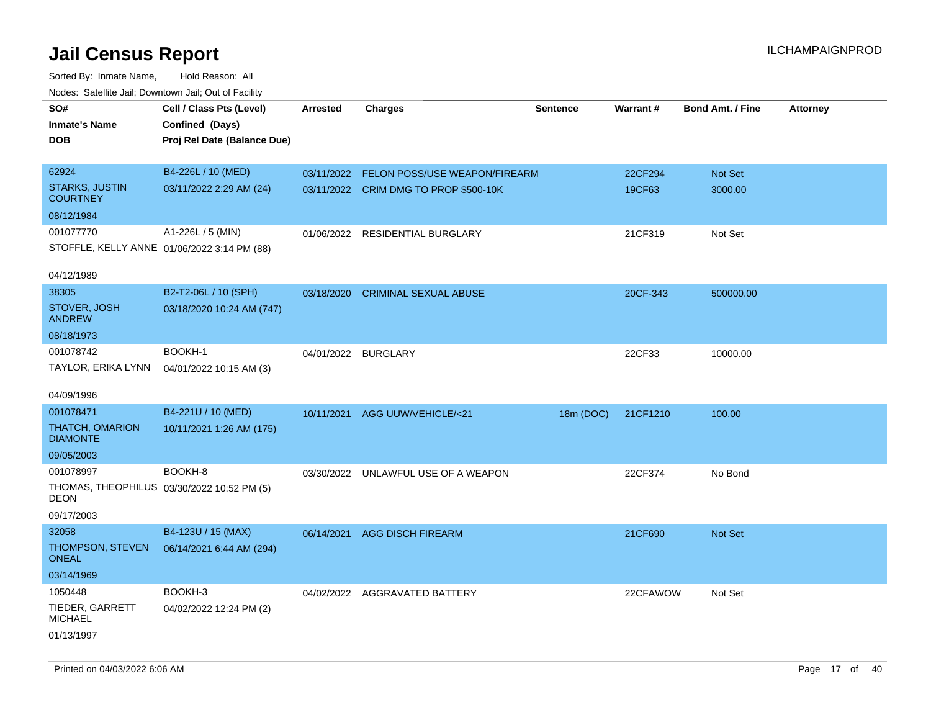| rouco. Calcillo Jali, Downtown Jali, Out of Facility      |                             |                     |                                       |                 |                 |                         |                 |
|-----------------------------------------------------------|-----------------------------|---------------------|---------------------------------------|-----------------|-----------------|-------------------------|-----------------|
| SO#                                                       | Cell / Class Pts (Level)    | <b>Arrested</b>     | <b>Charges</b>                        | <b>Sentence</b> | <b>Warrant#</b> | <b>Bond Amt. / Fine</b> | <b>Attorney</b> |
| <b>Inmate's Name</b>                                      | Confined (Days)             |                     |                                       |                 |                 |                         |                 |
| <b>DOB</b>                                                | Proj Rel Date (Balance Due) |                     |                                       |                 |                 |                         |                 |
|                                                           |                             |                     |                                       |                 |                 |                         |                 |
| 62924                                                     | B4-226L / 10 (MED)          | 03/11/2022          | FELON POSS/USE WEAPON/FIREARM         |                 | 22CF294         | Not Set                 |                 |
| <b>STARKS, JUSTIN</b><br><b>COURTNEY</b>                  | 03/11/2022 2:29 AM (24)     |                     | 03/11/2022 CRIM DMG TO PROP \$500-10K |                 | 19CF63          | 3000.00                 |                 |
| 08/12/1984                                                |                             |                     |                                       |                 |                 |                         |                 |
| 001077770                                                 | A1-226L / 5 (MIN)           | 01/06/2022          | <b>RESIDENTIAL BURGLARY</b>           |                 | 21CF319         | Not Set                 |                 |
| STOFFLE, KELLY ANNE 01/06/2022 3:14 PM (88)               |                             |                     |                                       |                 |                 |                         |                 |
|                                                           |                             |                     |                                       |                 |                 |                         |                 |
| 04/12/1989                                                |                             |                     |                                       |                 |                 |                         |                 |
| 38305                                                     | B2-T2-06L / 10 (SPH)        |                     | 03/18/2020 CRIMINAL SEXUAL ABUSE      |                 | 20CF-343        | 500000.00               |                 |
| STOVER, JOSH<br><b>ANDREW</b>                             | 03/18/2020 10:24 AM (747)   |                     |                                       |                 |                 |                         |                 |
| 08/18/1973                                                |                             |                     |                                       |                 |                 |                         |                 |
| 001078742                                                 | BOOKH-1                     | 04/01/2022 BURGLARY |                                       |                 | 22CF33          | 10000.00                |                 |
| TAYLOR, ERIKA LYNN                                        | 04/01/2022 10:15 AM (3)     |                     |                                       |                 |                 |                         |                 |
| 04/09/1996                                                |                             |                     |                                       |                 |                 |                         |                 |
| 001078471                                                 | B4-221U / 10 (MED)          |                     | 10/11/2021 AGG UUW/VEHICLE/<21        | 18m (DOC)       | 21CF1210        | 100.00                  |                 |
| THATCH, OMARION<br><b>DIAMONTE</b>                        | 10/11/2021 1:26 AM (175)    |                     |                                       |                 |                 |                         |                 |
| 09/05/2003                                                |                             |                     |                                       |                 |                 |                         |                 |
| 001078997                                                 | BOOKH-8                     |                     | 03/30/2022 UNLAWFUL USE OF A WEAPON   |                 | 22CF374         | No Bond                 |                 |
| THOMAS, THEOPHILUS 03/30/2022 10:52 PM (5)<br><b>DEON</b> |                             |                     |                                       |                 |                 |                         |                 |
| 09/17/2003                                                |                             |                     |                                       |                 |                 |                         |                 |
| 32058                                                     | B4-123U / 15 (MAX)          |                     | 06/14/2021 AGG DISCH FIREARM          |                 | 21CF690         | Not Set                 |                 |
| THOMPSON, STEVEN<br><b>ONEAL</b>                          | 06/14/2021 6:44 AM (294)    |                     |                                       |                 |                 |                         |                 |
| 03/14/1969                                                |                             |                     |                                       |                 |                 |                         |                 |
| 1050448                                                   | BOOKH-3                     |                     | 04/02/2022 AGGRAVATED BATTERY         |                 | 22CFAWOW        | Not Set                 |                 |
| TIEDER, GARRETT<br><b>MICHAEL</b>                         | 04/02/2022 12:24 PM (2)     |                     |                                       |                 |                 |                         |                 |
| 01/13/1997                                                |                             |                     |                                       |                 |                 |                         |                 |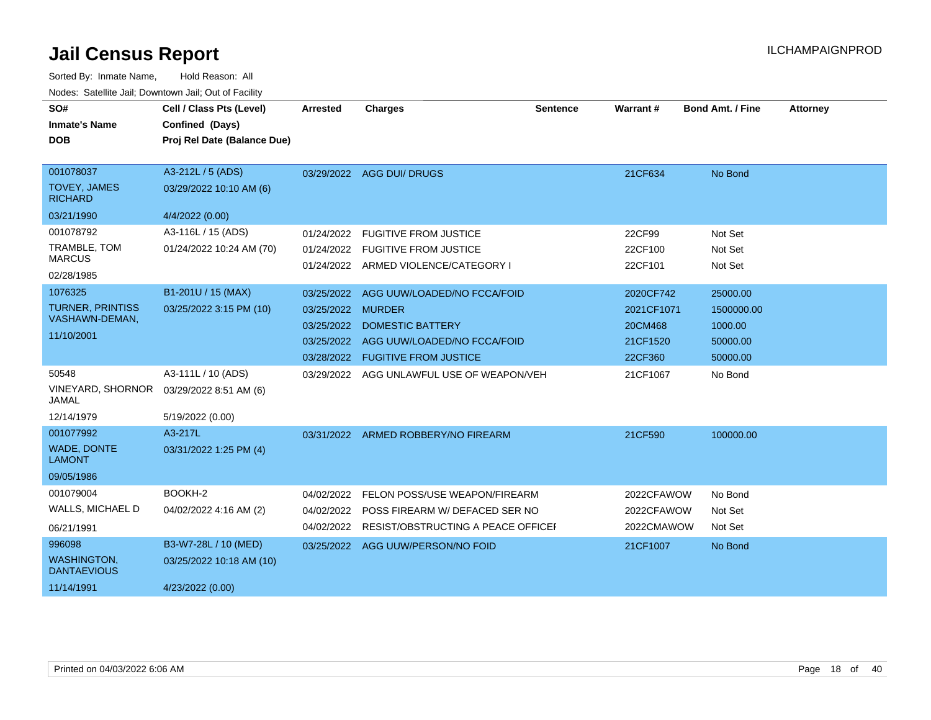| SO#<br><b>Inmate's Name</b><br><b>DOB</b>                              | Cell / Class Pts (Level)<br>Confined (Days)<br>Proj Rel Date (Balance Due) | <b>Arrested</b>                                      | <b>Charges</b>                                                                                                                                    | <b>Sentence</b> | <b>Warrant#</b>                                           | <b>Bond Amt. / Fine</b>                                   | <b>Attorney</b> |
|------------------------------------------------------------------------|----------------------------------------------------------------------------|------------------------------------------------------|---------------------------------------------------------------------------------------------------------------------------------------------------|-----------------|-----------------------------------------------------------|-----------------------------------------------------------|-----------------|
| 001078037<br><b>TOVEY, JAMES</b><br><b>RICHARD</b>                     | A3-212L / 5 (ADS)<br>03/29/2022 10:10 AM (6)                               |                                                      | 03/29/2022 AGG DUI/ DRUGS                                                                                                                         |                 | 21CF634                                                   | No Bond                                                   |                 |
| 03/21/1990<br>001078792<br>TRAMBLE, TOM<br><b>MARCUS</b><br>02/28/1985 | 4/4/2022 (0.00)<br>A3-116L / 15 (ADS)<br>01/24/2022 10:24 AM (70)          | 01/24/2022                                           | <b>FUGITIVE FROM JUSTICE</b><br>01/24/2022 FUGITIVE FROM JUSTICE<br>01/24/2022 ARMED VIOLENCE/CATEGORY I                                          |                 | 22CF99<br>22CF100<br>22CF101                              | Not Set<br>Not Set<br>Not Set                             |                 |
| 1076325<br><b>TURNER, PRINTISS</b><br>VASHAWN-DEMAN,<br>11/10/2001     | B1-201U / 15 (MAX)<br>03/25/2022 3:15 PM (10)                              | 03/25/2022<br>03/25/2022<br>03/25/2022<br>03/28/2022 | AGG UUW/LOADED/NO FCCA/FOID<br><b>MURDER</b><br><b>DOMESTIC BATTERY</b><br>03/25/2022 AGG UUW/LOADED/NO FCCA/FOID<br><b>FUGITIVE FROM JUSTICE</b> |                 | 2020CF742<br>2021CF1071<br>20CM468<br>21CF1520<br>22CF360 | 25000.00<br>1500000.00<br>1000.00<br>50000.00<br>50000.00 |                 |
| 50548<br>VINEYARD, SHORNOR<br><b>JAMAL</b><br>12/14/1979               | A3-111L / 10 (ADS)<br>03/29/2022 8:51 AM (6)<br>5/19/2022 (0.00)           |                                                      | 03/29/2022 AGG UNLAWFUL USE OF WEAPON/VEH                                                                                                         |                 | 21CF1067                                                  | No Bond                                                   |                 |
| 001077992<br><b>WADE, DONTE</b><br><b>LAMONT</b><br>09/05/1986         | A3-217L<br>03/31/2022 1:25 PM (4)                                          |                                                      | 03/31/2022 ARMED ROBBERY/NO FIREARM                                                                                                               |                 | 21CF590                                                   | 100000.00                                                 |                 |
| 001079004<br>WALLS, MICHAEL D<br>06/21/1991                            | BOOKH-2<br>04/02/2022 4:16 AM (2)                                          | 04/02/2022<br>04/02/2022<br>04/02/2022               | FELON POSS/USE WEAPON/FIREARM<br>POSS FIREARM W/ DEFACED SER NO<br>RESIST/OBSTRUCTING A PEACE OFFICEF                                             |                 | 2022CFAWOW<br>2022CFAWOW<br>2022CMAWOW                    | No Bond<br>Not Set<br>Not Set                             |                 |
| 996098<br><b>WASHINGTON,</b><br><b>DANTAEVIOUS</b><br>11/14/1991       | B3-W7-28L / 10 (MED)<br>03/25/2022 10:18 AM (10)<br>4/23/2022 (0.00)       |                                                      | 03/25/2022 AGG UUW/PERSON/NO FOID                                                                                                                 |                 | 21CF1007                                                  | No Bond                                                   |                 |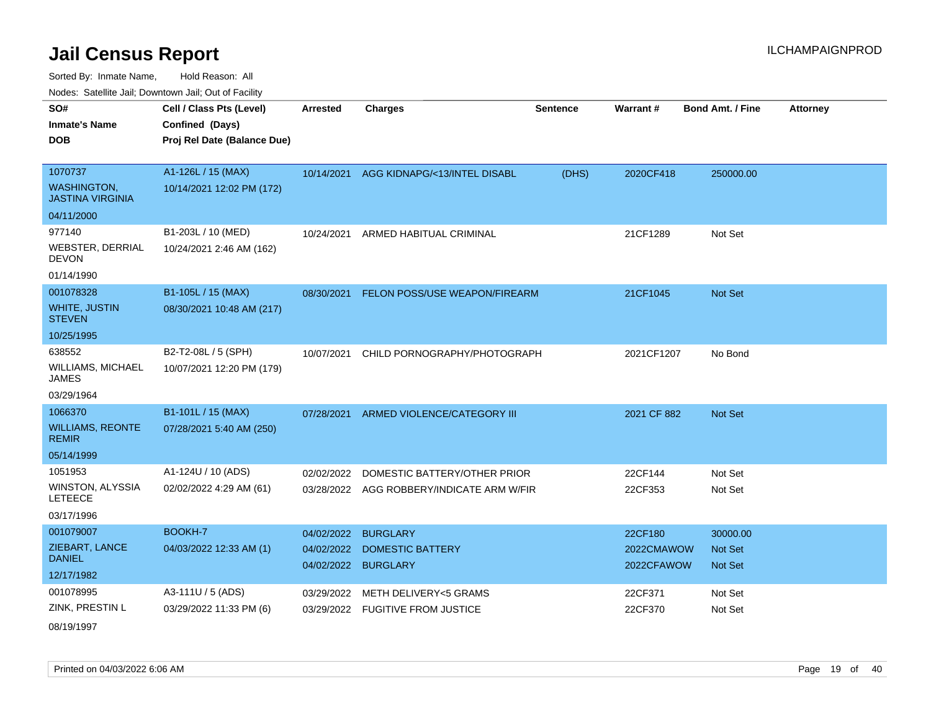Sorted By: Inmate Name, Hold Reason: All

Nodes: Satellite Jail; Downtown Jail; Out of Facility

| SO#<br><b>Inmate's Name</b><br><b>DOB</b>                       | Cell / Class Pts (Level)<br>Confined (Days)<br>Proj Rel Date (Balance Due) | <b>Arrested</b>                   | <b>Charges</b>                                                            | <b>Sentence</b> | Warrant#                 | <b>Bond Amt. / Fine</b>   | <b>Attorney</b> |
|-----------------------------------------------------------------|----------------------------------------------------------------------------|-----------------------------------|---------------------------------------------------------------------------|-----------------|--------------------------|---------------------------|-----------------|
| 1070737<br><b>WASHINGTON.</b><br><b>JASTINA VIRGINIA</b>        | A1-126L / 15 (MAX)<br>10/14/2021 12:02 PM (172)                            | 10/14/2021                        | AGG KIDNAPG/<13/INTEL DISABL                                              | (DHS)           | 2020CF418                | 250000.00                 |                 |
| 04/11/2000                                                      |                                                                            |                                   |                                                                           |                 |                          |                           |                 |
| 977140<br><b>WEBSTER, DERRIAL</b><br><b>DEVON</b><br>01/14/1990 | B1-203L / 10 (MED)<br>10/24/2021 2:46 AM (162)                             | 10/24/2021                        | ARMED HABITUAL CRIMINAL                                                   |                 | 21CF1289                 | Not Set                   |                 |
| 001078328                                                       | B1-105L / 15 (MAX)                                                         | 08/30/2021                        | FELON POSS/USE WEAPON/FIREARM                                             |                 | 21CF1045                 | Not Set                   |                 |
| <b>WHITE, JUSTIN</b><br><b>STEVEN</b>                           | 08/30/2021 10:48 AM (217)                                                  |                                   |                                                                           |                 |                          |                           |                 |
| 10/25/1995                                                      |                                                                            |                                   |                                                                           |                 |                          |                           |                 |
| 638552<br>WILLIAMS, MICHAEL<br>JAMES<br>03/29/1964              | B2-T2-08L / 5 (SPH)<br>10/07/2021 12:20 PM (179)                           | 10/07/2021                        | CHILD PORNOGRAPHY/PHOTOGRAPH                                              |                 | 2021CF1207               | No Bond                   |                 |
| 1066370                                                         | B1-101L / 15 (MAX)                                                         | 07/28/2021                        | ARMED VIOLENCE/CATEGORY III                                               |                 | 2021 CF 882              | Not Set                   |                 |
| <b>WILLIAMS, REONTE</b><br><b>REMIR</b>                         | 07/28/2021 5:40 AM (250)                                                   |                                   |                                                                           |                 |                          |                           |                 |
| 05/14/1999                                                      |                                                                            |                                   |                                                                           |                 |                          |                           |                 |
| 1051953<br>WINSTON, ALYSSIA<br><b>LETEECE</b><br>03/17/1996     | A1-124U / 10 (ADS)<br>02/02/2022 4:29 AM (61)                              | 02/02/2022                        | DOMESTIC BATTERY/OTHER PRIOR<br>03/28/2022 AGG ROBBERY/INDICATE ARM W/FIR |                 | 22CF144<br>22CF353       | Not Set<br>Not Set        |                 |
| 001079007                                                       | BOOKH-7                                                                    | 04/02/2022                        | <b>BURGLARY</b>                                                           |                 | 22CF180                  | 30000.00                  |                 |
| ZIEBART, LANCE<br><b>DANIEL</b>                                 | 04/03/2022 12:33 AM (1)                                                    | 04/02/2022<br>04/02/2022 BURGLARY | <b>DOMESTIC BATTERY</b>                                                   |                 | 2022CMAWOW<br>2022CFAWOW | <b>Not Set</b><br>Not Set |                 |
| 12/17/1982                                                      |                                                                            |                                   |                                                                           |                 |                          |                           |                 |
| 001078995<br>ZINK, PRESTIN L                                    | A3-111U / 5 (ADS)<br>03/29/2022 11:33 PM (6)                               | 03/29/2022                        | <b>METH DELIVERY&lt;5 GRAMS</b><br>03/29/2022 FUGITIVE FROM JUSTICE       |                 | 22CF371<br>22CF370       | Not Set<br>Not Set        |                 |

08/19/1997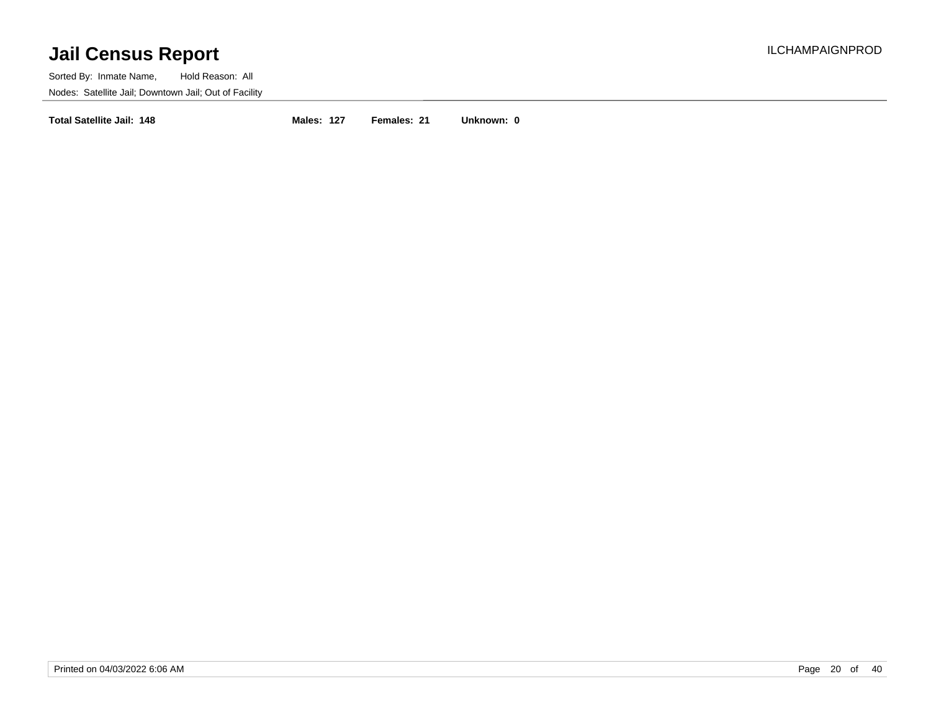Sorted By: Inmate Name, Hold Reason: All Nodes: Satellite Jail; Downtown Jail; Out of Facility

**Total Satellite Jail: 148 Males: 127 Females: 21 Unknown: 0**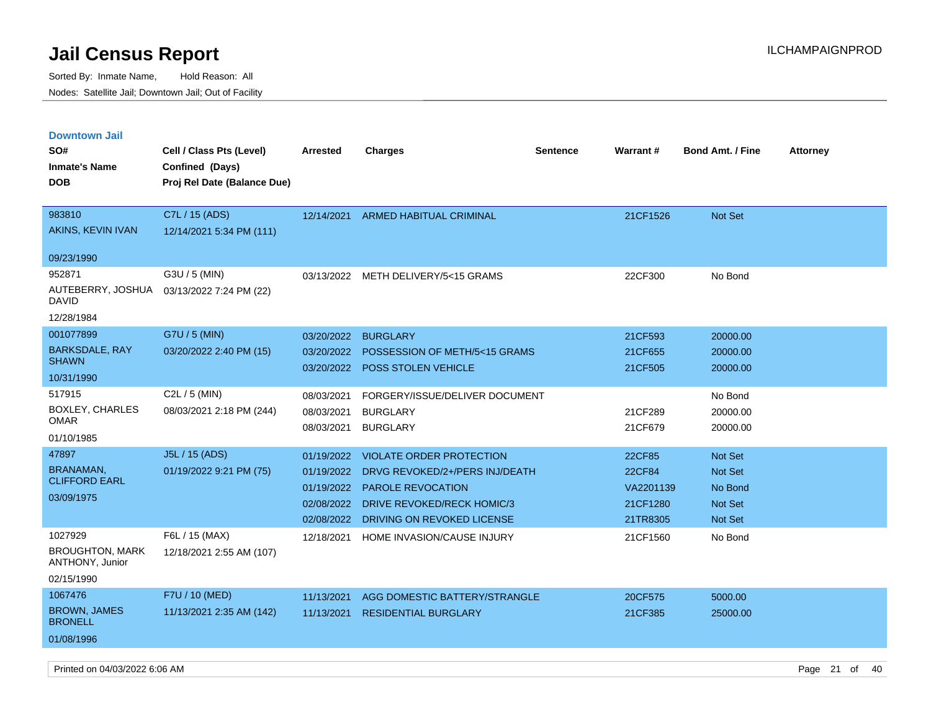| <b>Downtown Jail</b><br>SO#<br><b>Inmate's Name</b><br><b>DOB</b>  | Cell / Class Pts (Level)<br>Confined (Days)<br>Proj Rel Date (Balance Due) | <b>Arrested</b>                                                    | <b>Charges</b>                                                                                                                                            | <b>Sentence</b> | Warrant#                                              | Bond Amt. / Fine                                           | <b>Attorney</b> |
|--------------------------------------------------------------------|----------------------------------------------------------------------------|--------------------------------------------------------------------|-----------------------------------------------------------------------------------------------------------------------------------------------------------|-----------------|-------------------------------------------------------|------------------------------------------------------------|-----------------|
| 983810<br>AKINS, KEVIN IVAN<br>09/23/1990                          | C7L / 15 (ADS)<br>12/14/2021 5:34 PM (111)                                 |                                                                    | 12/14/2021 ARMED HABITUAL CRIMINAL                                                                                                                        |                 | 21CF1526                                              | Not Set                                                    |                 |
| 952871<br>AUTEBERRY, JOSHUA<br>DAVID<br>12/28/1984                 | G3U / 5 (MIN)<br>03/13/2022 7:24 PM (22)                                   |                                                                    | 03/13/2022 METH DELIVERY/5<15 GRAMS                                                                                                                       |                 | 22CF300                                               | No Bond                                                    |                 |
| 001077899<br><b>BARKSDALE, RAY</b><br><b>SHAWN</b><br>10/31/1990   | G7U / 5 (MIN)<br>03/20/2022 2:40 PM (15)                                   | 03/20/2022<br>03/20/2022<br>03/20/2022                             | <b>BURGLARY</b><br>POSSESSION OF METH/5<15 GRAMS<br>POSS STOLEN VEHICLE                                                                                   |                 | 21CF593<br>21CF655<br>21CF505                         | 20000.00<br>20000.00<br>20000.00                           |                 |
| 517915<br><b>BOXLEY, CHARLES</b><br><b>OMAR</b><br>01/10/1985      | C2L / 5 (MIN)<br>08/03/2021 2:18 PM (244)                                  | 08/03/2021<br>08/03/2021<br>08/03/2021                             | FORGERY/ISSUE/DELIVER DOCUMENT<br><b>BURGLARY</b><br><b>BURGLARY</b>                                                                                      |                 | 21CF289<br>21CF679                                    | No Bond<br>20000.00<br>20000.00                            |                 |
| 47897<br><b>BRANAMAN</b><br><b>CLIFFORD EARL</b><br>03/09/1975     | J5L / 15 (ADS)<br>01/19/2022 9:21 PM (75)                                  | 01/19/2022<br>01/19/2022<br>01/19/2022<br>02/08/2022<br>02/08/2022 | <b>VIOLATE ORDER PROTECTION</b><br>DRVG REVOKED/2+/PERS INJ/DEATH<br><b>PAROLE REVOCATION</b><br>DRIVE REVOKED/RECK HOMIC/3<br>DRIVING ON REVOKED LICENSE |                 | 22CF85<br>22CF84<br>VA2201139<br>21CF1280<br>21TR8305 | Not Set<br>Not Set<br>No Bond<br><b>Not Set</b><br>Not Set |                 |
| 1027929<br><b>BROUGHTON, MARK</b><br>ANTHONY, Junior<br>02/15/1990 | F6L / 15 (MAX)<br>12/18/2021 2:55 AM (107)                                 | 12/18/2021                                                         | HOME INVASION/CAUSE INJURY                                                                                                                                |                 | 21CF1560                                              | No Bond                                                    |                 |
| 1067476<br><b>BROWN, JAMES</b><br><b>BRONELL</b><br>01/08/1996     | F7U / 10 (MED)<br>11/13/2021 2:35 AM (142)                                 | 11/13/2021<br>11/13/2021                                           | AGG DOMESTIC BATTERY/STRANGLE<br><b>RESIDENTIAL BURGLARY</b>                                                                                              |                 | 20CF575<br>21CF385                                    | 5000.00<br>25000.00                                        |                 |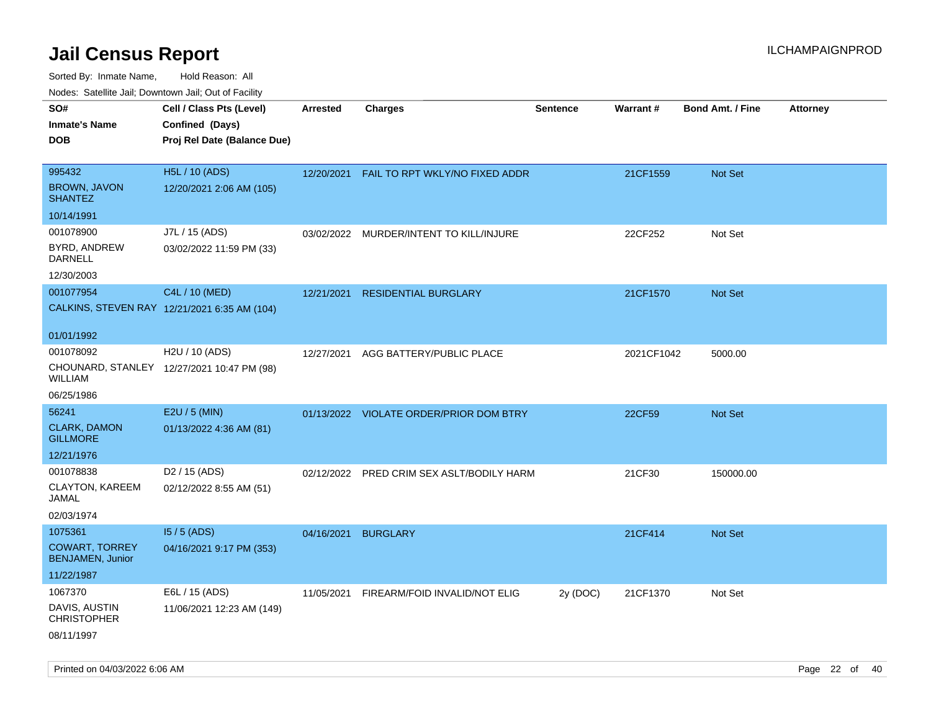| rouco. Calcinic Jan, Downtown Jan, Out of Facility |                                                                            |                 |                                         |                 |                 |                         |                 |
|----------------------------------------------------|----------------------------------------------------------------------------|-----------------|-----------------------------------------|-----------------|-----------------|-------------------------|-----------------|
| SO#<br>Inmate's Name<br><b>DOB</b>                 | Cell / Class Pts (Level)<br>Confined (Days)<br>Proj Rel Date (Balance Due) | <b>Arrested</b> | <b>Charges</b>                          | <b>Sentence</b> | <b>Warrant#</b> | <b>Bond Amt. / Fine</b> | <b>Attorney</b> |
|                                                    |                                                                            |                 |                                         |                 |                 |                         |                 |
| 995432<br><b>BROWN, JAVON</b><br><b>SHANTEZ</b>    | H5L / 10 (ADS)<br>12/20/2021 2:06 AM (105)                                 | 12/20/2021      | FAIL TO RPT WKLY/NO FIXED ADDR          |                 | 21CF1559        | Not Set                 |                 |
| 10/14/1991                                         |                                                                            |                 |                                         |                 |                 |                         |                 |
| 001078900                                          | J7L / 15 (ADS)                                                             | 03/02/2022      | MURDER/INTENT TO KILL/INJURE            |                 | 22CF252         | Not Set                 |                 |
| BYRD, ANDREW<br>DARNELL                            | 03/02/2022 11:59 PM (33)                                                   |                 |                                         |                 |                 |                         |                 |
| 12/30/2003                                         |                                                                            |                 |                                         |                 |                 |                         |                 |
| 001077954                                          | C4L / 10 (MED)                                                             | 12/21/2021      | <b>RESIDENTIAL BURGLARY</b>             |                 | 21CF1570        | Not Set                 |                 |
|                                                    | CALKINS, STEVEN RAY 12/21/2021 6:35 AM (104)                               |                 |                                         |                 |                 |                         |                 |
| 01/01/1992                                         |                                                                            |                 |                                         |                 |                 |                         |                 |
| 001078092<br>WILLIAM                               | H2U / 10 (ADS)<br>CHOUNARD, STANLEY 12/27/2021 10:47 PM (98)               | 12/27/2021      | AGG BATTERY/PUBLIC PLACE                |                 | 2021CF1042      | 5000.00                 |                 |
| 06/25/1986                                         |                                                                            |                 |                                         |                 |                 |                         |                 |
| 56241                                              | E2U / 5 (MIN)                                                              |                 | 01/13/2022 VIOLATE ORDER/PRIOR DOM BTRY |                 | 22CF59          | <b>Not Set</b>          |                 |
| <b>CLARK, DAMON</b><br><b>GILLMORE</b>             | 01/13/2022 4:36 AM (81)                                                    |                 |                                         |                 |                 |                         |                 |
| 12/21/1976                                         |                                                                            |                 |                                         |                 |                 |                         |                 |
| 001078838                                          | D <sub>2</sub> / 15 (ADS)                                                  | 02/12/2022      | PRED CRIM SEX ASLT/BODILY HARM          |                 | 21CF30          | 150000.00               |                 |
| CLAYTON, KAREEM<br>JAMAL                           | 02/12/2022 8:55 AM (51)                                                    |                 |                                         |                 |                 |                         |                 |
| 02/03/1974                                         |                                                                            |                 |                                         |                 |                 |                         |                 |
| 1075361                                            | $15/5$ (ADS)                                                               | 04/16/2021      | <b>BURGLARY</b>                         |                 | 21CF414         | Not Set                 |                 |
| COWART, TORREY<br><b>BENJAMEN, Junior</b>          | 04/16/2021 9:17 PM (353)                                                   |                 |                                         |                 |                 |                         |                 |
| 11/22/1987                                         |                                                                            |                 |                                         |                 |                 |                         |                 |
| 1067370                                            | E6L / 15 (ADS)                                                             | 11/05/2021      | FIREARM/FOID INVALID/NOT ELIG           | 2y (DOC)        | 21CF1370        | Not Set                 |                 |
| DAVIS, AUSTIN<br><b>CHRISTOPHER</b>                | 11/06/2021 12:23 AM (149)                                                  |                 |                                         |                 |                 |                         |                 |
| 08/11/1997                                         |                                                                            |                 |                                         |                 |                 |                         |                 |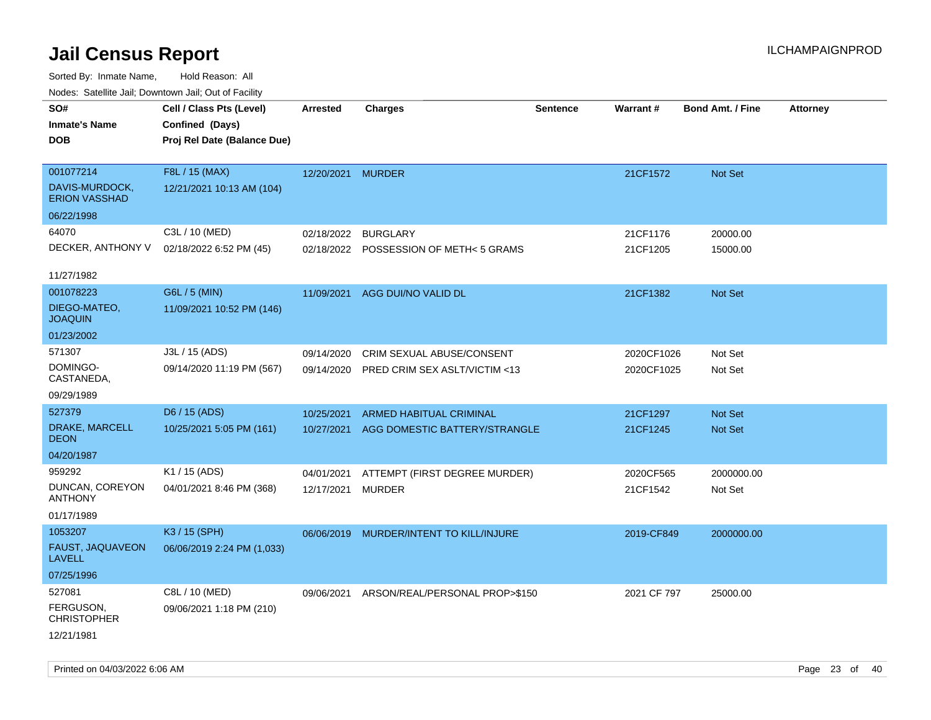| ivouss. Satellite Jali, Downtown Jali, Out of Facility                     |            |                               |                                                                                                     |                                                                                                  |                         |                                         |
|----------------------------------------------------------------------------|------------|-------------------------------|-----------------------------------------------------------------------------------------------------|--------------------------------------------------------------------------------------------------|-------------------------|-----------------------------------------|
| Cell / Class Pts (Level)<br>Confined (Days)<br>Proj Rel Date (Balance Due) | Arrested   | <b>Charges</b>                | <b>Sentence</b>                                                                                     | <b>Warrant#</b>                                                                                  | <b>Bond Amt. / Fine</b> | <b>Attorney</b>                         |
|                                                                            |            |                               |                                                                                                     |                                                                                                  |                         |                                         |
| F8L / 15 (MAX)                                                             | 12/20/2021 |                               |                                                                                                     | 21CF1572                                                                                         | <b>Not Set</b>          |                                         |
| 12/21/2021 10:13 AM (104)                                                  |            |                               |                                                                                                     |                                                                                                  |                         |                                         |
|                                                                            |            |                               |                                                                                                     |                                                                                                  |                         |                                         |
| C3L / 10 (MED)                                                             | 02/18/2022 | <b>BURGLARY</b>               |                                                                                                     | 21CF1176                                                                                         | 20000.00                |                                         |
| 02/18/2022 6:52 PM (45)                                                    | 02/18/2022 |                               |                                                                                                     | 21CF1205                                                                                         | 15000.00                |                                         |
|                                                                            |            |                               |                                                                                                     |                                                                                                  |                         |                                         |
| G6L / 5 (MIN)                                                              | 11/09/2021 |                               |                                                                                                     | 21CF1382                                                                                         | <b>Not Set</b>          |                                         |
| 11/09/2021 10:52 PM (146)                                                  |            |                               |                                                                                                     |                                                                                                  |                         |                                         |
|                                                                            |            |                               |                                                                                                     |                                                                                                  |                         |                                         |
| J3L / 15 (ADS)                                                             | 09/14/2020 | CRIM SEXUAL ABUSE/CONSENT     |                                                                                                     |                                                                                                  | Not Set                 |                                         |
| 09/14/2020 11:19 PM (567)                                                  | 09/14/2020 | PRED CRIM SEX ASLT/VICTIM <13 |                                                                                                     |                                                                                                  | Not Set                 |                                         |
|                                                                            |            |                               |                                                                                                     |                                                                                                  |                         |                                         |
| D6 / 15 (ADS)                                                              | 10/25/2021 | ARMED HABITUAL CRIMINAL       |                                                                                                     | 21CF1297                                                                                         | <b>Not Set</b>          |                                         |
| 10/25/2021 5:05 PM (161)                                                   | 10/27/2021 |                               |                                                                                                     | 21CF1245                                                                                         | Not Set                 |                                         |
|                                                                            |            |                               |                                                                                                     |                                                                                                  |                         |                                         |
| K1 / 15 (ADS)                                                              | 04/01/2021 |                               |                                                                                                     | 2020CF565                                                                                        | 2000000.00              |                                         |
| 04/01/2021 8:46 PM (368)                                                   | 12/17/2021 | MURDER                        |                                                                                                     | 21CF1542                                                                                         | Not Set                 |                                         |
|                                                                            |            |                               |                                                                                                     |                                                                                                  |                         |                                         |
| K3 / 15 (SPH)                                                              | 06/06/2019 |                               |                                                                                                     | 2019-CF849                                                                                       | 2000000.00              |                                         |
| 06/06/2019 2:24 PM (1,033)                                                 |            |                               |                                                                                                     |                                                                                                  |                         |                                         |
|                                                                            |            |                               |                                                                                                     |                                                                                                  |                         |                                         |
| C8L / 10 (MED)                                                             | 09/06/2021 |                               |                                                                                                     |                                                                                                  | 25000.00                |                                         |
| 09/06/2021 1:18 PM (210)                                                   |            |                               |                                                                                                     |                                                                                                  |                         |                                         |
|                                                                            |            |                               |                                                                                                     |                                                                                                  |                         |                                         |
|                                                                            |            |                               | <b>MURDER</b><br>POSSESSION OF METH< 5 GRAMS<br>AGG DUI/NO VALID DL<br>MURDER/INTENT TO KILL/INJURE | AGG DOMESTIC BATTERY/STRANGLE<br>ATTEMPT (FIRST DEGREE MURDER)<br>ARSON/REAL/PERSONAL PROP>\$150 |                         | 2020CF1026<br>2020CF1025<br>2021 CF 797 |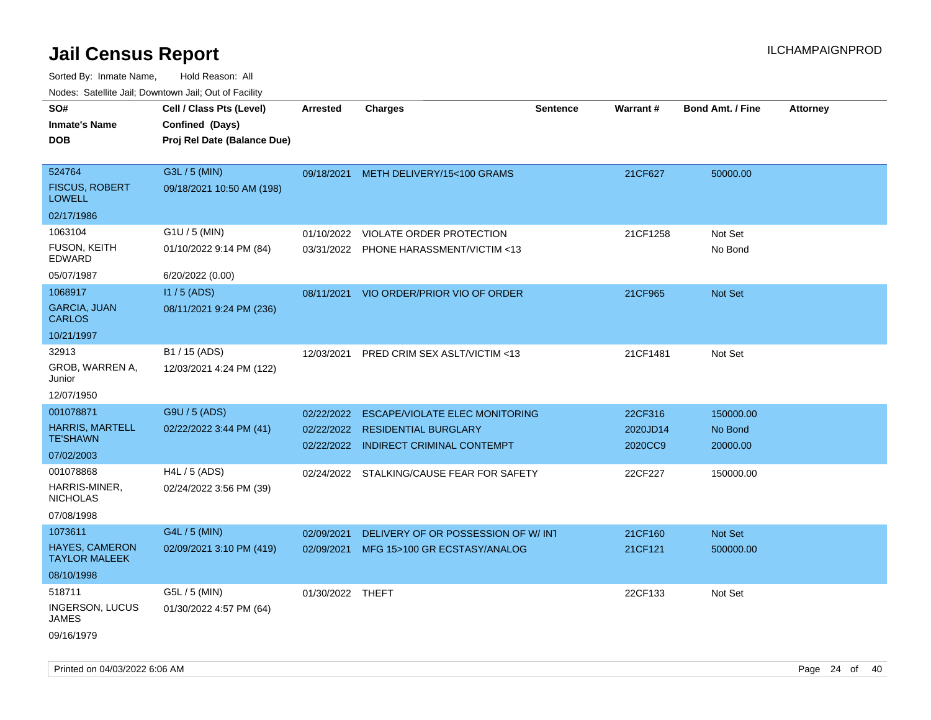| noaco. Catolino call, Domnomi call, Cat of Facilit<br>SO#<br><b>Inmate's Name</b><br><b>DOB</b> | Cell / Class Pts (Level)<br>Confined (Days)<br>Proj Rel Date (Balance Due) | <b>Arrested</b>          | <b>Charges</b>                                                            | <b>Sentence</b> | Warrant#            | <b>Bond Amt. / Fine</b> | <b>Attorney</b> |
|-------------------------------------------------------------------------------------------------|----------------------------------------------------------------------------|--------------------------|---------------------------------------------------------------------------|-----------------|---------------------|-------------------------|-----------------|
| 524764<br><b>FISCUS, ROBERT</b><br><b>LOWELL</b>                                                | G3L / 5 (MIN)<br>09/18/2021 10:50 AM (198)                                 | 09/18/2021               | METH DELIVERY/15<100 GRAMS                                                |                 | 21CF627             | 50000.00                |                 |
| 02/17/1986                                                                                      |                                                                            |                          |                                                                           |                 |                     |                         |                 |
| 1063104<br>FUSON, KEITH<br>EDWARD                                                               | G1U / 5 (MIN)<br>01/10/2022 9:14 PM (84)                                   | 01/10/2022               | <b>VIOLATE ORDER PROTECTION</b><br>03/31/2022 PHONE HARASSMENT/VICTIM <13 |                 | 21CF1258            | Not Set<br>No Bond      |                 |
| 05/07/1987                                                                                      | 6/20/2022 (0.00)                                                           |                          |                                                                           |                 |                     |                         |                 |
| 1068917<br><b>GARCIA, JUAN</b><br><b>CARLOS</b>                                                 | $11/5$ (ADS)<br>08/11/2021 9:24 PM (236)                                   | 08/11/2021               | VIO ORDER/PRIOR VIO OF ORDER                                              |                 | 21CF965             | <b>Not Set</b>          |                 |
| 10/21/1997                                                                                      |                                                                            |                          |                                                                           |                 |                     |                         |                 |
| 32913<br>GROB, WARREN A,<br>Junior                                                              | B1 / 15 (ADS)<br>12/03/2021 4:24 PM (122)                                  | 12/03/2021               | PRED CRIM SEX ASLT/VICTIM <13                                             |                 | 21CF1481            | Not Set                 |                 |
| 12/07/1950                                                                                      |                                                                            |                          |                                                                           |                 |                     |                         |                 |
| 001078871                                                                                       | G9U / 5 (ADS)                                                              | 02/22/2022               | <b>ESCAPE/VIOLATE ELEC MONITORING</b>                                     |                 | 22CF316             | 150000.00               |                 |
| <b>HARRIS, MARTELL</b><br><b>TE'SHAWN</b>                                                       | 02/22/2022 3:44 PM (41)                                                    | 02/22/2022<br>02/22/2022 | <b>RESIDENTIAL BURGLARY</b><br><b>INDIRECT CRIMINAL CONTEMPT</b>          |                 | 2020JD14<br>2020CC9 | No Bond<br>20000.00     |                 |
| 07/02/2003                                                                                      |                                                                            |                          |                                                                           |                 |                     |                         |                 |
| 001078868<br>HARRIS-MINER,<br><b>NICHOLAS</b><br>07/08/1998                                     | H4L / 5 (ADS)<br>02/24/2022 3:56 PM (39)                                   |                          | 02/24/2022 STALKING/CAUSE FEAR FOR SAFETY                                 |                 | 22CF227             | 150000.00               |                 |
| 1073611                                                                                         | G4L / 5 (MIN)                                                              | 02/09/2021               | DELIVERY OF OR POSSESSION OF W/INT                                        |                 | 21CF160             | Not Set                 |                 |
| <b>HAYES, CAMERON</b><br><b>TAYLOR MALEEK</b>                                                   | 02/09/2021 3:10 PM (419)                                                   | 02/09/2021               | MFG 15>100 GR ECSTASY/ANALOG                                              |                 | 21CF121             | 500000.00               |                 |
| 08/10/1998                                                                                      |                                                                            |                          |                                                                           |                 |                     |                         |                 |
| 518711<br><b>INGERSON, LUCUS</b><br>JAMES<br>09/16/1979                                         | G5L / 5 (MIN)<br>01/30/2022 4:57 PM (64)                                   | 01/30/2022 THEFT         |                                                                           |                 | 22CF133             | Not Set                 |                 |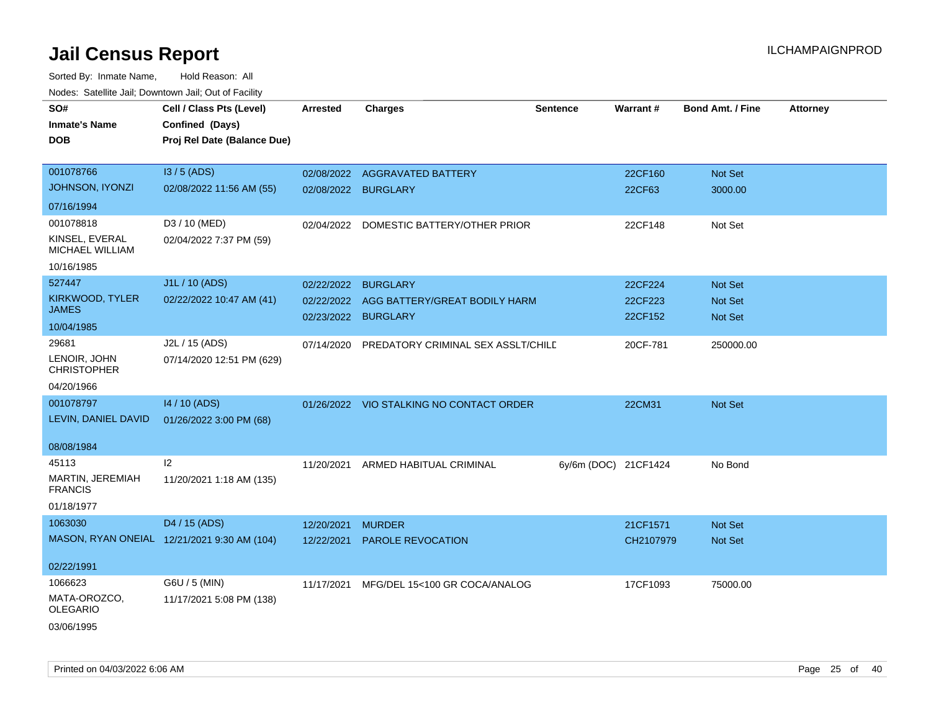| roaco. Catolino cali, Domntonn cali, Out of Facility |                                             |                     |                                          |                      |           |                         |                 |
|------------------------------------------------------|---------------------------------------------|---------------------|------------------------------------------|----------------------|-----------|-------------------------|-----------------|
| SO#                                                  | Cell / Class Pts (Level)                    | <b>Arrested</b>     | <b>Charges</b>                           | <b>Sentence</b>      | Warrant#  | <b>Bond Amt. / Fine</b> | <b>Attorney</b> |
| <b>Inmate's Name</b>                                 | Confined (Days)                             |                     |                                          |                      |           |                         |                 |
| <b>DOB</b>                                           | Proj Rel Date (Balance Due)                 |                     |                                          |                      |           |                         |                 |
|                                                      |                                             |                     |                                          |                      |           |                         |                 |
| 001078766                                            | I3 / 5 (ADS)                                |                     | 02/08/2022 AGGRAVATED BATTERY            |                      | 22CF160   | Not Set                 |                 |
| JOHNSON, IYONZI                                      | 02/08/2022 11:56 AM (55)                    | 02/08/2022 BURGLARY |                                          |                      | 22CF63    | 3000.00                 |                 |
| 07/16/1994                                           |                                             |                     |                                          |                      |           |                         |                 |
| 001078818                                            | D3 / 10 (MED)                               | 02/04/2022          | DOMESTIC BATTERY/OTHER PRIOR             |                      | 22CF148   | Not Set                 |                 |
| KINSEL, EVERAL<br>MICHAEL WILLIAM                    | 02/04/2022 7:37 PM (59)                     |                     |                                          |                      |           |                         |                 |
| 10/16/1985                                           |                                             |                     |                                          |                      |           |                         |                 |
| 527447                                               | J1L / 10 (ADS)                              | 02/22/2022          | <b>BURGLARY</b>                          |                      | 22CF224   | Not Set                 |                 |
| KIRKWOOD, TYLER                                      | 02/22/2022 10:47 AM (41)                    | 02/22/2022          | AGG BATTERY/GREAT BODILY HARM            |                      | 22CF223   | Not Set                 |                 |
| <b>JAMES</b>                                         |                                             | 02/23/2022 BURGLARY |                                          |                      | 22CF152   | Not Set                 |                 |
| 10/04/1985                                           |                                             |                     |                                          |                      |           |                         |                 |
| 29681                                                | J2L / 15 (ADS)                              | 07/14/2020          | PREDATORY CRIMINAL SEX ASSLT/CHILE       |                      | 20CF-781  | 250000.00               |                 |
| LENOIR, JOHN<br><b>CHRISTOPHER</b>                   | 07/14/2020 12:51 PM (629)                   |                     |                                          |                      |           |                         |                 |
| 04/20/1966                                           |                                             |                     |                                          |                      |           |                         |                 |
| 001078797                                            | 14 / 10 (ADS)                               |                     | 01/26/2022 VIO STALKING NO CONTACT ORDER |                      | 22CM31    | Not Set                 |                 |
| LEVIN, DANIEL DAVID                                  | 01/26/2022 3:00 PM (68)                     |                     |                                          |                      |           |                         |                 |
|                                                      |                                             |                     |                                          |                      |           |                         |                 |
| 08/08/1984                                           |                                             |                     |                                          |                      |           |                         |                 |
| 45113                                                | 12                                          | 11/20/2021          | ARMED HABITUAL CRIMINAL                  | 6y/6m (DOC) 21CF1424 |           | No Bond                 |                 |
| MARTIN, JEREMIAH<br><b>FRANCIS</b>                   | 11/20/2021 1:18 AM (135)                    |                     |                                          |                      |           |                         |                 |
| 01/18/1977                                           |                                             |                     |                                          |                      |           |                         |                 |
| 1063030                                              | D4 / 15 (ADS)                               | 12/20/2021          | <b>MURDER</b>                            |                      | 21CF1571  | Not Set                 |                 |
|                                                      | MASON, RYAN ONEIAL 12/21/2021 9:30 AM (104) | 12/22/2021          | PAROLE REVOCATION                        |                      | CH2107979 | Not Set                 |                 |
|                                                      |                                             |                     |                                          |                      |           |                         |                 |
| 02/22/1991                                           |                                             |                     |                                          |                      |           |                         |                 |
| 1066623                                              | G6U / 5 (MIN)                               | 11/17/2021          | MFG/DEL 15<100 GR COCA/ANALOG            |                      | 17CF1093  | 75000.00                |                 |
| MATA-OROZCO,<br><b>OLEGARIO</b>                      | 11/17/2021 5:08 PM (138)                    |                     |                                          |                      |           |                         |                 |
| 03/06/1995                                           |                                             |                     |                                          |                      |           |                         |                 |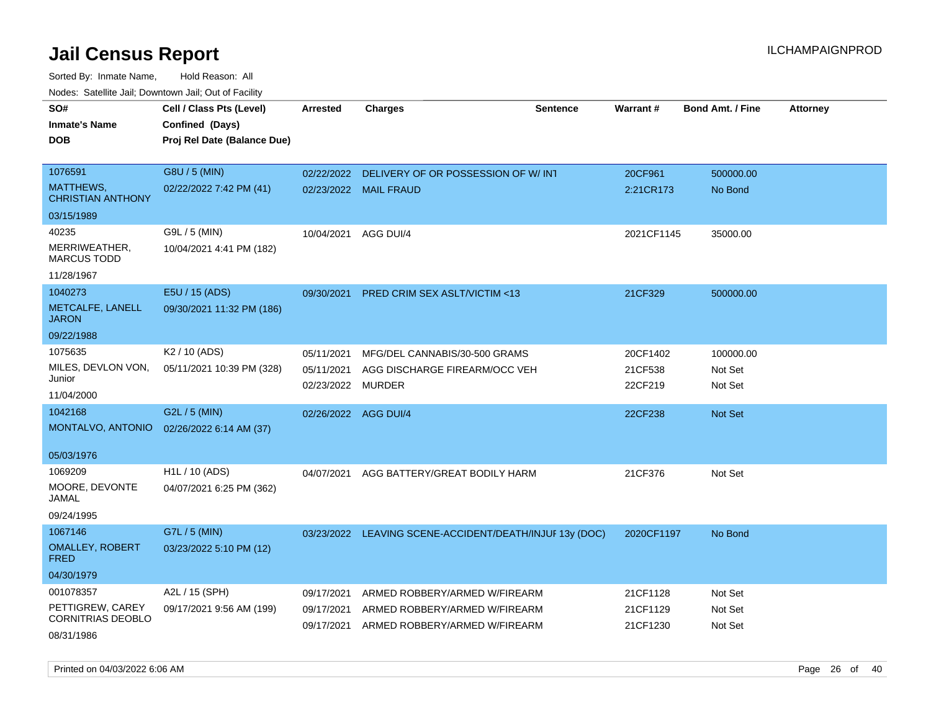Sorted By: Inmate Name, Hold Reason: All Nodes: Satellite Jail; Downtown Jail; Out of Facility

| SO#                                          | Cell / Class Pts (Level)    | <b>Arrested</b>          | <b>Charges</b>                                          | <b>Sentence</b> | Warrant#           | <b>Bond Amt. / Fine</b> | <b>Attorney</b> |
|----------------------------------------------|-----------------------------|--------------------------|---------------------------------------------------------|-----------------|--------------------|-------------------------|-----------------|
| <b>Inmate's Name</b>                         | Confined (Days)             |                          |                                                         |                 |                    |                         |                 |
| <b>DOB</b>                                   | Proj Rel Date (Balance Due) |                          |                                                         |                 |                    |                         |                 |
|                                              |                             |                          |                                                         |                 |                    |                         |                 |
| 1076591                                      | G8U / 5 (MIN)               | 02/22/2022               | DELIVERY OF OR POSSESSION OF W/INT                      |                 | 20CF961            | 500000.00               |                 |
| <b>MATTHEWS,</b><br><b>CHRISTIAN ANTHONY</b> | 02/22/2022 7:42 PM (41)     |                          | 02/23/2022 MAIL FRAUD                                   |                 | 2:21CR173          | No Bond                 |                 |
| 03/15/1989                                   |                             |                          |                                                         |                 |                    |                         |                 |
| 40235                                        | G9L / 5 (MIN)               | 10/04/2021               | AGG DUI/4                                               |                 | 2021CF1145         | 35000.00                |                 |
| MERRIWEATHER,<br><b>MARCUS TODD</b>          | 10/04/2021 4:41 PM (182)    |                          |                                                         |                 |                    |                         |                 |
| 11/28/1967                                   |                             |                          |                                                         |                 |                    |                         |                 |
| 1040273                                      | E5U / 15 (ADS)              | 09/30/2021               | PRED CRIM SEX ASLT/VICTIM <13                           |                 | 21CF329            | 500000.00               |                 |
| METCALFE, LANELL<br><b>JARON</b>             | 09/30/2021 11:32 PM (186)   |                          |                                                         |                 |                    |                         |                 |
| 09/22/1988                                   |                             |                          |                                                         |                 |                    |                         |                 |
| 1075635                                      | K2 / 10 (ADS)               | 05/11/2021               | MFG/DEL CANNABIS/30-500 GRAMS                           |                 | 20CF1402           | 100000.00               |                 |
| MILES, DEVLON VON,<br>Junior                 | 05/11/2021 10:39 PM (328)   | 05/11/2021<br>02/23/2022 | AGG DISCHARGE FIREARM/OCC VEH<br>MURDER                 |                 | 21CF538<br>22CF219 | Not Set<br>Not Set      |                 |
| 11/04/2000                                   |                             |                          |                                                         |                 |                    |                         |                 |
| 1042168                                      | G2L / 5 (MIN)               | 02/26/2022               | AGG DUI/4                                               |                 | 22CF238            | <b>Not Set</b>          |                 |
| MONTALVO, ANTONIO                            | 02/26/2022 6:14 AM (37)     |                          |                                                         |                 |                    |                         |                 |
| 05/03/1976                                   |                             |                          |                                                         |                 |                    |                         |                 |
| 1069209                                      | H1L / 10 (ADS)              | 04/07/2021               | AGG BATTERY/GREAT BODILY HARM                           |                 | 21CF376            | Not Set                 |                 |
| MOORE, DEVONTE<br>JAMAL                      | 04/07/2021 6:25 PM (362)    |                          |                                                         |                 |                    |                         |                 |
| 09/24/1995                                   |                             |                          |                                                         |                 |                    |                         |                 |
| 1067146                                      | G7L / 5 (MIN)               |                          | 03/23/2022 LEAVING SCENE-ACCIDENT/DEATH/INJUF 13y (DOC) |                 | 2020CF1197         | No Bond                 |                 |
| <b>OMALLEY, ROBERT</b><br><b>FRED</b>        | 03/23/2022 5:10 PM (12)     |                          |                                                         |                 |                    |                         |                 |
| 04/30/1979                                   |                             |                          |                                                         |                 |                    |                         |                 |
| 001078357                                    | A2L / 15 (SPH)              | 09/17/2021               | ARMED ROBBERY/ARMED W/FIREARM                           |                 | 21CF1128           | Not Set                 |                 |
| PETTIGREW, CAREY<br>CORNITRIAS DEOBLO        | 09/17/2021 9:56 AM (199)    | 09/17/2021               | ARMED ROBBERY/ARMED W/FIREARM                           |                 | 21CF1129           | Not Set                 |                 |
| 08/31/1986                                   |                             | 09/17/2021               | ARMED ROBBERY/ARMED W/FIREARM                           |                 | 21CF1230           | Not Set                 |                 |

Printed on 04/03/2022 6:06 AM Page 26 of 40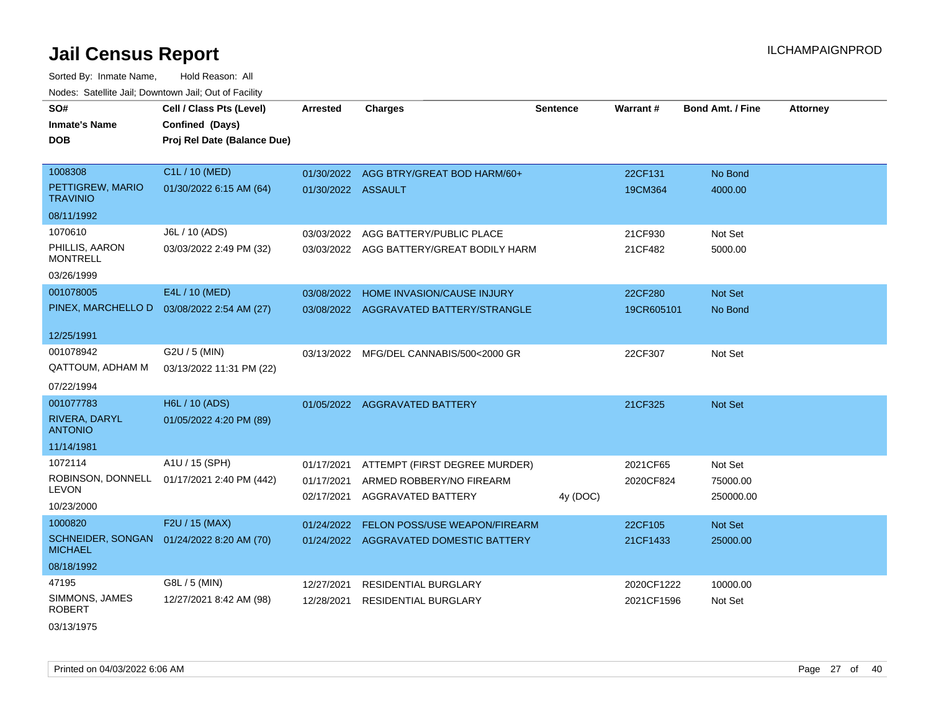Sorted By: Inmate Name, Hold Reason: All Nodes: Satellite Jail; Downtown Jail; Out of Facility

| SO#                                        | Cell / Class Pts (Level)    | <b>Arrested</b>    | <b>Charges</b>                           | <b>Sentence</b> | <b>Warrant#</b> | <b>Bond Amt. / Fine</b> | <b>Attorney</b> |
|--------------------------------------------|-----------------------------|--------------------|------------------------------------------|-----------------|-----------------|-------------------------|-----------------|
| <b>Inmate's Name</b>                       | Confined (Days)             |                    |                                          |                 |                 |                         |                 |
| <b>DOB</b>                                 | Proj Rel Date (Balance Due) |                    |                                          |                 |                 |                         |                 |
|                                            |                             |                    |                                          |                 |                 |                         |                 |
| 1008308                                    | C1L / 10 (MED)              |                    | 01/30/2022 AGG BTRY/GREAT BOD HARM/60+   |                 | 22CF131         | No Bond                 |                 |
| PETTIGREW, MARIO<br><b>TRAVINIO</b>        | 01/30/2022 6:15 AM (64)     | 01/30/2022 ASSAULT |                                          |                 | 19CM364         | 4000.00                 |                 |
| 08/11/1992                                 |                             |                    |                                          |                 |                 |                         |                 |
| 1070610                                    | J6L / 10 (ADS)              | 03/03/2022         | AGG BATTERY/PUBLIC PLACE                 |                 | 21CF930         | Not Set                 |                 |
| PHILLIS, AARON<br><b>MONTRELL</b>          | 03/03/2022 2:49 PM (32)     |                    | 03/03/2022 AGG BATTERY/GREAT BODILY HARM |                 | 21CF482         | 5000.00                 |                 |
| 03/26/1999                                 |                             |                    |                                          |                 |                 |                         |                 |
| 001078005                                  | E4L / 10 (MED)              | 03/08/2022         | <b>HOME INVASION/CAUSE INJURY</b>        |                 | 22CF280         | Not Set                 |                 |
| PINEX, MARCHELLO D                         | 03/08/2022 2:54 AM (27)     |                    | 03/08/2022 AGGRAVATED BATTERY/STRANGLE   |                 | 19CR605101      | No Bond                 |                 |
| 12/25/1991                                 |                             |                    |                                          |                 |                 |                         |                 |
| 001078942                                  | G2U / 5 (MIN)               | 03/13/2022         | MFG/DEL CANNABIS/500<2000 GR             |                 | 22CF307         | Not Set                 |                 |
| <b>QATTOUM, ADHAM M</b>                    | 03/13/2022 11:31 PM (22)    |                    |                                          |                 |                 |                         |                 |
| 07/22/1994                                 |                             |                    |                                          |                 |                 |                         |                 |
| 001077783                                  | H6L / 10 (ADS)              |                    | 01/05/2022 AGGRAVATED BATTERY            |                 | 21CF325         | Not Set                 |                 |
| RIVERA, DARYL<br><b>ANTONIO</b>            | 01/05/2022 4:20 PM (89)     |                    |                                          |                 |                 |                         |                 |
| 11/14/1981                                 |                             |                    |                                          |                 |                 |                         |                 |
| 1072114                                    | A1U / 15 (SPH)              | 01/17/2021         | ATTEMPT (FIRST DEGREE MURDER)            |                 | 2021CF65        | Not Set                 |                 |
| ROBINSON, DONNELL                          | 01/17/2021 2:40 PM (442)    | 01/17/2021         | ARMED ROBBERY/NO FIREARM                 |                 | 2020CF824       | 75000.00                |                 |
| <b>LEVON</b>                               |                             | 02/17/2021         | AGGRAVATED BATTERY                       | 4y (DOC)        |                 | 250000.00               |                 |
| 10/23/2000                                 |                             |                    |                                          |                 |                 |                         |                 |
| 1000820                                    | F2U / 15 (MAX)              | 01/24/2022         | FELON POSS/USE WEAPON/FIREARM            |                 | 22CF105         | Not Set                 |                 |
| <b>SCHNEIDER, SONGAN</b><br><b>MICHAEL</b> | 01/24/2022 8:20 AM (70)     |                    | 01/24/2022 AGGRAVATED DOMESTIC BATTERY   |                 | 21CF1433        | 25000.00                |                 |
| 08/18/1992                                 |                             |                    |                                          |                 |                 |                         |                 |
| 47195                                      | G8L / 5 (MIN)               | 12/27/2021         | <b>RESIDENTIAL BURGLARY</b>              |                 | 2020CF1222      | 10000.00                |                 |
| SIMMONS, JAMES<br><b>ROBERT</b>            | 12/27/2021 8:42 AM (98)     | 12/28/2021         | <b>RESIDENTIAL BURGLARY</b>              |                 | 2021CF1596      | Not Set                 |                 |

03/13/1975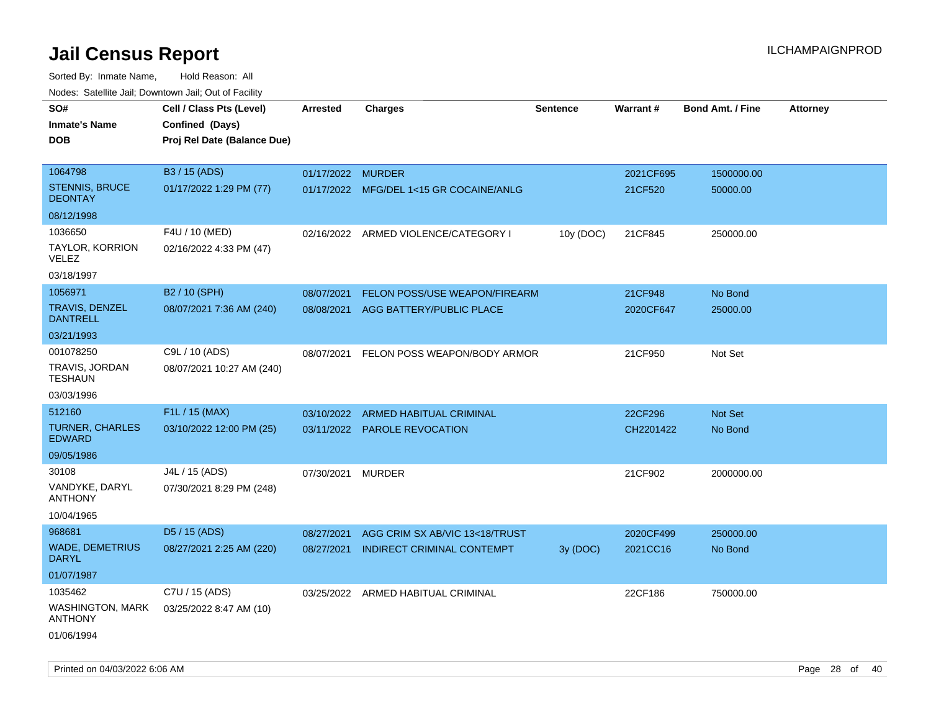| Nudes. Satellite Jali, Downtown Jali, Out of Facility |                             |                   |                                         |                 |           |                         |                 |
|-------------------------------------------------------|-----------------------------|-------------------|-----------------------------------------|-----------------|-----------|-------------------------|-----------------|
| SO#                                                   | Cell / Class Pts (Level)    | <b>Arrested</b>   | <b>Charges</b>                          | <b>Sentence</b> | Warrant#  | <b>Bond Amt. / Fine</b> | <b>Attorney</b> |
| <b>Inmate's Name</b>                                  | Confined (Days)             |                   |                                         |                 |           |                         |                 |
| <b>DOB</b>                                            | Proj Rel Date (Balance Due) |                   |                                         |                 |           |                         |                 |
|                                                       |                             |                   |                                         |                 |           |                         |                 |
| 1064798                                               | B3 / 15 (ADS)               | 01/17/2022 MURDER |                                         |                 | 2021CF695 | 1500000.00              |                 |
| <b>STENNIS, BRUCE</b><br><b>DEONTAY</b>               | 01/17/2022 1:29 PM (77)     |                   | 01/17/2022 MFG/DEL 1<15 GR COCAINE/ANLG |                 | 21CF520   | 50000.00                |                 |
| 08/12/1998                                            |                             |                   |                                         |                 |           |                         |                 |
| 1036650                                               | F4U / 10 (MED)              |                   | 02/16/2022 ARMED VIOLENCE/CATEGORY I    | 10y (DOC)       | 21CF845   | 250000.00               |                 |
| TAYLOR, KORRION<br>VELEZ                              | 02/16/2022 4:33 PM (47)     |                   |                                         |                 |           |                         |                 |
| 03/18/1997                                            |                             |                   |                                         |                 |           |                         |                 |
| 1056971                                               | B2 / 10 (SPH)               | 08/07/2021        | <b>FELON POSS/USE WEAPON/FIREARM</b>    |                 | 21CF948   | No Bond                 |                 |
| <b>TRAVIS, DENZEL</b><br><b>DANTRELL</b>              | 08/07/2021 7:36 AM (240)    | 08/08/2021        | AGG BATTERY/PUBLIC PLACE                |                 | 2020CF647 | 25000.00                |                 |
| 03/21/1993                                            |                             |                   |                                         |                 |           |                         |                 |
| 001078250                                             | C9L / 10 (ADS)              | 08/07/2021        | FELON POSS WEAPON/BODY ARMOR            |                 | 21CF950   | Not Set                 |                 |
| TRAVIS, JORDAN<br><b>TESHAUN</b>                      | 08/07/2021 10:27 AM (240)   |                   |                                         |                 |           |                         |                 |
| 03/03/1996                                            |                             |                   |                                         |                 |           |                         |                 |
| 512160                                                | F1L / 15 (MAX)              | 03/10/2022        | ARMED HABITUAL CRIMINAL                 |                 | 22CF296   | <b>Not Set</b>          |                 |
| <b>TURNER, CHARLES</b><br><b>EDWARD</b>               | 03/10/2022 12:00 PM (25)    |                   | 03/11/2022 PAROLE REVOCATION            |                 | CH2201422 | No Bond                 |                 |
| 09/05/1986                                            |                             |                   |                                         |                 |           |                         |                 |
| 30108                                                 | J4L / 15 (ADS)              | 07/30/2021        | MURDER                                  |                 | 21CF902   | 2000000.00              |                 |
| VANDYKE, DARYL<br><b>ANTHONY</b>                      | 07/30/2021 8:29 PM (248)    |                   |                                         |                 |           |                         |                 |
| 10/04/1965                                            |                             |                   |                                         |                 |           |                         |                 |
| 968681                                                | D5 / 15 (ADS)               | 08/27/2021        | AGG CRIM SX AB/VIC 13<18/TRUST          |                 | 2020CF499 | 250000.00               |                 |
| <b>WADE, DEMETRIUS</b><br><b>DARYL</b>                | 08/27/2021 2:25 AM (220)    | 08/27/2021        | <b>INDIRECT CRIMINAL CONTEMPT</b>       | 3y (DOC)        | 2021CC16  | No Bond                 |                 |
| 01/07/1987                                            |                             |                   |                                         |                 |           |                         |                 |
| 1035462                                               | C7U / 15 (ADS)              |                   | 03/25/2022 ARMED HABITUAL CRIMINAL      |                 | 22CF186   | 750000.00               |                 |
| <b>WASHINGTON, MARK</b><br><b>ANTHONY</b>             | 03/25/2022 8:47 AM (10)     |                   |                                         |                 |           |                         |                 |
| 01/06/1994                                            |                             |                   |                                         |                 |           |                         |                 |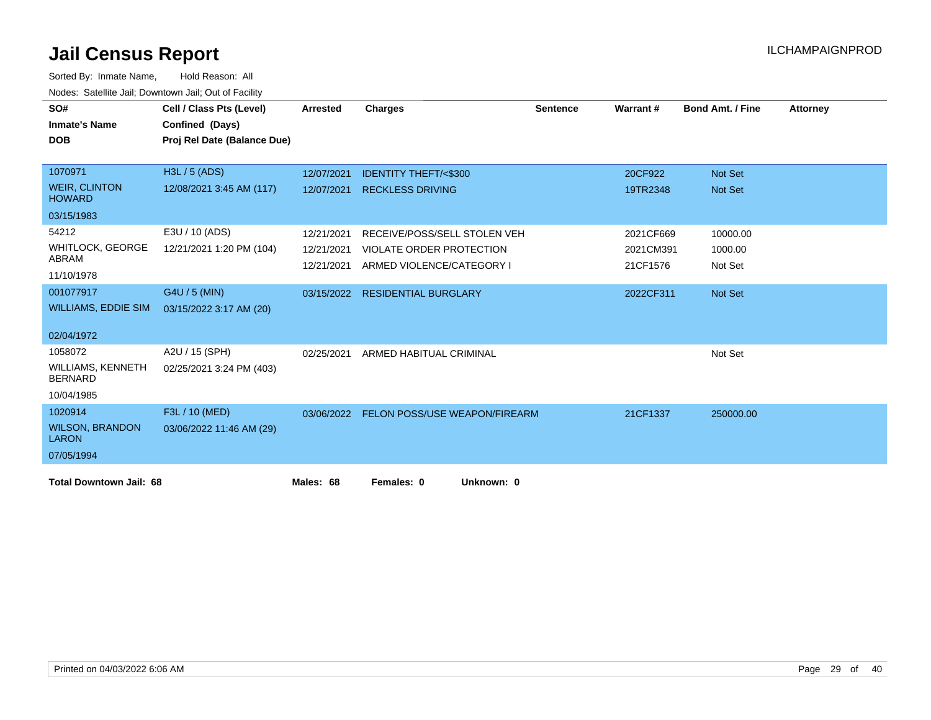| SO#<br><b>Inmate's Name</b>                | Cell / Class Pts (Level)<br>Confined (Days) | <b>Arrested</b> | <b>Charges</b>                       | <b>Sentence</b> | Warrant#  | <b>Bond Amt. / Fine</b> | <b>Attorney</b> |
|--------------------------------------------|---------------------------------------------|-----------------|--------------------------------------|-----------------|-----------|-------------------------|-----------------|
| <b>DOB</b>                                 | Proj Rel Date (Balance Due)                 |                 |                                      |                 |           |                         |                 |
|                                            |                                             |                 |                                      |                 |           |                         |                 |
| 1070971                                    | H3L / 5 (ADS)                               | 12/07/2021      | <b>IDENTITY THEFT/&lt;\$300</b>      |                 | 20CF922   | Not Set                 |                 |
| <b>WEIR, CLINTON</b><br><b>HOWARD</b>      | 12/08/2021 3:45 AM (117)                    | 12/07/2021      | <b>RECKLESS DRIVING</b>              |                 | 19TR2348  | <b>Not Set</b>          |                 |
| 03/15/1983                                 |                                             |                 |                                      |                 |           |                         |                 |
| 54212                                      | E3U / 10 (ADS)                              | 12/21/2021      | RECEIVE/POSS/SELL STOLEN VEH         |                 | 2021CF669 | 10000.00                |                 |
| <b>WHITLOCK, GEORGE</b>                    | 12/21/2021 1:20 PM (104)                    | 12/21/2021      | <b>VIOLATE ORDER PROTECTION</b>      |                 | 2021CM391 | 1000.00                 |                 |
| ABRAM<br>11/10/1978                        |                                             | 12/21/2021      | ARMED VIOLENCE/CATEGORY I            |                 | 21CF1576  | Not Set                 |                 |
| 001077917                                  | G4U / 5 (MIN)                               |                 | 03/15/2022 RESIDENTIAL BURGLARY      |                 | 2022CF311 | Not Set                 |                 |
| <b>WILLIAMS, EDDIE SIM</b>                 | 03/15/2022 3:17 AM (20)                     |                 |                                      |                 |           |                         |                 |
| 02/04/1972                                 |                                             |                 |                                      |                 |           |                         |                 |
| 1058072                                    | A2U / 15 (SPH)                              | 02/25/2021      | ARMED HABITUAL CRIMINAL              |                 |           | Not Set                 |                 |
| <b>WILLIAMS, KENNETH</b><br><b>BERNARD</b> | 02/25/2021 3:24 PM (403)                    |                 |                                      |                 |           |                         |                 |
| 10/04/1985                                 |                                             |                 |                                      |                 |           |                         |                 |
| 1020914                                    | F3L / 10 (MED)                              | 03/06/2022      | <b>FELON POSS/USE WEAPON/FIREARM</b> |                 | 21CF1337  | 250000.00               |                 |
| <b>WILSON, BRANDON</b><br><b>LARON</b>     | 03/06/2022 11:46 AM (29)                    |                 |                                      |                 |           |                         |                 |
| 07/05/1994                                 |                                             |                 |                                      |                 |           |                         |                 |
| <b>Total Downtown Jail: 68</b>             |                                             | Males: 68       | Females: 0<br>Unknown: 0             |                 |           |                         |                 |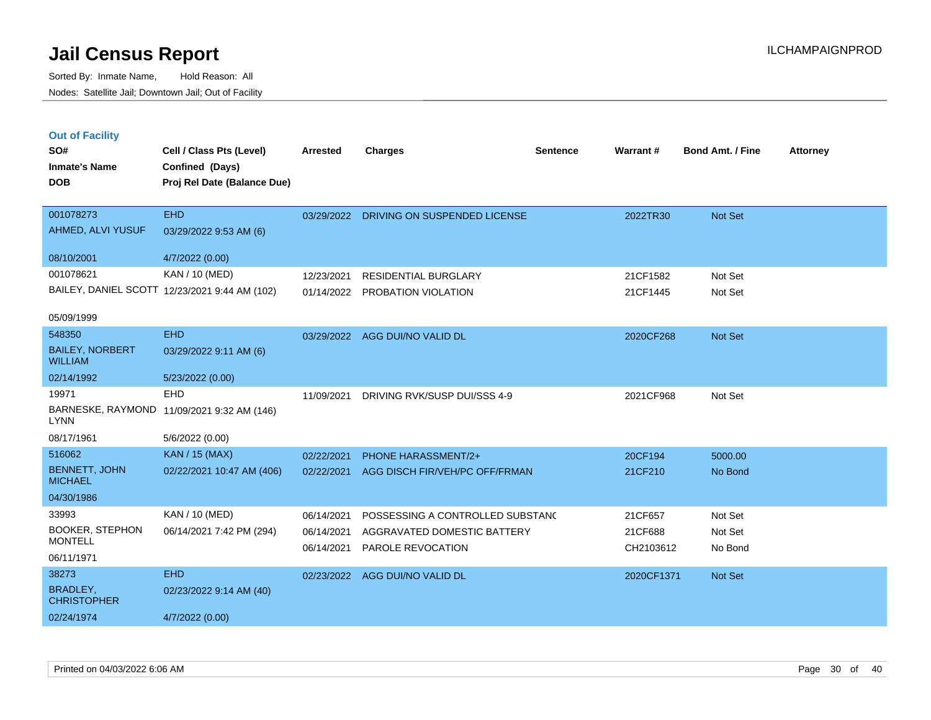| <b>Out of Facility</b><br>SO#<br><b>Inmate's Name</b><br><b>DOB</b> | Cell / Class Pts (Level)<br>Confined (Days)<br>Proj Rel Date (Balance Due) | Arrested                 | <b>Charges</b>                                   | <b>Sentence</b> | Warrant #            | <b>Bond Amt. / Fine</b> | <b>Attorney</b> |
|---------------------------------------------------------------------|----------------------------------------------------------------------------|--------------------------|--------------------------------------------------|-----------------|----------------------|-------------------------|-----------------|
| 001078273                                                           | <b>EHD</b>                                                                 | 03/29/2022               | DRIVING ON SUSPENDED LICENSE                     |                 | 2022TR30             | <b>Not Set</b>          |                 |
| AHMED, ALVI YUSUF                                                   | 03/29/2022 9:53 AM (6)                                                     |                          |                                                  |                 |                      |                         |                 |
| 08/10/2001                                                          | 4/7/2022 (0.00)                                                            |                          |                                                  |                 |                      |                         |                 |
| 001078621                                                           | KAN / 10 (MED)                                                             | 12/23/2021               | <b>RESIDENTIAL BURGLARY</b>                      |                 | 21CF1582             | Not Set                 |                 |
|                                                                     | BAILEY, DANIEL SCOTT 12/23/2021 9:44 AM (102)                              | 01/14/2022               | PROBATION VIOLATION                              |                 | 21CF1445             | Not Set                 |                 |
| 05/09/1999                                                          |                                                                            |                          |                                                  |                 |                      |                         |                 |
| 548350                                                              | <b>EHD</b>                                                                 | 03/29/2022               | AGG DUI/NO VALID DL                              |                 | 2020CF268            | Not Set                 |                 |
| <b>BAILEY, NORBERT</b><br><b>WILLIAM</b>                            | 03/29/2022 9:11 AM (6)                                                     |                          |                                                  |                 |                      |                         |                 |
| 02/14/1992                                                          | 5/23/2022 (0.00)                                                           |                          |                                                  |                 |                      |                         |                 |
| 19971                                                               | <b>EHD</b>                                                                 | 11/09/2021               | DRIVING RVK/SUSP DUI/SSS 4-9                     |                 | 2021CF968            | Not Set                 |                 |
| LYNN                                                                | BARNESKE, RAYMOND 11/09/2021 9:32 AM (146)                                 |                          |                                                  |                 |                      |                         |                 |
| 08/17/1961                                                          | 5/6/2022 (0.00)                                                            |                          |                                                  |                 |                      |                         |                 |
| 516062                                                              | <b>KAN / 15 (MAX)</b>                                                      | 02/22/2021               | PHONE HARASSMENT/2+                              |                 | 20CF194              | 5000.00                 |                 |
| <b>BENNETT, JOHN</b><br><b>MICHAEL</b>                              | 02/22/2021 10:47 AM (406)                                                  | 02/22/2021               | AGG DISCH FIR/VEH/PC OFF/FRMAN                   |                 | 21CF210              | No Bond                 |                 |
| 04/30/1986                                                          |                                                                            |                          |                                                  |                 |                      |                         |                 |
| 33993                                                               | KAN / 10 (MED)                                                             | 06/14/2021               | POSSESSING A CONTROLLED SUBSTAND                 |                 | 21CF657              | Not Set                 |                 |
| <b>BOOKER, STEPHON</b><br><b>MONTELL</b>                            | 06/14/2021 7:42 PM (294)                                                   | 06/14/2021<br>06/14/2021 | AGGRAVATED DOMESTIC BATTERY<br>PAROLE REVOCATION |                 | 21CF688<br>CH2103612 | Not Set<br>No Bond      |                 |
| 06/11/1971                                                          |                                                                            |                          |                                                  |                 |                      |                         |                 |
| 38273                                                               | <b>EHD</b>                                                                 | 02/23/2022               | AGG DUI/NO VALID DL                              |                 | 2020CF1371           | <b>Not Set</b>          |                 |
| BRADLEY,<br><b>CHRISTOPHER</b>                                      | 02/23/2022 9:14 AM (40)                                                    |                          |                                                  |                 |                      |                         |                 |
| 02/24/1974                                                          | 4/7/2022 (0.00)                                                            |                          |                                                  |                 |                      |                         |                 |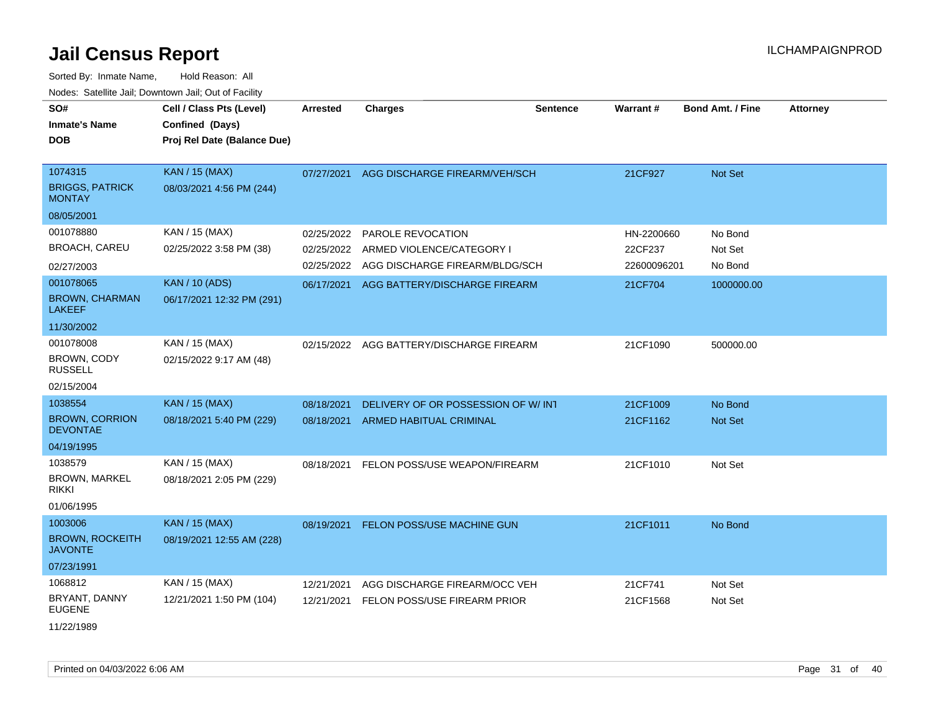| SO#<br><b>Inmate's Name</b><br>DOB                 | Cell / Class Pts (Level)<br>Confined (Days)<br>Proj Rel Date (Balance Due) | <b>Arrested</b> | <b>Charges</b>                     | <b>Sentence</b> | Warrant#    | Bond Amt. / Fine | <b>Attorney</b> |
|----------------------------------------------------|----------------------------------------------------------------------------|-----------------|------------------------------------|-----------------|-------------|------------------|-----------------|
| 1074315<br><b>BRIGGS, PATRICK</b><br><b>MONTAY</b> | KAN / 15 (MAX)<br>08/03/2021 4:56 PM (244)                                 | 07/27/2021      | AGG DISCHARGE FIREARM/VEH/SCH      |                 | 21CF927     | Not Set          |                 |
| 08/05/2001                                         |                                                                            |                 |                                    |                 |             |                  |                 |
| 001078880                                          | KAN / 15 (MAX)                                                             | 02/25/2022      | PAROLE REVOCATION                  |                 | HN-2200660  | No Bond          |                 |
| <b>BROACH, CAREU</b>                               | 02/25/2022 3:58 PM (38)                                                    | 02/25/2022      | ARMED VIOLENCE/CATEGORY I          |                 | 22CF237     | Not Set          |                 |
| 02/27/2003                                         |                                                                            | 02/25/2022      | AGG DISCHARGE FIREARM/BLDG/SCH     |                 | 22600096201 | No Bond          |                 |
| 001078065                                          | <b>KAN / 10 (ADS)</b>                                                      | 06/17/2021      | AGG BATTERY/DISCHARGE FIREARM      |                 | 21CF704     | 1000000.00       |                 |
| <b>BROWN, CHARMAN</b><br>LAKEEF                    | 06/17/2021 12:32 PM (291)                                                  |                 |                                    |                 |             |                  |                 |
| 11/30/2002                                         |                                                                            |                 |                                    |                 |             |                  |                 |
| 001078008                                          | KAN / 15 (MAX)                                                             | 02/15/2022      | AGG BATTERY/DISCHARGE FIREARM      |                 | 21CF1090    | 500000.00        |                 |
| <b>BROWN, CODY</b><br><b>RUSSELL</b>               | 02/15/2022 9:17 AM (48)                                                    |                 |                                    |                 |             |                  |                 |
| 02/15/2004                                         |                                                                            |                 |                                    |                 |             |                  |                 |
| 1038554                                            | <b>KAN / 15 (MAX)</b>                                                      | 08/18/2021      | DELIVERY OF OR POSSESSION OF W/INT |                 | 21CF1009    | No Bond          |                 |
| <b>BROWN, CORRION</b><br><b>DEVONTAE</b>           | 08/18/2021 5:40 PM (229)                                                   | 08/18/2021      | <b>ARMED HABITUAL CRIMINAL</b>     |                 | 21CF1162    | <b>Not Set</b>   |                 |
| 04/19/1995                                         |                                                                            |                 |                                    |                 |             |                  |                 |
| 1038579                                            | KAN / 15 (MAX)                                                             | 08/18/2021      | FELON POSS/USE WEAPON/FIREARM      |                 | 21CF1010    | Not Set          |                 |
| <b>BROWN, MARKEL</b><br>rikki                      | 08/18/2021 2:05 PM (229)                                                   |                 |                                    |                 |             |                  |                 |
| 01/06/1995                                         |                                                                            |                 |                                    |                 |             |                  |                 |
| 1003006                                            | KAN / 15 (MAX)                                                             | 08/19/2021      | <b>FELON POSS/USE MACHINE GUN</b>  |                 | 21CF1011    | No Bond          |                 |
| <b>BROWN, ROCKEITH</b><br><b>JAVONTE</b>           | 08/19/2021 12:55 AM (228)                                                  |                 |                                    |                 |             |                  |                 |
| 07/23/1991                                         |                                                                            |                 |                                    |                 |             |                  |                 |
| 1068812                                            | KAN / 15 (MAX)                                                             | 12/21/2021      | AGG DISCHARGE FIREARM/OCC VEH      |                 | 21CF741     | Not Set          |                 |
| BRYANT, DANNY<br><b>EUGENE</b>                     | 12/21/2021 1:50 PM (104)                                                   | 12/21/2021      | FELON POSS/USE FIREARM PRIOR       |                 | 21CF1568    | Not Set          |                 |
| 11/22/1989                                         |                                                                            |                 |                                    |                 |             |                  |                 |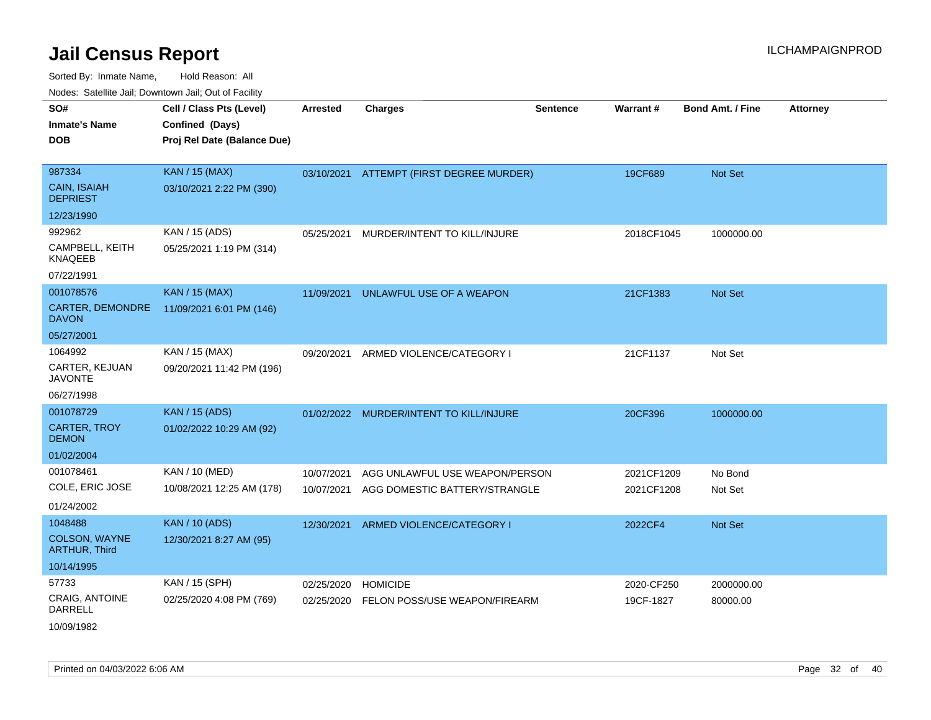Sorted By: Inmate Name, Hold Reason: All Nodes: Satellite Jail; Downtown Jail; Out of Facility

| SO#                                          | Cell / Class Pts (Level)    | <b>Arrested</b> | <b>Charges</b>                           | <b>Sentence</b> | <b>Warrant#</b> | <b>Bond Amt. / Fine</b> | <b>Attorney</b> |
|----------------------------------------------|-----------------------------|-----------------|------------------------------------------|-----------------|-----------------|-------------------------|-----------------|
| <b>Inmate's Name</b>                         | Confined (Days)             |                 |                                          |                 |                 |                         |                 |
| <b>DOB</b>                                   | Proj Rel Date (Balance Due) |                 |                                          |                 |                 |                         |                 |
|                                              |                             |                 |                                          |                 |                 |                         |                 |
| 987334                                       | <b>KAN / 15 (MAX)</b>       |                 | 03/10/2021 ATTEMPT (FIRST DEGREE MURDER) |                 | 19CF689         | Not Set                 |                 |
| <b>CAIN, ISAIAH</b><br><b>DEPRIEST</b>       | 03/10/2021 2:22 PM (390)    |                 |                                          |                 |                 |                         |                 |
| 12/23/1990                                   |                             |                 |                                          |                 |                 |                         |                 |
| 992962                                       | KAN / 15 (ADS)              | 05/25/2021      | MURDER/INTENT TO KILL/INJURE             |                 | 2018CF1045      | 1000000.00              |                 |
| CAMPBELL, KEITH<br><b>KNAQEEB</b>            | 05/25/2021 1:19 PM (314)    |                 |                                          |                 |                 |                         |                 |
| 07/22/1991                                   |                             |                 |                                          |                 |                 |                         |                 |
| 001078576                                    | <b>KAN / 15 (MAX)</b>       | 11/09/2021      | UNLAWFUL USE OF A WEAPON                 |                 | 21CF1383        | <b>Not Set</b>          |                 |
| CARTER, DEMONDRE<br><b>DAVON</b>             | 11/09/2021 6:01 PM (146)    |                 |                                          |                 |                 |                         |                 |
| 05/27/2001                                   |                             |                 |                                          |                 |                 |                         |                 |
| 1064992                                      | KAN / 15 (MAX)              | 09/20/2021      | ARMED VIOLENCE/CATEGORY I                |                 | 21CF1137        | Not Set                 |                 |
| CARTER, KEJUAN<br><b>JAVONTE</b>             | 09/20/2021 11:42 PM (196)   |                 |                                          |                 |                 |                         |                 |
| 06/27/1998                                   |                             |                 |                                          |                 |                 |                         |                 |
| 001078729                                    | <b>KAN / 15 (ADS)</b>       |                 | 01/02/2022 MURDER/INTENT TO KILL/INJURE  |                 | 20CF396         | 1000000.00              |                 |
| <b>CARTER, TROY</b><br><b>DEMON</b>          | 01/02/2022 10:29 AM (92)    |                 |                                          |                 |                 |                         |                 |
| 01/02/2004                                   |                             |                 |                                          |                 |                 |                         |                 |
| 001078461                                    | KAN / 10 (MED)              | 10/07/2021      | AGG UNLAWFUL USE WEAPON/PERSON           |                 | 2021CF1209      | No Bond                 |                 |
| COLE, ERIC JOSE                              | 10/08/2021 12:25 AM (178)   | 10/07/2021      | AGG DOMESTIC BATTERY/STRANGLE            |                 | 2021CF1208      | Not Set                 |                 |
| 01/24/2002                                   |                             |                 |                                          |                 |                 |                         |                 |
| 1048488                                      | <b>KAN / 10 (ADS)</b>       | 12/30/2021      | ARMED VIOLENCE/CATEGORY I                |                 | 2022CF4         | <b>Not Set</b>          |                 |
| <b>COLSON, WAYNE</b><br><b>ARTHUR, Third</b> | 12/30/2021 8:27 AM (95)     |                 |                                          |                 |                 |                         |                 |
| 10/14/1995                                   |                             |                 |                                          |                 |                 |                         |                 |
| 57733                                        | KAN / 15 (SPH)              | 02/25/2020      | <b>HOMICIDE</b>                          |                 | 2020-CF250      | 2000000.00              |                 |
| <b>CRAIG, ANTOINE</b><br>DARRELL             | 02/25/2020 4:08 PM (769)    | 02/25/2020      | FELON POSS/USE WEAPON/FIREARM            |                 | 19CF-1827       | 80000.00                |                 |
|                                              |                             |                 |                                          |                 |                 |                         |                 |

10/09/1982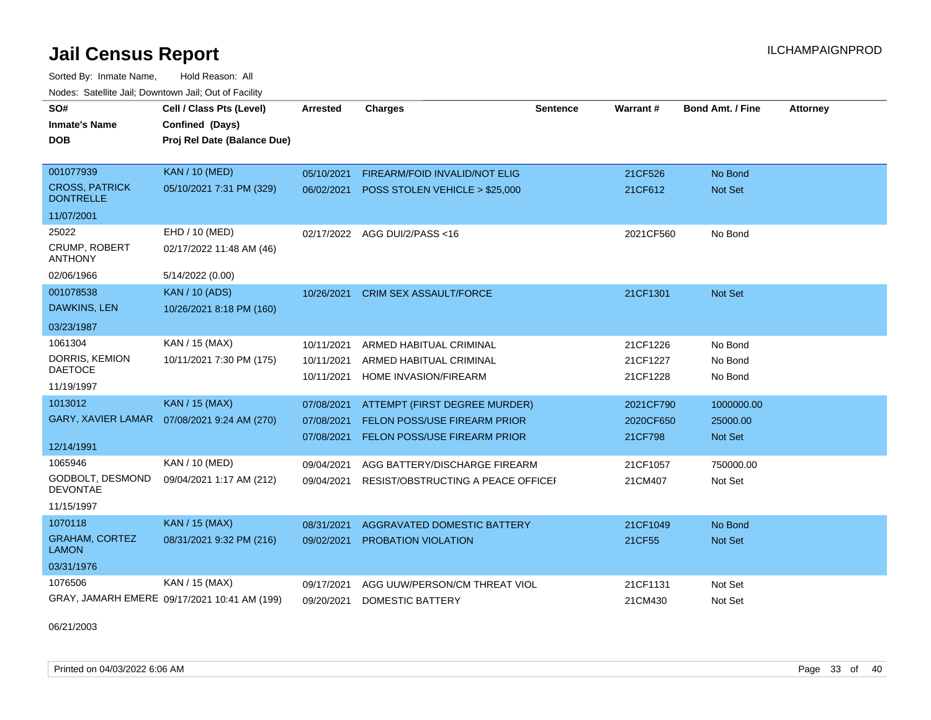Sorted By: Inmate Name, Hold Reason: All Nodes: Satellite Jail; Downtown Jail; Out of Facility

| SO#<br><b>Inmate's Name</b><br><b>DOB</b> | Cell / Class Pts (Level)<br>Confined (Days)<br>Proj Rel Date (Balance Due) | Arrested   | <b>Charges</b>                      | Sentence | <b>Warrant#</b> | <b>Bond Amt. / Fine</b> | <b>Attorney</b> |
|-------------------------------------------|----------------------------------------------------------------------------|------------|-------------------------------------|----------|-----------------|-------------------------|-----------------|
| 001077939                                 | <b>KAN / 10 (MED)</b>                                                      | 05/10/2021 | FIREARM/FOID INVALID/NOT ELIG       |          | 21CF526         | No Bond                 |                 |
| <b>CROSS, PATRICK</b><br><b>DONTRELLE</b> | 05/10/2021 7:31 PM (329)                                                   | 06/02/2021 | POSS STOLEN VEHICLE > \$25,000      |          | 21CF612         | <b>Not Set</b>          |                 |
| 11/07/2001                                |                                                                            |            |                                     |          |                 |                         |                 |
| 25022                                     | EHD / 10 (MED)                                                             | 02/17/2022 | AGG DUI/2/PASS <16                  |          | 2021CF560       | No Bond                 |                 |
| <b>CRUMP, ROBERT</b><br><b>ANTHONY</b>    | 02/17/2022 11:48 AM (46)                                                   |            |                                     |          |                 |                         |                 |
| 02/06/1966                                | 5/14/2022 (0.00)                                                           |            |                                     |          |                 |                         |                 |
| 001078538                                 | <b>KAN / 10 (ADS)</b>                                                      | 10/26/2021 | <b>CRIM SEX ASSAULT/FORCE</b>       |          | 21CF1301        | <b>Not Set</b>          |                 |
| DAWKINS, LEN                              | 10/26/2021 8:18 PM (160)                                                   |            |                                     |          |                 |                         |                 |
| 03/23/1987                                |                                                                            |            |                                     |          |                 |                         |                 |
| 1061304                                   | KAN / 15 (MAX)                                                             | 10/11/2021 | ARMED HABITUAL CRIMINAL             |          | 21CF1226        | No Bond                 |                 |
| DORRIS, KEMION                            | 10/11/2021 7:30 PM (175)                                                   | 10/11/2021 | ARMED HABITUAL CRIMINAL             |          | 21CF1227        | No Bond                 |                 |
| <b>DAETOCE</b><br>11/19/1997              |                                                                            | 10/11/2021 | HOME INVASION/FIREARM               |          | 21CF1228        | No Bond                 |                 |
| 1013012                                   | <b>KAN / 15 (MAX)</b>                                                      | 07/08/2021 | ATTEMPT (FIRST DEGREE MURDER)       |          | 2021CF790       | 1000000.00              |                 |
|                                           | GARY, XAVIER LAMAR  07/08/2021 9:24 AM (270)                               | 07/08/2021 | <b>FELON POSS/USE FIREARM PRIOR</b> |          | 2020CF650       | 25000.00                |                 |
| 12/14/1991                                |                                                                            | 07/08/2021 | FELON POSS/USE FIREARM PRIOR        |          | 21CF798         | <b>Not Set</b>          |                 |
| 1065946                                   | KAN / 10 (MED)                                                             | 09/04/2021 | AGG BATTERY/DISCHARGE FIREARM       |          | 21CF1057        | 750000.00               |                 |
| GODBOLT, DESMOND                          | 09/04/2021 1:17 AM (212)                                                   | 09/04/2021 | RESIST/OBSTRUCTING A PEACE OFFICEF  |          | 21CM407         | Not Set                 |                 |
| <b>DEVONTAE</b>                           |                                                                            |            |                                     |          |                 |                         |                 |
| 11/15/1997                                |                                                                            |            |                                     |          |                 |                         |                 |
| 1070118                                   | <b>KAN / 15 (MAX)</b>                                                      | 08/31/2021 | <b>AGGRAVATED DOMESTIC BATTERY</b>  |          | 21CF1049        | No Bond                 |                 |
| <b>GRAHAM, CORTEZ</b><br><b>LAMON</b>     | 08/31/2021 9:32 PM (216)                                                   | 09/02/2021 | PROBATION VIOLATION                 |          | 21CF55          | Not Set                 |                 |
| 03/31/1976                                |                                                                            |            |                                     |          |                 |                         |                 |
| 1076506                                   | KAN / 15 (MAX)                                                             | 09/17/2021 | AGG UUW/PERSON/CM THREAT VIOL       |          | 21CF1131        | Not Set                 |                 |
|                                           | GRAY, JAMARH EMERE 09/17/2021 10:41 AM (199)                               | 09/20/2021 | <b>DOMESTIC BATTERY</b>             |          | 21CM430         | Not Set                 |                 |

06/21/2003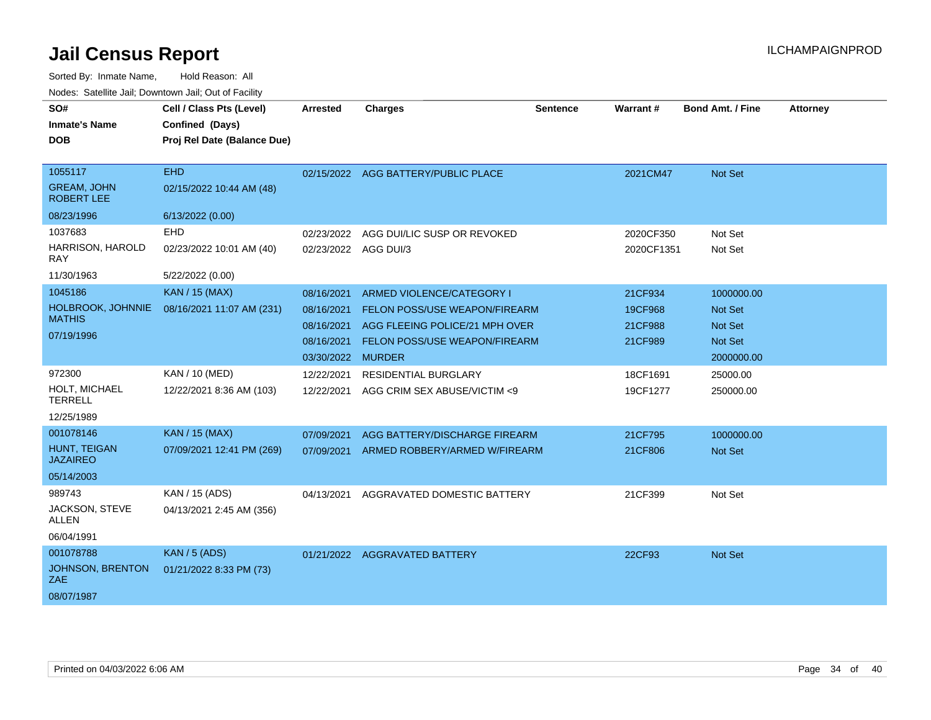| SO#<br><b>Inmate's Name</b><br><b>DOB</b>                             | Cell / Class Pts (Level)<br>Confined (Days)<br>Proj Rel Date (Balance Due)     | <b>Arrested</b>                                                           | <b>Charges</b>                                                                                                                       | Sentence | Warrant#                                 | <b>Bond Amt. / Fine</b>                                                 | <b>Attorney</b> |
|-----------------------------------------------------------------------|--------------------------------------------------------------------------------|---------------------------------------------------------------------------|--------------------------------------------------------------------------------------------------------------------------------------|----------|------------------------------------------|-------------------------------------------------------------------------|-----------------|
| 1055117<br><b>GREAM, JOHN</b><br><b>ROBERT LEE</b>                    | <b>EHD</b><br>02/15/2022 10:44 AM (48)                                         |                                                                           | 02/15/2022 AGG BATTERY/PUBLIC PLACE                                                                                                  |          | 2021CM47                                 | Not Set                                                                 |                 |
| 08/23/1996<br>1037683<br>HARRISON, HAROLD<br><b>RAY</b><br>11/30/1963 | 6/13/2022 (0.00)<br><b>EHD</b><br>02/23/2022 10:01 AM (40)<br>5/22/2022 (0.00) | 02/23/2022                                                                | AGG DUI/LIC SUSP OR REVOKED<br>02/23/2022 AGG DUI/3                                                                                  |          | 2020CF350<br>2020CF1351                  | Not Set<br>Not Set                                                      |                 |
| 1045186<br>HOLBROOK, JOHNNIE<br><b>MATHIS</b><br>07/19/1996           | KAN / 15 (MAX)<br>08/16/2021 11:07 AM (231)                                    | 08/16/2021<br>08/16/2021<br>08/16/2021<br>08/16/2021<br>03/30/2022 MURDER | ARMED VIOLENCE/CATEGORY I<br>FELON POSS/USE WEAPON/FIREARM<br>AGG FLEEING POLICE/21 MPH OVER<br><b>FELON POSS/USE WEAPON/FIREARM</b> |          | 21CF934<br>19CF968<br>21CF988<br>21CF989 | 1000000.00<br>Not Set<br><b>Not Set</b><br><b>Not Set</b><br>2000000.00 |                 |
| 972300<br>HOLT, MICHAEL<br><b>TERRELL</b><br>12/25/1989               | <b>KAN / 10 (MED)</b><br>12/22/2021 8:36 AM (103)                              | 12/22/2021<br>12/22/2021                                                  | <b>RESIDENTIAL BURGLARY</b><br>AGG CRIM SEX ABUSE/VICTIM <9                                                                          |          | 18CF1691<br>19CF1277                     | 25000.00<br>250000.00                                                   |                 |
| 001078146<br>HUNT, TEIGAN<br><b>JAZAIREO</b><br>05/14/2003            | <b>KAN / 15 (MAX)</b><br>07/09/2021 12:41 PM (269)                             | 07/09/2021<br>07/09/2021                                                  | AGG BATTERY/DISCHARGE FIREARM<br>ARMED ROBBERY/ARMED W/FIREARM                                                                       |          | 21CF795<br>21CF806                       | 1000000.00<br><b>Not Set</b>                                            |                 |
| 989743<br>JACKSON, STEVE<br><b>ALLEN</b><br>06/04/1991                | KAN / 15 (ADS)<br>04/13/2021 2:45 AM (356)                                     | 04/13/2021                                                                | AGGRAVATED DOMESTIC BATTERY                                                                                                          |          | 21CF399                                  | Not Set                                                                 |                 |
| 001078788<br>JOHNSON, BRENTON<br>ZAE.<br>08/07/1987                   | <b>KAN / 5 (ADS)</b><br>01/21/2022 8:33 PM (73)                                |                                                                           | 01/21/2022 AGGRAVATED BATTERY                                                                                                        |          | 22CF93                                   | <b>Not Set</b>                                                          |                 |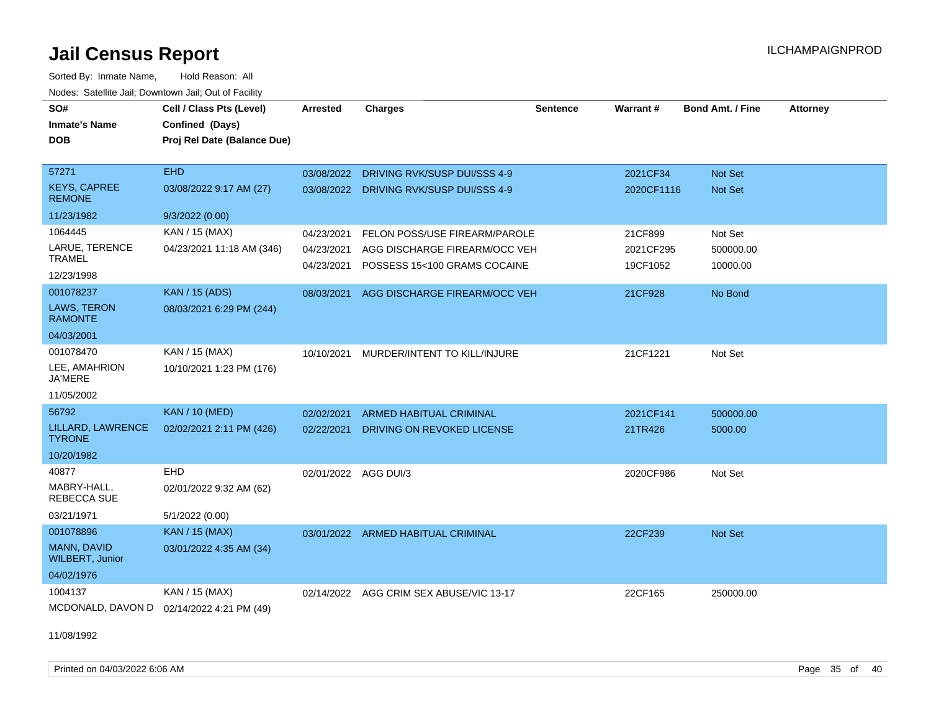Sorted By: Inmate Name, Hold Reason: All Nodes: Satellite Jail; Downtown Jail; Out of Facility

| SO#<br><b>Inmate's Name</b>               | Cell / Class Pts (Level)<br>Confined (Days) | <b>Arrested</b>      | <b>Charges</b>                     | <b>Sentence</b> | <b>Warrant#</b> | <b>Bond Amt. / Fine</b> | <b>Attorney</b> |
|-------------------------------------------|---------------------------------------------|----------------------|------------------------------------|-----------------|-----------------|-------------------------|-----------------|
| <b>DOB</b>                                | Proj Rel Date (Balance Due)                 |                      |                                    |                 |                 |                         |                 |
| 57271                                     | <b>EHD</b>                                  | 03/08/2022           | DRIVING RVK/SUSP DUI/SSS 4-9       |                 | 2021CF34        | Not Set                 |                 |
| <b>KEYS, CAPREE</b><br><b>REMONE</b>      | 03/08/2022 9:17 AM (27)                     | 03/08/2022           | DRIVING RVK/SUSP DUI/SSS 4-9       |                 | 2020CF1116      | <b>Not Set</b>          |                 |
| 11/23/1982                                | 9/3/2022 (0.00)                             |                      |                                    |                 |                 |                         |                 |
| 1064445                                   | KAN / 15 (MAX)                              | 04/23/2021           | FELON POSS/USE FIREARM/PAROLE      |                 | 21CF899         | Not Set                 |                 |
| LARUE, TERENCE                            | 04/23/2021 11:18 AM (346)                   | 04/23/2021           | AGG DISCHARGE FIREARM/OCC VEH      |                 | 2021CF295       | 500000.00               |                 |
| <b>TRAMEL</b>                             |                                             | 04/23/2021           | POSSESS 15<100 GRAMS COCAINE       |                 | 19CF1052        | 10000.00                |                 |
| 12/23/1998                                |                                             |                      |                                    |                 |                 |                         |                 |
| 001078237<br>LAWS, TERON                  | KAN / 15 (ADS)                              | 08/03/2021           | AGG DISCHARGE FIREARM/OCC VEH      |                 | 21CF928         | No Bond                 |                 |
| <b>RAMONTE</b>                            | 08/03/2021 6:29 PM (244)                    |                      |                                    |                 |                 |                         |                 |
| 04/03/2001                                |                                             |                      |                                    |                 |                 |                         |                 |
| 001078470                                 | KAN / 15 (MAX)                              | 10/10/2021           | MURDER/INTENT TO KILL/INJURE       |                 | 21CF1221        | Not Set                 |                 |
| LEE, AMAHRION<br><b>JA'MERE</b>           | 10/10/2021 1:23 PM (176)                    |                      |                                    |                 |                 |                         |                 |
| 11/05/2002                                |                                             |                      |                                    |                 |                 |                         |                 |
| 56792                                     | <b>KAN / 10 (MED)</b>                       | 02/02/2021           | <b>ARMED HABITUAL CRIMINAL</b>     |                 | 2021CF141       | 500000.00               |                 |
| LILLARD, LAWRENCE<br><b>TYRONE</b>        | 02/02/2021 2:11 PM (426)                    | 02/22/2021           | DRIVING ON REVOKED LICENSE         |                 | 21TR426         | 5000.00                 |                 |
| 10/20/1982                                |                                             |                      |                                    |                 |                 |                         |                 |
| 40877                                     | EHD                                         | 02/01/2022 AGG DUI/3 |                                    |                 | 2020CF986       | Not Set                 |                 |
| MABRY-HALL,<br>REBECCA SUE                | 02/01/2022 9:32 AM (62)                     |                      |                                    |                 |                 |                         |                 |
| 03/21/1971                                | 5/1/2022 (0.00)                             |                      |                                    |                 |                 |                         |                 |
| 001078896                                 | <b>KAN / 15 (MAX)</b>                       |                      | 03/01/2022 ARMED HABITUAL CRIMINAL |                 | 22CF239         | Not Set                 |                 |
| MANN, DAVID<br><b>WILBERT, Junior</b>     | 03/01/2022 4:35 AM (34)                     |                      |                                    |                 |                 |                         |                 |
| 04/02/1976                                |                                             |                      |                                    |                 |                 |                         |                 |
| 1004137                                   | KAN / 15 (MAX)                              | 02/14/2022           | AGG CRIM SEX ABUSE/VIC 13-17       |                 | 22CF165         | 250000.00               |                 |
| MCDONALD, DAVON D 02/14/2022 4:21 PM (49) |                                             |                      |                                    |                 |                 |                         |                 |

11/08/1992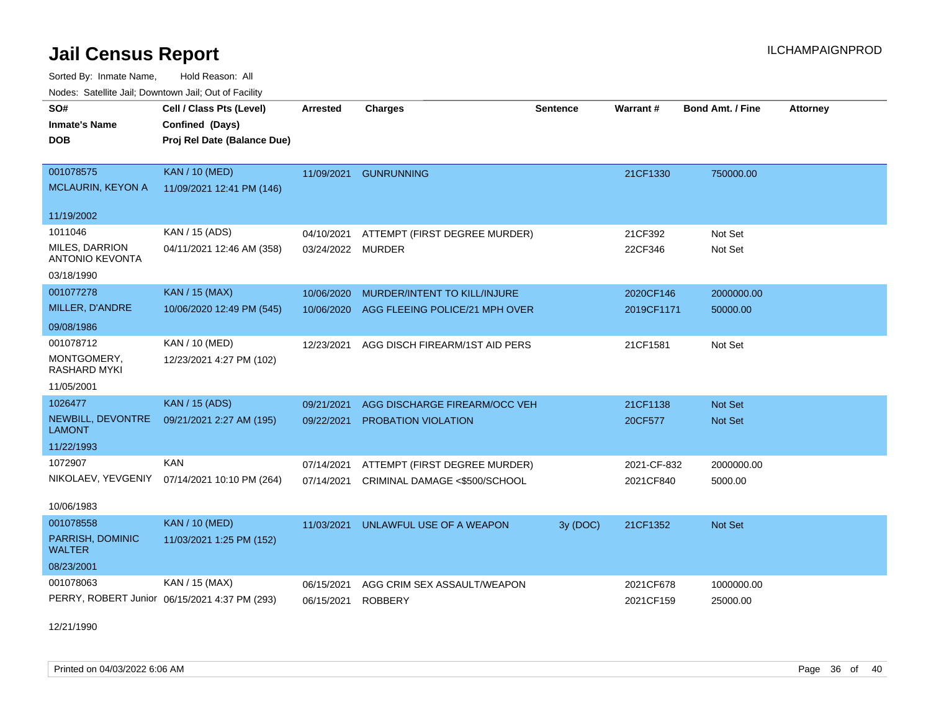Sorted By: Inmate Name, Hold Reason: All Nodes: Satellite Jail; Downtown Jail; Out of Facility

| nouco. Calcinio can, Downlown can, Out of Fabilit |                                               |                 |                                |                 |                 |                         |                 |
|---------------------------------------------------|-----------------------------------------------|-----------------|--------------------------------|-----------------|-----------------|-------------------------|-----------------|
| SO#                                               | Cell / Class Pts (Level)                      | <b>Arrested</b> | <b>Charges</b>                 | <b>Sentence</b> | <b>Warrant#</b> | <b>Bond Amt. / Fine</b> | <b>Attorney</b> |
| <b>Inmate's Name</b>                              | Confined (Days)                               |                 |                                |                 |                 |                         |                 |
| DOB                                               | Proj Rel Date (Balance Due)                   |                 |                                |                 |                 |                         |                 |
|                                                   |                                               |                 |                                |                 |                 |                         |                 |
| 001078575                                         | <b>KAN / 10 (MED)</b>                         | 11/09/2021      | <b>GUNRUNNING</b>              |                 | 21CF1330        | 750000.00               |                 |
| <b>MCLAURIN, KEYON A</b>                          | 11/09/2021 12:41 PM (146)                     |                 |                                |                 |                 |                         |                 |
| 11/19/2002                                        |                                               |                 |                                |                 |                 |                         |                 |
| 1011046                                           | KAN / 15 (ADS)                                | 04/10/2021      | ATTEMPT (FIRST DEGREE MURDER)  |                 | 21CF392         | Not Set                 |                 |
| MILES, DARRION<br><b>ANTONIO KEVONTA</b>          | 04/11/2021 12:46 AM (358)                     | 03/24/2022      | <b>MURDER</b>                  |                 | 22CF346         | Not Set                 |                 |
| 03/18/1990                                        |                                               |                 |                                |                 |                 |                         |                 |
| 001077278                                         | <b>KAN / 15 (MAX)</b>                         | 10/06/2020      | MURDER/INTENT TO KILL/INJURE   |                 | 2020CF146       | 2000000.00              |                 |
| MILLER, D'ANDRE                                   | 10/06/2020 12:49 PM (545)                     | 10/06/2020      | AGG FLEEING POLICE/21 MPH OVER |                 | 2019CF1171      | 50000.00                |                 |
| 09/08/1986                                        |                                               |                 |                                |                 |                 |                         |                 |
| 001078712                                         | KAN / 10 (MED)                                | 12/23/2021      | AGG DISCH FIREARM/1ST AID PERS |                 | 21CF1581        | Not Set                 |                 |
| MONTGOMERY,<br><b>RASHARD MYKI</b>                | 12/23/2021 4:27 PM (102)                      |                 |                                |                 |                 |                         |                 |
| 11/05/2001                                        |                                               |                 |                                |                 |                 |                         |                 |
| 1026477                                           | <b>KAN / 15 (ADS)</b>                         | 09/21/2021      | AGG DISCHARGE FIREARM/OCC VEH  |                 | 21CF1138        | Not Set                 |                 |
| NEWBILL, DEVONTRE<br><b>LAMONT</b>                | 09/21/2021 2:27 AM (195)                      | 09/22/2021      | <b>PROBATION VIOLATION</b>     |                 | 20CF577         | <b>Not Set</b>          |                 |
| 11/22/1993                                        |                                               |                 |                                |                 |                 |                         |                 |
| 1072907                                           | <b>KAN</b>                                    | 07/14/2021      | ATTEMPT (FIRST DEGREE MURDER)  |                 | 2021-CF-832     | 2000000.00              |                 |
| NIKOLAEV, YEVGENIY                                | 07/14/2021 10:10 PM (264)                     | 07/14/2021      | CRIMINAL DAMAGE <\$500/SCHOOL  |                 | 2021CF840       | 5000.00                 |                 |
| 10/06/1983                                        |                                               |                 |                                |                 |                 |                         |                 |
| 001078558                                         | <b>KAN / 10 (MED)</b>                         | 11/03/2021      | UNLAWFUL USE OF A WEAPON       | 3y (DOC)        | 21CF1352        | Not Set                 |                 |
| PARRISH, DOMINIC<br><b>WALTER</b>                 | 11/03/2021 1:25 PM (152)                      |                 |                                |                 |                 |                         |                 |
| 08/23/2001                                        |                                               |                 |                                |                 |                 |                         |                 |
| 001078063                                         | KAN / 15 (MAX)                                | 06/15/2021      | AGG CRIM SEX ASSAULT/WEAPON    |                 | 2021CF678       | 1000000.00              |                 |
|                                                   | PERRY, ROBERT Junior 06/15/2021 4:37 PM (293) | 06/15/2021      | <b>ROBBERY</b>                 |                 | 2021CF159       | 25000.00                |                 |

12/21/1990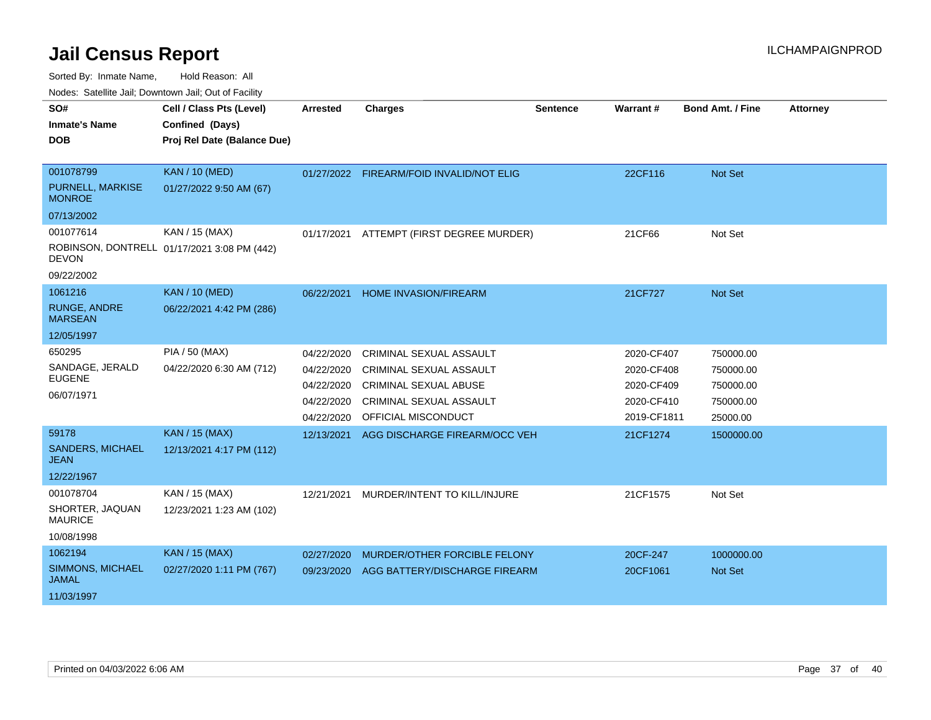Sorted By: Inmate Name, Hold Reason: All

Nodes: Satellite Jail; Downtown Jail; Out of Facility

| SO#                                   | Cell / Class Pts (Level)                    |                 |                                          | Sentence | Warrant#    | <b>Bond Amt. / Fine</b> | <b>Attorney</b> |
|---------------------------------------|---------------------------------------------|-----------------|------------------------------------------|----------|-------------|-------------------------|-----------------|
|                                       |                                             | <b>Arrested</b> | <b>Charges</b>                           |          |             |                         |                 |
| <b>Inmate's Name</b>                  | Confined (Days)                             |                 |                                          |          |             |                         |                 |
| <b>DOB</b>                            | Proj Rel Date (Balance Due)                 |                 |                                          |          |             |                         |                 |
|                                       |                                             |                 |                                          |          |             |                         |                 |
| 001078799                             | <b>KAN / 10 (MED)</b>                       |                 | 01/27/2022 FIREARM/FOID INVALID/NOT ELIG |          | 22CF116     | Not Set                 |                 |
| PURNELL, MARKISE<br><b>MONROE</b>     | 01/27/2022 9:50 AM (67)                     |                 |                                          |          |             |                         |                 |
| 07/13/2002                            |                                             |                 |                                          |          |             |                         |                 |
| 001077614                             | KAN / 15 (MAX)                              | 01/17/2021      | ATTEMPT (FIRST DEGREE MURDER)            |          | 21CF66      | Not Set                 |                 |
| <b>DEVON</b>                          | ROBINSON, DONTRELL 01/17/2021 3:08 PM (442) |                 |                                          |          |             |                         |                 |
| 09/22/2002                            |                                             |                 |                                          |          |             |                         |                 |
| 1061216                               | <b>KAN / 10 (MED)</b>                       | 06/22/2021      | HOME INVASION/FIREARM                    |          | 21CF727     | Not Set                 |                 |
| <b>RUNGE, ANDRE</b><br><b>MARSEAN</b> | 06/22/2021 4:42 PM (286)                    |                 |                                          |          |             |                         |                 |
| 12/05/1997                            |                                             |                 |                                          |          |             |                         |                 |
| 650295                                | <b>PIA / 50 (MAX)</b>                       | 04/22/2020      | <b>CRIMINAL SEXUAL ASSAULT</b>           |          | 2020-CF407  | 750000.00               |                 |
| SANDAGE, JERALD                       | 04/22/2020 6:30 AM (712)                    | 04/22/2020      | <b>CRIMINAL SEXUAL ASSAULT</b>           |          | 2020-CF408  | 750000.00               |                 |
| <b>EUGENE</b>                         |                                             | 04/22/2020      | CRIMINAL SEXUAL ABUSE                    |          | 2020-CF409  | 750000.00               |                 |
| 06/07/1971                            |                                             | 04/22/2020      | <b>CRIMINAL SEXUAL ASSAULT</b>           |          | 2020-CF410  | 750000.00               |                 |
|                                       |                                             | 04/22/2020      | OFFICIAL MISCONDUCT                      |          | 2019-CF1811 | 25000.00                |                 |
| 59178                                 | <b>KAN / 15 (MAX)</b>                       | 12/13/2021      | AGG DISCHARGE FIREARM/OCC VEH            |          | 21CF1274    | 1500000.00              |                 |
| <b>SANDERS, MICHAEL</b>               | 12/13/2021 4:17 PM (112)                    |                 |                                          |          |             |                         |                 |
| <b>JEAN</b>                           |                                             |                 |                                          |          |             |                         |                 |
| 12/22/1967                            |                                             |                 |                                          |          |             |                         |                 |
| 001078704                             | KAN / 15 (MAX)                              | 12/21/2021      | MURDER/INTENT TO KILL/INJURE             |          | 21CF1575    | Not Set                 |                 |
| SHORTER, JAQUAN<br><b>MAURICE</b>     | 12/23/2021 1:23 AM (102)                    |                 |                                          |          |             |                         |                 |
| 10/08/1998                            |                                             |                 |                                          |          |             |                         |                 |
| 1062194                               | <b>KAN / 15 (MAX)</b>                       | 02/27/2020      | MURDER/OTHER FORCIBLE FELONY             |          | 20CF-247    | 1000000.00              |                 |
| SIMMONS, MICHAEL<br><b>JAMAL</b>      | 02/27/2020 1:11 PM (767)                    | 09/23/2020      | AGG BATTERY/DISCHARGE FIREARM            |          | 20CF1061    | <b>Not Set</b>          |                 |
| 11/03/1997                            |                                             |                 |                                          |          |             |                         |                 |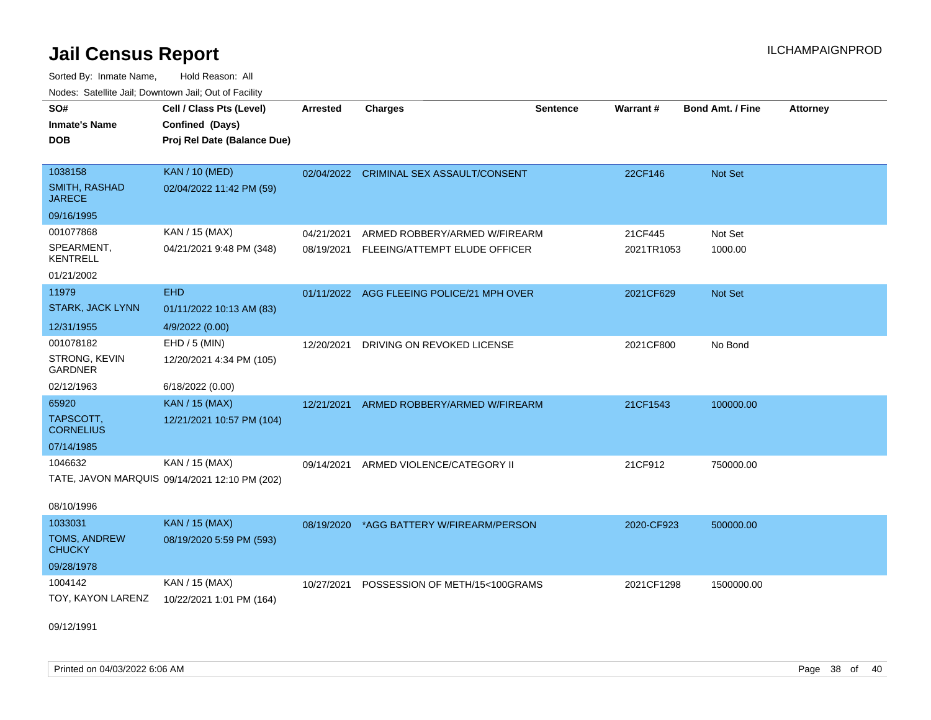Sorted By: Inmate Name, Hold Reason: All Nodes: Satellite Jail; Downtown Jail; Out of Facility

| <b>Houce.</b> Catellite ball, Downtown ball, Out of Fability<br>SO# | Cell / Class Pts (Level)                      | <b>Arrested</b> | <b>Charges</b>                            | <b>Sentence</b> | Warrant#   | <b>Bond Amt. / Fine</b> | <b>Attorney</b> |
|---------------------------------------------------------------------|-----------------------------------------------|-----------------|-------------------------------------------|-----------------|------------|-------------------------|-----------------|
| <b>Inmate's Name</b>                                                | Confined (Days)                               |                 |                                           |                 |            |                         |                 |
| <b>DOB</b>                                                          | Proj Rel Date (Balance Due)                   |                 |                                           |                 |            |                         |                 |
| 1038158                                                             | <b>KAN / 10 (MED)</b>                         |                 | 02/04/2022 CRIMINAL SEX ASSAULT/CONSENT   |                 | 22CF146    | <b>Not Set</b>          |                 |
| <b>SMITH, RASHAD</b><br><b>JARECE</b>                               | 02/04/2022 11:42 PM (59)                      |                 |                                           |                 |            |                         |                 |
| 09/16/1995                                                          |                                               |                 |                                           |                 |            |                         |                 |
| 001077868                                                           | KAN / 15 (MAX)                                | 04/21/2021      | ARMED ROBBERY/ARMED W/FIREARM             |                 | 21CF445    | Not Set                 |                 |
| SPEARMENT,<br><b>KENTRELL</b>                                       | 04/21/2021 9:48 PM (348)                      | 08/19/2021      | FLEEING/ATTEMPT ELUDE OFFICER             |                 | 2021TR1053 | 1000.00                 |                 |
| 01/21/2002                                                          |                                               |                 |                                           |                 |            |                         |                 |
| 11979                                                               | <b>EHD</b>                                    |                 | 01/11/2022 AGG FLEEING POLICE/21 MPH OVER |                 | 2021CF629  | Not Set                 |                 |
| <b>STARK, JACK LYNN</b>                                             | 01/11/2022 10:13 AM (83)                      |                 |                                           |                 |            |                         |                 |
| 12/31/1955                                                          | 4/9/2022 (0.00)                               |                 |                                           |                 |            |                         |                 |
| 001078182                                                           | $EHD / 5$ (MIN)                               | 12/20/2021      | DRIVING ON REVOKED LICENSE                |                 | 2021CF800  | No Bond                 |                 |
| STRONG, KEVIN<br><b>GARDNER</b>                                     | 12/20/2021 4:34 PM (105)                      |                 |                                           |                 |            |                         |                 |
| 02/12/1963                                                          | 6/18/2022 (0.00)                              |                 |                                           |                 |            |                         |                 |
| 65920                                                               | <b>KAN / 15 (MAX)</b>                         | 12/21/2021      | ARMED ROBBERY/ARMED W/FIREARM             |                 | 21CF1543   | 100000.00               |                 |
| TAPSCOTT,<br><b>CORNELIUS</b>                                       | 12/21/2021 10:57 PM (104)                     |                 |                                           |                 |            |                         |                 |
| 07/14/1985                                                          |                                               |                 |                                           |                 |            |                         |                 |
| 1046632                                                             | KAN / 15 (MAX)                                | 09/14/2021      | ARMED VIOLENCE/CATEGORY II                |                 | 21CF912    | 750000.00               |                 |
|                                                                     | TATE, JAVON MARQUIS 09/14/2021 12:10 PM (202) |                 |                                           |                 |            |                         |                 |
| 08/10/1996                                                          |                                               |                 |                                           |                 |            |                         |                 |
| 1033031                                                             | <b>KAN / 15 (MAX)</b>                         | 08/19/2020      | *AGG BATTERY W/FIREARM/PERSON             |                 | 2020-CF923 | 500000.00               |                 |
| <b>TOMS, ANDREW</b><br><b>CHUCKY</b>                                | 08/19/2020 5:59 PM (593)                      |                 |                                           |                 |            |                         |                 |
| 09/28/1978                                                          |                                               |                 |                                           |                 |            |                         |                 |
| 1004142                                                             | KAN / 15 (MAX)                                | 10/27/2021      | POSSESSION OF METH/15<100GRAMS            |                 | 2021CF1298 | 1500000.00              |                 |
| TOY, KAYON LARENZ                                                   | 10/22/2021 1:01 PM (164)                      |                 |                                           |                 |            |                         |                 |

09/12/1991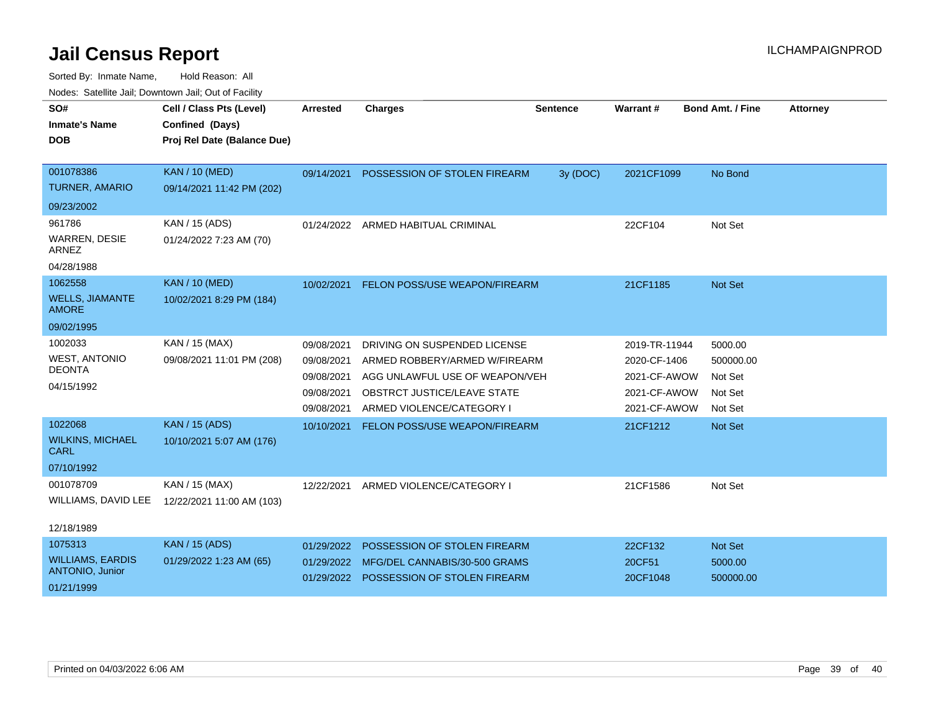| SO#<br><b>Inmate's Name</b><br><b>DOB</b> | Cell / Class Pts (Level)<br>Confined (Days)<br>Proj Rel Date (Balance Due) | <b>Arrested</b> | <b>Charges</b>                          | <b>Sentence</b> | Warrant #     | <b>Bond Amt. / Fine</b> | <b>Attorney</b> |
|-------------------------------------------|----------------------------------------------------------------------------|-----------------|-----------------------------------------|-----------------|---------------|-------------------------|-----------------|
| 001078386                                 | <b>KAN / 10 (MED)</b>                                                      | 09/14/2021      | POSSESSION OF STOLEN FIREARM            | 3y (DOC)        | 2021CF1099    | No Bond                 |                 |
| <b>TURNER, AMARIO</b>                     | 09/14/2021 11:42 PM (202)                                                  |                 |                                         |                 |               |                         |                 |
| 09/23/2002                                |                                                                            |                 |                                         |                 |               |                         |                 |
| 961786                                    | KAN / 15 (ADS)                                                             | 01/24/2022      | ARMED HABITUAL CRIMINAL                 |                 | 22CF104       | Not Set                 |                 |
| WARREN, DESIE<br><b>ARNEZ</b>             | 01/24/2022 7:23 AM (70)                                                    |                 |                                         |                 |               |                         |                 |
| 04/28/1988                                |                                                                            |                 |                                         |                 |               |                         |                 |
| 1062558                                   | <b>KAN / 10 (MED)</b>                                                      | 10/02/2021      | FELON POSS/USE WEAPON/FIREARM           |                 | 21CF1185      | Not Set                 |                 |
| <b>WELLS, JIAMANTE</b><br><b>AMORE</b>    | 10/02/2021 8:29 PM (184)                                                   |                 |                                         |                 |               |                         |                 |
| 09/02/1995                                |                                                                            |                 |                                         |                 |               |                         |                 |
| 1002033                                   | KAN / 15 (MAX)                                                             | 09/08/2021      | DRIVING ON SUSPENDED LICENSE            |                 | 2019-TR-11944 | 5000.00                 |                 |
| <b>WEST, ANTONIO</b>                      | 09/08/2021 11:01 PM (208)                                                  | 09/08/2021      | ARMED ROBBERY/ARMED W/FIREARM           |                 | 2020-CF-1406  | 500000.00               |                 |
| <b>DEONTA</b>                             |                                                                            | 09/08/2021      | AGG UNLAWFUL USE OF WEAPON/VEH          |                 | 2021-CF-AWOW  | Not Set                 |                 |
| 04/15/1992                                |                                                                            | 09/08/2021      | OBSTRCT JUSTICE/LEAVE STATE             |                 | 2021-CF-AWOW  | Not Set                 |                 |
|                                           |                                                                            | 09/08/2021      | ARMED VIOLENCE/CATEGORY I               |                 | 2021-CF-AWOW  | Not Set                 |                 |
| 1022068                                   | <b>KAN / 15 (ADS)</b>                                                      | 10/10/2021      | FELON POSS/USE WEAPON/FIREARM           |                 | 21CF1212      | Not Set                 |                 |
| <b>WILKINS, MICHAEL</b><br><b>CARL</b>    | 10/10/2021 5:07 AM (176)                                                   |                 |                                         |                 |               |                         |                 |
| 07/10/1992                                |                                                                            |                 |                                         |                 |               |                         |                 |
| 001078709                                 | KAN / 15 (MAX)                                                             | 12/22/2021      | ARMED VIOLENCE/CATEGORY I               |                 | 21CF1586      | Not Set                 |                 |
| WILLIAMS, DAVID LEE                       | 12/22/2021 11:00 AM (103)                                                  |                 |                                         |                 |               |                         |                 |
| 12/18/1989                                |                                                                            |                 |                                         |                 |               |                         |                 |
| 1075313                                   | <b>KAN / 15 (ADS)</b>                                                      | 01/29/2022      | POSSESSION OF STOLEN FIREARM            |                 | 22CF132       | Not Set                 |                 |
| <b>WILLIAMS, EARDIS</b>                   | 01/29/2022 1:23 AM (65)                                                    | 01/29/2022      | MFG/DEL CANNABIS/30-500 GRAMS           |                 | 20CF51        | 5000.00                 |                 |
| ANTONIO, Junior<br>01/21/1999             |                                                                            |                 | 01/29/2022 POSSESSION OF STOLEN FIREARM |                 | 20CF1048      | 500000.00               |                 |